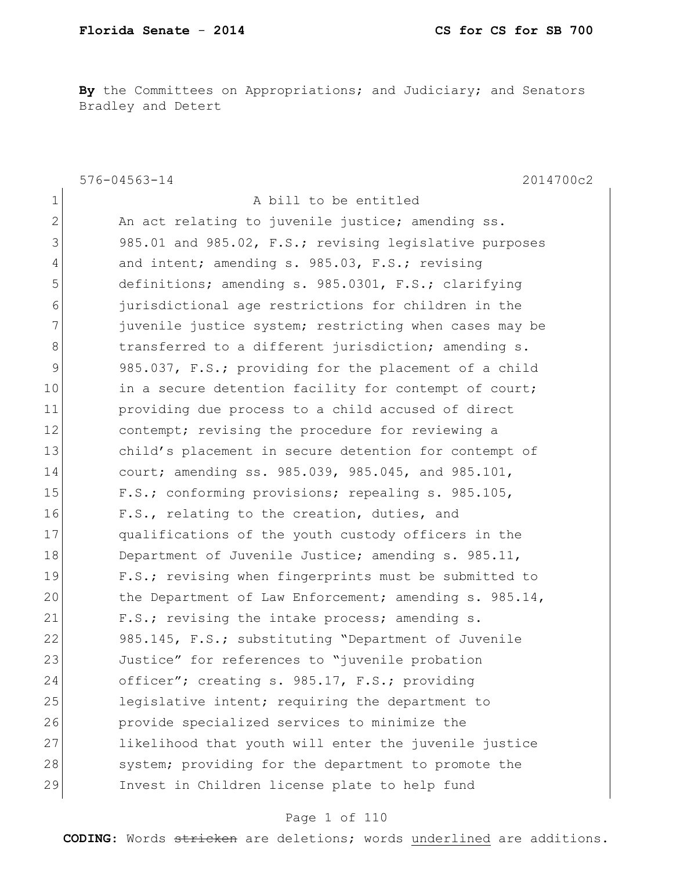By the Committees on Appropriations; and Judiciary; and Senators Bradley and Detert

|                | $576 - 04563 - 14$<br>2014700c2                        |
|----------------|--------------------------------------------------------|
| $\mathbf 1$    | A bill to be entitled                                  |
| $\mathbf{2}$   | An act relating to juvenile justice; amending ss.      |
| 3              | 985.01 and 985.02, F.S.; revising legislative purposes |
| $\overline{4}$ | and intent; amending s. 985.03, F.S.; revising         |
| 5              | definitions; amending s. 985.0301, F.S.; clarifying    |
| 6              | jurisdictional age restrictions for children in the    |
| 7              | juvenile justice system; restricting when cases may be |
| 8              | transferred to a different jurisdiction; amending s.   |
| $\mathcal{G}$  | 985.037, F.S.; providing for the placement of a child  |
| 10             | in a secure detention facility for contempt of court;  |
| 11             | providing due process to a child accused of direct     |
| 12             | contempt; revising the procedure for reviewing a       |
| 13             | child's placement in secure detention for contempt of  |
| 14             | court; amending ss. 985.039, 985.045, and 985.101,     |
| 15             | F.S.; conforming provisions; repealing s. 985.105,     |
| 16             | F.S., relating to the creation, duties, and            |
| 17             | qualifications of the youth custody officers in the    |
| 18             | Department of Juvenile Justice; amending s. 985.11,    |
| 19             | F.S.; revising when fingerprints must be submitted to  |
| 20             | the Department of Law Enforcement; amending s. 985.14, |
| 21             | F.S.; revising the intake process; amending s.         |
| 22             | 985.145, F.S.; substituting "Department of Juvenile    |
| 23             | Justice" for references to "juvenile probation         |
| 24             | officer"; creating s. 985.17, F.S.; providing          |
| 25             | legislative intent; requiring the department to        |
| 26             | provide specialized services to minimize the           |
| 27             | likelihood that youth will enter the juvenile justice  |
| 28             | system; providing for the department to promote the    |
| 29             | Invest in Children license plate to help fund          |

## Page 1 of 110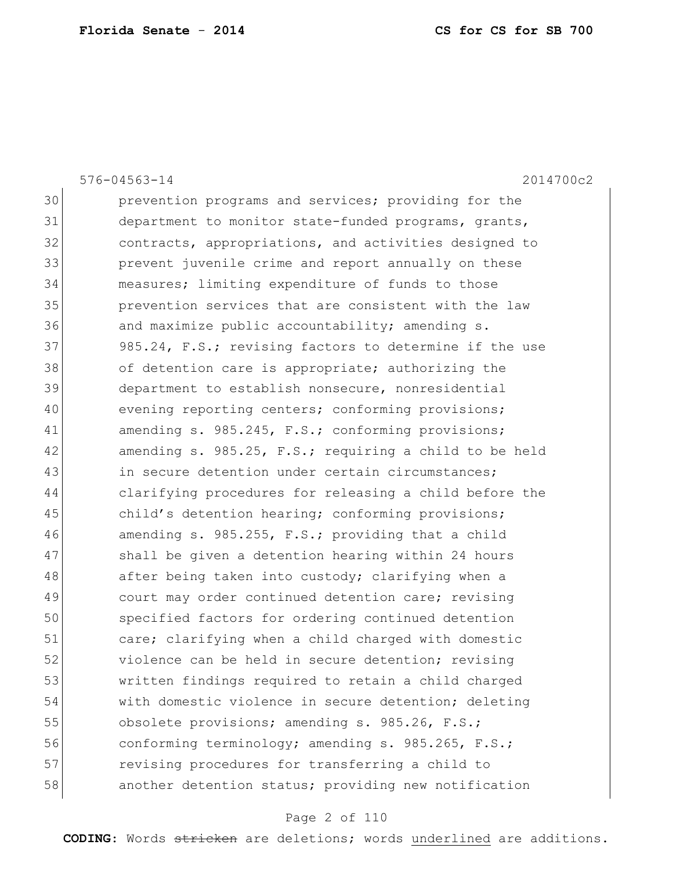| 2014700c2<br>$576 - 04563 - 14$                        |
|--------------------------------------------------------|
| prevention programs and services; providing for the    |
| department to monitor state-funded programs, grants,   |
| contracts, appropriations, and activities designed to  |
| prevent juvenile crime and report annually on these    |
| measures; limiting expenditure of funds to those       |
| prevention services that are consistent with the law   |
| and maximize public accountability; amending s.        |
| 985.24, F.S.; revising factors to determine if the use |
| of detention care is appropriate; authorizing the      |
| department to establish nonsecure, nonresidential      |
| evening reporting centers; conforming provisions;      |
| amending s. 985.245, F.S.; conforming provisions;      |
| amending s. 985.25, F.S.; requiring a child to be held |
| in secure detention under certain circumstances;       |
| clarifying procedures for releasing a child before the |
| child's detention hearing; conforming provisions;      |
| amending s. 985.255, F.S.; providing that a child      |
| shall be given a detention hearing within 24 hours     |
| after being taken into custody; clarifying when a      |
| court may order continued detention care; revising     |
| specified factors for ordering continued detention     |
| care; clarifying when a child charged with domestic    |
| violence can be held in secure detention; revising     |
| written findings required to retain a child charged    |
| with domestic violence in secure detention; deleting   |
| obsolete provisions; amending s. 985.26, F.S.;         |
| conforming terminology; amending s. 985.265, F.S.;     |
| revising procedures for transferring a child to        |
| another detention status; providing new notification   |
|                                                        |

# Page 2 of 110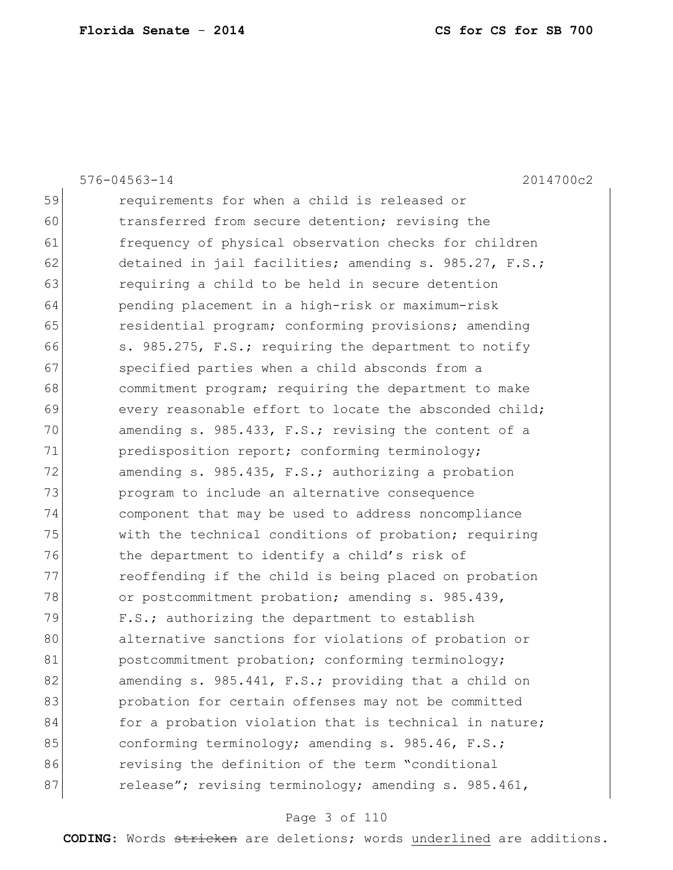|    | 2014700c2<br>$576 - 04563 - 14$                        |
|----|--------------------------------------------------------|
| 59 | requirements for when a child is released or           |
| 60 | transferred from secure detention; revising the        |
| 61 | frequency of physical observation checks for children  |
| 62 | detained in jail facilities; amending s. 985.27, F.S.; |
| 63 | requiring a child to be held in secure detention       |
| 64 | pending placement in a high-risk or maximum-risk       |
| 65 | residential program; conforming provisions; amending   |
| 66 | s. 985.275, F.S.; requiring the department to notify   |
| 67 | specified parties when a child absconds from a         |
| 68 | commitment program; requiring the department to make   |
| 69 | every reasonable effort to locate the absconded child; |
| 70 | amending s. 985.433, F.S.; revising the content of a   |
| 71 | predisposition report; conforming terminology;         |
| 72 | amending s. 985.435, F.S.; authorizing a probation     |
| 73 | program to include an alternative consequence          |
| 74 | component that may be used to address noncompliance    |
| 75 | with the technical conditions of probation; requiring  |
| 76 | the department to identify a child's risk of           |
| 77 | reoffending if the child is being placed on probation  |
| 78 | or postcommitment probation; amending s. 985.439,      |
| 79 | F.S.; authorizing the department to establish          |
| 80 | alternative sanctions for violations of probation or   |
| 81 | postcommitment probation; conforming terminology;      |
| 82 | amending s. 985.441, F.S.; providing that a child on   |
| 83 | probation for certain offenses may not be committed    |
| 84 | for a probation violation that is technical in nature; |
| 85 | conforming terminology; amending s. 985.46, F.S.;      |
| 86 | revising the definition of the term "conditional       |
| 87 | release"; revising terminology; amending s. 985.461,   |
|    |                                                        |

# Page 3 of 110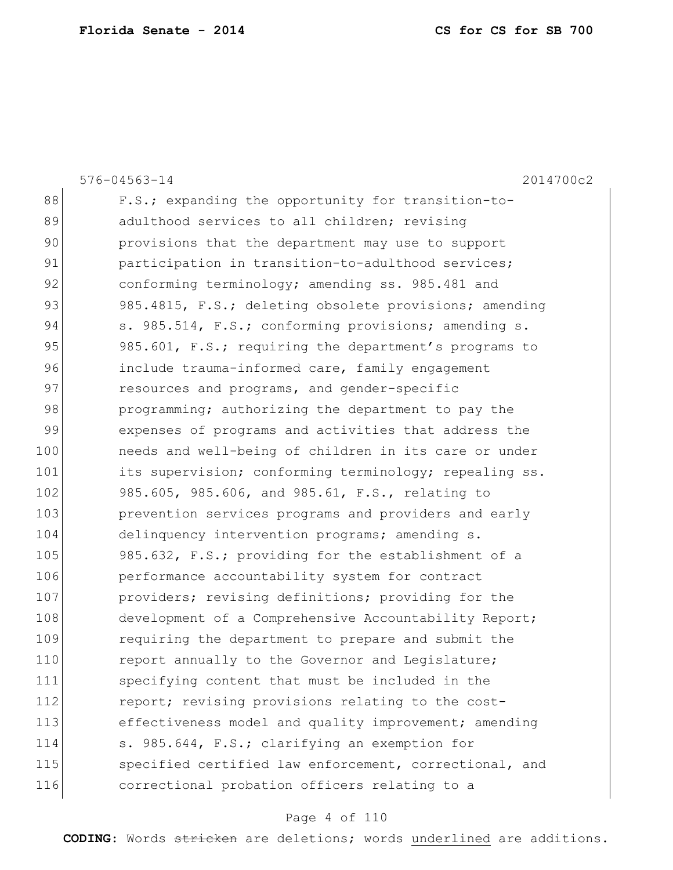|     | 2014700c2<br>$576 - 04563 - 14$                        |
|-----|--------------------------------------------------------|
| 88  | F.S.; expanding the opportunity for transition-to-     |
| 89  | adulthood services to all children; revising           |
| 90  | provisions that the department may use to support      |
| 91  | participation in transition-to-adulthood services;     |
| 92  | conforming terminology; amending ss. 985.481 and       |
| 93  | 985.4815, F.S.; deleting obsolete provisions; amending |
| 94  | s. 985.514, F.S.; conforming provisions; amending s.   |
| 95  | 985.601, F.S.; requiring the department's programs to  |
| 96  | include trauma-informed care, family engagement        |
| 97  | resources and programs, and gender-specific            |
| 98  | programming; authorizing the department to pay the     |
| 99  | expenses of programs and activities that address the   |
| 100 | needs and well-being of children in its care or under  |
| 101 | its supervision; conforming terminology; repealing ss. |
| 102 | 985.605, 985.606, and 985.61, F.S., relating to        |
| 103 | prevention services programs and providers and early   |
| 104 | delinquency intervention programs; amending s.         |
| 105 | 985.632, F.S.; providing for the establishment of a    |
| 106 | performance accountability system for contract         |
| 107 | providers; revising definitions; providing for the     |
| 108 | development of a Comprehensive Accountability Report;  |
| 109 | requiring the department to prepare and submit the     |
| 110 | report annually to the Governor and Legislature;       |
| 111 | specifying content that must be included in the        |
| 112 | report; revising provisions relating to the cost-      |
| 113 | effectiveness model and quality improvement; amending  |
| 114 | s. 985.644, F.S.; clarifying an exemption for          |
| 115 | specified certified law enforcement, correctional, and |
| 116 | correctional probation officers relating to a          |
|     |                                                        |

# Page 4 of 110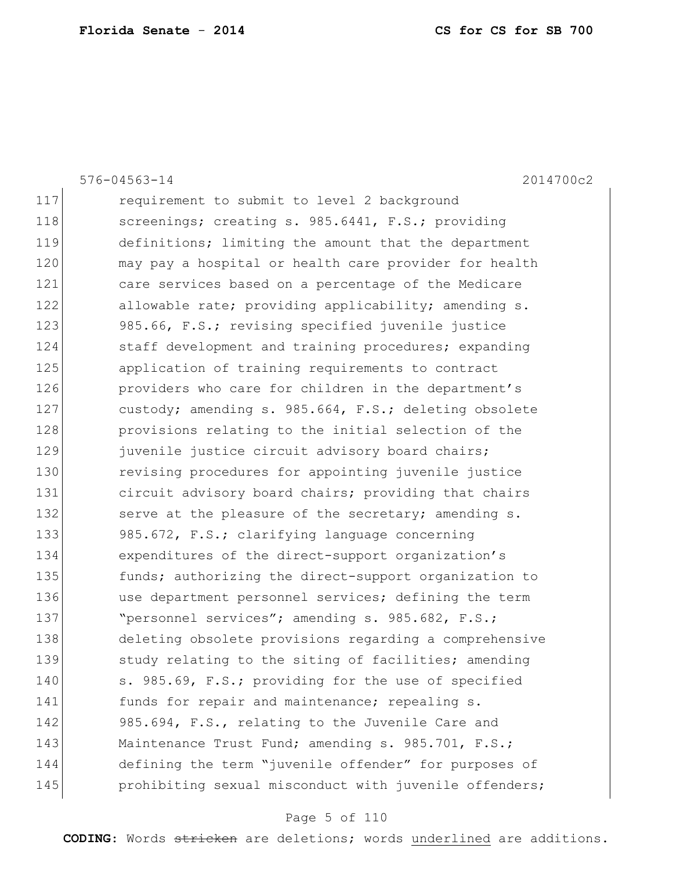|     | $576 - 04563 - 14$<br>2014700c2                        |
|-----|--------------------------------------------------------|
| 117 | requirement to submit to level 2 background            |
| 118 | screenings; creating s. 985.6441, F.S.; providing      |
| 119 | definitions; limiting the amount that the department   |
| 120 | may pay a hospital or health care provider for health  |
| 121 | care services based on a percentage of the Medicare    |
| 122 | allowable rate; providing applicability; amending s.   |
| 123 | 985.66, F.S.; revising specified juvenile justice      |
| 124 | staff development and training procedures; expanding   |
| 125 | application of training requirements to contract       |
| 126 | providers who care for children in the department's    |
| 127 | custody; amending s. 985.664, F.S.; deleting obsolete  |
| 128 | provisions relating to the initial selection of the    |
| 129 | juvenile justice circuit advisory board chairs;        |
| 130 | revising procedures for appointing juvenile justice    |
| 131 | circuit advisory board chairs; providing that chairs   |
| 132 | serve at the pleasure of the secretary; amending s.    |
| 133 | 985.672, F.S.; clarifying language concerning          |
| 134 | expenditures of the direct-support organization's      |
| 135 | funds; authorizing the direct-support organization to  |
| 136 | use department personnel services; defining the term   |
| 137 | "personnel services"; amending s. 985.682, F.S.;       |
| 138 | deleting obsolete provisions regarding a comprehensive |
| 139 | study relating to the siting of facilities; amending   |
| 140 | s. 985.69, F.S.; providing for the use of specified    |
| 141 | funds for repair and maintenance; repealing s.         |
| 142 | 985.694, F.S., relating to the Juvenile Care and       |
| 143 | Maintenance Trust Fund; amending s. 985.701, F.S.;     |
| 144 | defining the term "juvenile offender" for purposes of  |
| 145 | prohibiting sexual misconduct with juvenile offenders; |
|     |                                                        |

# Page 5 of 110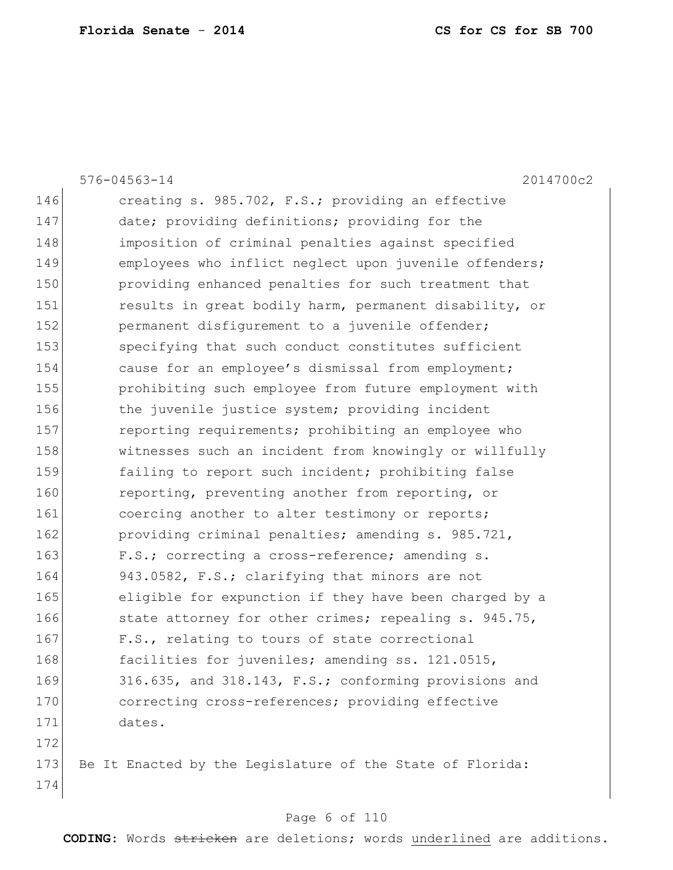|     | 2014700c2<br>$576 - 04563 - 14$                           |
|-----|-----------------------------------------------------------|
| 146 | creating s. 985.702, F.S.; providing an effective         |
| 147 | date; providing definitions; providing for the            |
| 148 | imposition of criminal penalties against specified        |
| 149 | employees who inflict neglect upon juvenile offenders;    |
| 150 | providing enhanced penalties for such treatment that      |
| 151 | results in great bodily harm, permanent disability, or    |
| 152 | permanent disfigurement to a juvenile offender;           |
| 153 | specifying that such conduct constitutes sufficient       |
| 154 | cause for an employee's dismissal from employment;        |
| 155 | prohibiting such employee from future employment with     |
| 156 | the juvenile justice system; providing incident           |
| 157 | reporting requirements; prohibiting an employee who       |
| 158 | witnesses such an incident from knowingly or willfully    |
| 159 | failing to report such incident; prohibiting false        |
| 160 | reporting, preventing another from reporting, or          |
| 161 | coercing another to alter testimony or reports;           |
| 162 | providing criminal penalties; amending s. 985.721,        |
| 163 | F.S.; correcting a cross-reference; amending s.           |
| 164 | 943.0582, F.S.; clarifying that minors are not            |
| 165 | eligible for expunction if they have been charged by a    |
| 166 | state attorney for other crimes; repealing s. 945.75,     |
| 167 | F.S., relating to tours of state correctional             |
| 168 | facilities for juveniles; amending ss. 121.0515,          |
| 169 | 316.635, and 318.143, F.S.; conforming provisions and     |
| 170 | correcting cross-references; providing effective          |
| 171 | dates.                                                    |
| 172 |                                                           |
| 173 | Be It Enacted by the Legislature of the State of Florida: |
| 174 |                                                           |

# Page 6 of 110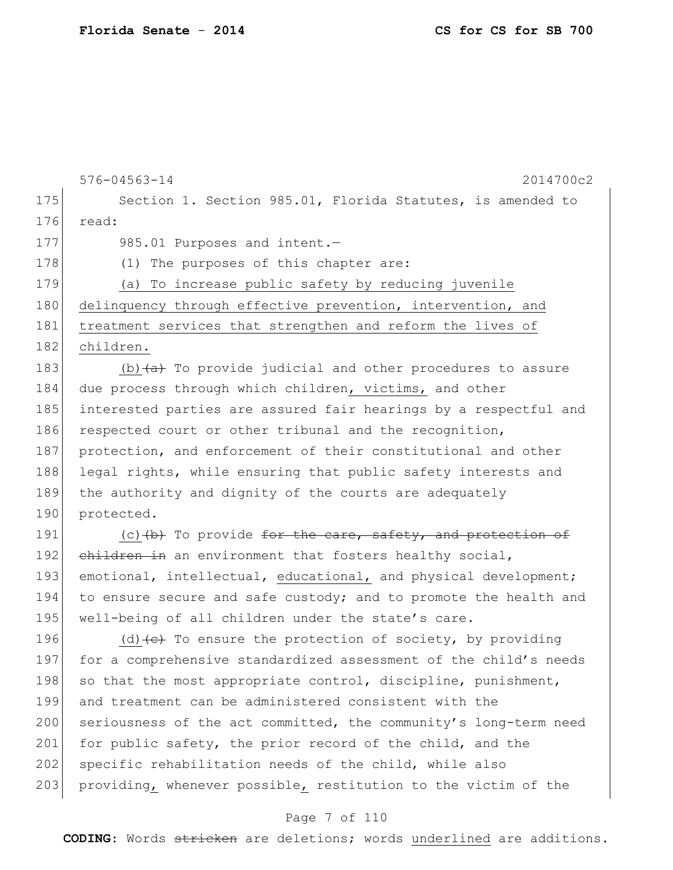```
576-04563-14 2014700c2
175 Section 1. Section 985.01, Florida Statutes, is amended to
176 read:
177 985.01 Purposes and intent.
178 (1) The purposes of this chapter are:
179 (a) To increase public safety by reducing juvenile 
180 delinquency through effective prevention, intervention, and
181 treatment services that strengthen and reform the lives of
182 children.
183 (b) (a + b) To provide judicial and other procedures to assure
184 due process through which children, victims, and other
185 interested parties are assured fair hearings by a respectful and 
186 respected court or other tribunal and the recognition,
187 protection, and enforcement of their constitutional and other
188 legal rights, while ensuring that public safety interests and
189 the authority and dignity of the courts are adequately 
190 protected.
191 (c) (c) (b) To provide for the care, safety, and protection of
192 children in an environment that fosters healthy social,
193 emotional, intellectual, educational, and physical development;
194 to ensure secure and safe custody; and to promote the health and
195 well-being of all children under the state's care.
196 (d) \left\{ \left\{ e\right\} \right\} To ensure the protection of society, by providing
197 for a comprehensive standardized assessment of the child's needs
198 so that the most appropriate control, discipline, punishment,
199 and treatment can be administered consistent with the 
200 seriousness of the act committed, the community's long-term need
```
201 for public safety, the prior record of the child, and the 202 specific rehabilitation needs of the child, while also

## 203 providing, whenever possible, restitution to the victim of the

## Page 7 of 110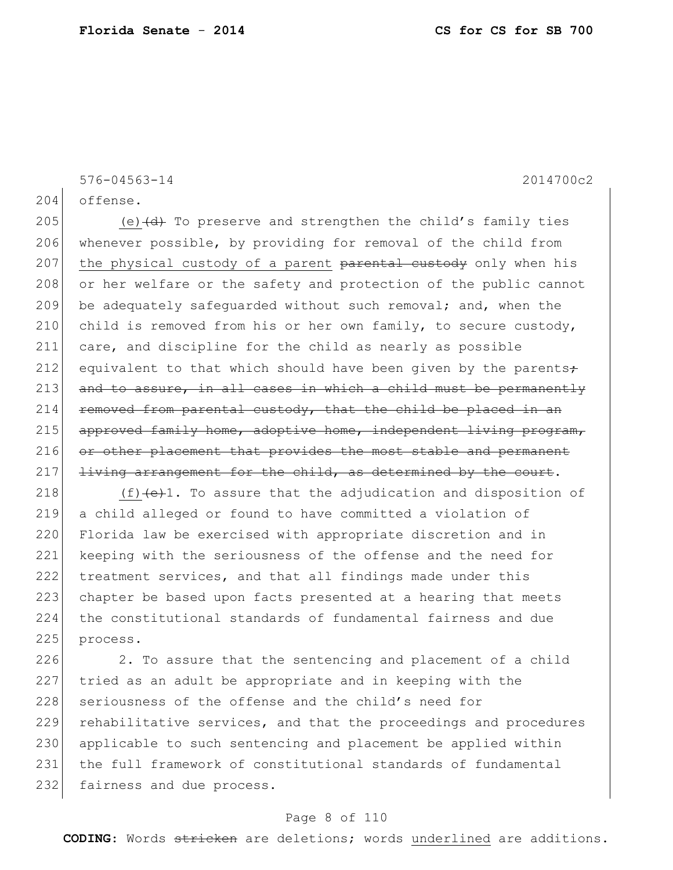576-04563-14 2014700c2

204 offense.

205 (e)  $\left(\frac{d}{dt}\right)$  To preserve and strengthen the child's family ties 206 whenever possible, by providing for removal of the child from 207 the physical custody of a parent parental custody only when his 208 or her welfare or the safety and protection of the public cannot 209 be adequately safeguarded without such removal; and, when the 210 child is removed from his or her own family, to secure custody, 211 care, and discipline for the child as nearly as possible 212 equivalent to that which should have been given by the parents $\div$  $213$  and to assure, in all cases in which a child must be permanently  $214$  removed from parental custody, that the child be placed in an  $215$  approved family home, adoptive home, independent living program, 216 or other placement that provides the most stable and permanent  $217$  living arrangement for the child, as determined by the court.

218  $(f)$   $(e)$ 1. To assure that the adjudication and disposition of 219 a child alleged or found to have committed a violation of 220 Florida law be exercised with appropriate discretion and in 221 keeping with the seriousness of the offense and the need for 222 treatment services, and that all findings made under this 223 chapter be based upon facts presented at a hearing that meets 224 the constitutional standards of fundamental fairness and due 225 process.

226 2. To assure that the sentencing and placement of a child 227 tried as an adult be appropriate and in keeping with the 228 seriousness of the offense and the child's need for 229 rehabilitative services, and that the proceedings and procedures 230 applicable to such sentencing and placement be applied within 231 the full framework of constitutional standards of fundamental 232 fairness and due process.

## Page 8 of 110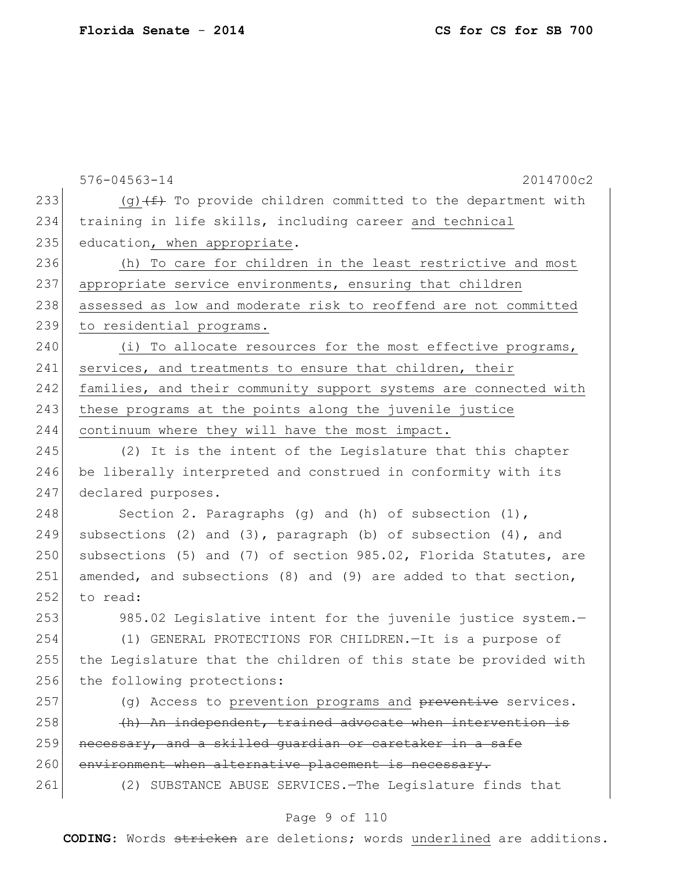576-04563-14 2014700c2 233 (g)  $(f)$  To provide children committed to the department with 234 training in life skills, including career and technical 235 education, when appropriate. 236 (h) To care for children in the least restrictive and most 237 appropriate service environments, ensuring that children 238 assessed as low and moderate risk to reoffend are not committed 239 to residential programs. 240 (i) To allocate resources for the most effective programs, 241 services, and treatments to ensure that children, their 242 families, and their community support systems are connected with 243 these programs at the points along the juvenile justice 244 continuum where they will have the most impact. 245 (2) It is the intent of the Legislature that this chapter 246 be liberally interpreted and construed in conformity with its 247 declared purposes. 248 Section 2. Paragraphs (g) and (h) of subsection (1), 249 subsections (2) and (3), paragraph (b) of subsection  $(4)$ , and 250 subsections (5) and (7) of section 985.02, Florida Statutes, are 251 amended, and subsections (8) and (9) are added to that section,  $252$  to read: 253 985.02 Legislative intent for the juvenile justice system. 254 (1) GENERAL PROTECTIONS FOR CHILDREN.—It is a purpose of 255 the Legislature that the children of this state be provided with 256 the following protections: 257 (g) Access to prevention programs and preventive services.  $258$  (h) An independent, trained advocate when intervention is 259 necessary, and a skilled quardian or caretaker in a safe 260 environment when alternative placement is necessary. 261 (2) SUBSTANCE ABUSE SERVICES.—The Legislature finds that

### Page 9 of 110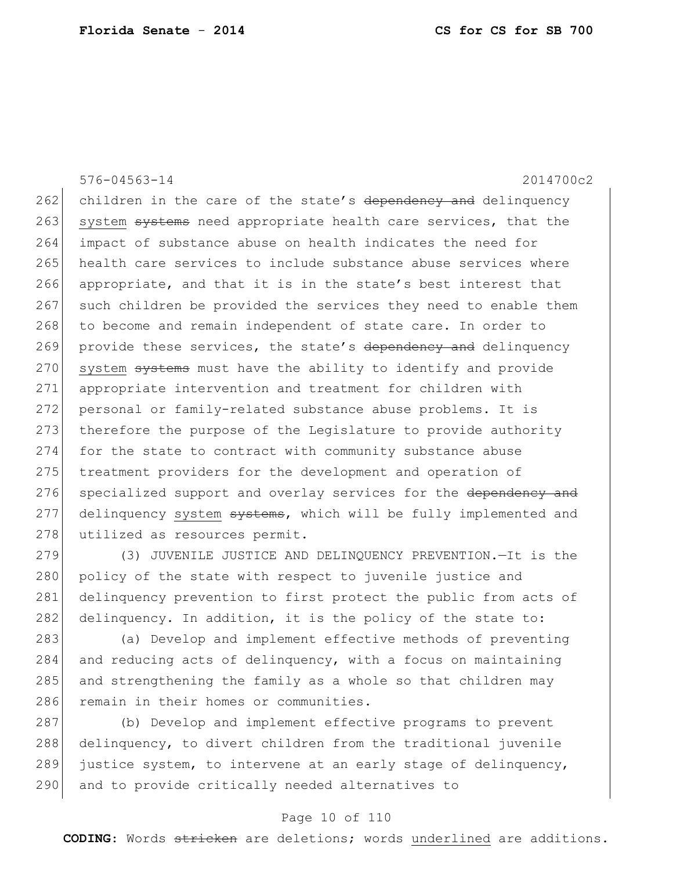576-04563-14 2014700c2 262 children in the care of the state's dependency and delinquency 263 system systems need appropriate health care services, that the 264 impact of substance abuse on health indicates the need for 265 health care services to include substance abuse services where 266 appropriate, and that it is in the state's best interest that 267 such children be provided the services they need to enable them 268 to become and remain independent of state care. In order to 269 provide these services, the state's dependency and delinquency 270 system systems must have the ability to identify and provide 271 appropriate intervention and treatment for children with 272 personal or family-related substance abuse problems. It is 273 therefore the purpose of the Legislature to provide authority 274 for the state to contract with community substance abuse 275 treatment providers for the development and operation of 276 specialized support and overlay services for the dependency and 277 delinquency system systems, which will be fully implemented and 278 utilized as resources permit.

279 (3) JUVENILE JUSTICE AND DELINQUENCY PREVENTION. - It is the 280 policy of the state with respect to juvenile justice and 281 delinquency prevention to first protect the public from acts of 282 delinquency. In addition, it is the policy of the state to:

283 (a) Develop and implement effective methods of preventing 284 and reducing acts of delinquency, with a focus on maintaining  $285$  and strengthening the family as a whole so that children may 286 remain in their homes or communities.

 (b) Develop and implement effective programs to prevent delinquency, to divert children from the traditional juvenile justice system, to intervene at an early stage of delinquency, 290 and to provide critically needed alternatives to

### Page 10 of 110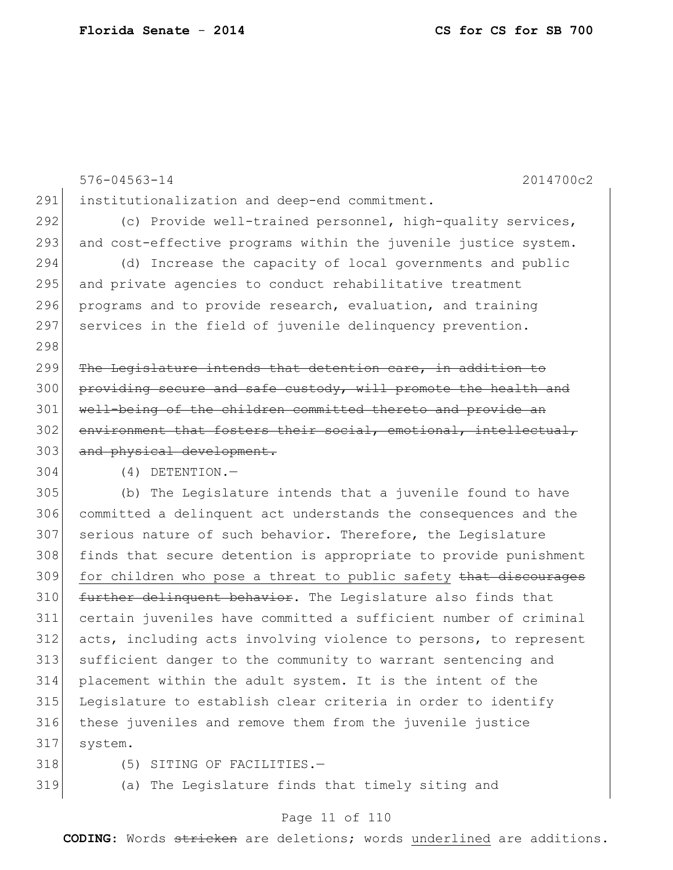|     | 2014700c2<br>$576 - 04563 - 14$                                  |
|-----|------------------------------------------------------------------|
| 291 | institutionalization and deep-end commitment.                    |
| 292 | (c) Provide well-trained personnel, high-quality services,       |
| 293 | and cost-effective programs within the juvenile justice system.  |
| 294 | (d) Increase the capacity of local governments and public        |
| 295 | and private agencies to conduct rehabilitative treatment         |
| 296 | programs and to provide research, evaluation, and training       |
| 297 | services in the field of juvenile delinquency prevention.        |
| 298 |                                                                  |
| 299 | The Legislature intends that detention care, in addition to      |
| 300 | providing secure and safe custody, will promote the health and   |
| 301 | well-being of the children committed thereto and provide an      |
| 302 | environment that fosters their social, emotional, intellectual,  |
| 303 | and physical development.                                        |
| 304 | $(4)$ DETENTION.-                                                |
| 305 | (b) The Legislature intends that a juvenile found to have        |
| 306 | committed a delinquent act understands the consequences and the  |
| 307 | serious nature of such behavior. Therefore, the Legislature      |
| 308 | finds that secure detention is appropriate to provide punishment |
| 309 | for children who pose a threat to public safety that discourages |
| 310 | further delinquent behavior. The Legislature also finds that     |
| 311 | certain juveniles have committed a sufficient number of criminal |
| 312 | acts, including acts involving violence to persons, to represent |
| 313 | sufficient danger to the community to warrant sentencing and     |
| 314 | placement within the adult system. It is the intent of the       |
| 315 | Legislature to establish clear criteria in order to identify     |
| 316 | these juveniles and remove them from the juvenile justice        |
| 317 | system.                                                          |
|     |                                                                  |

- 
- 

318 (5) SITING OF FACILITIES.-

319 (a) The Legislature finds that timely siting and

## Page 11 of 110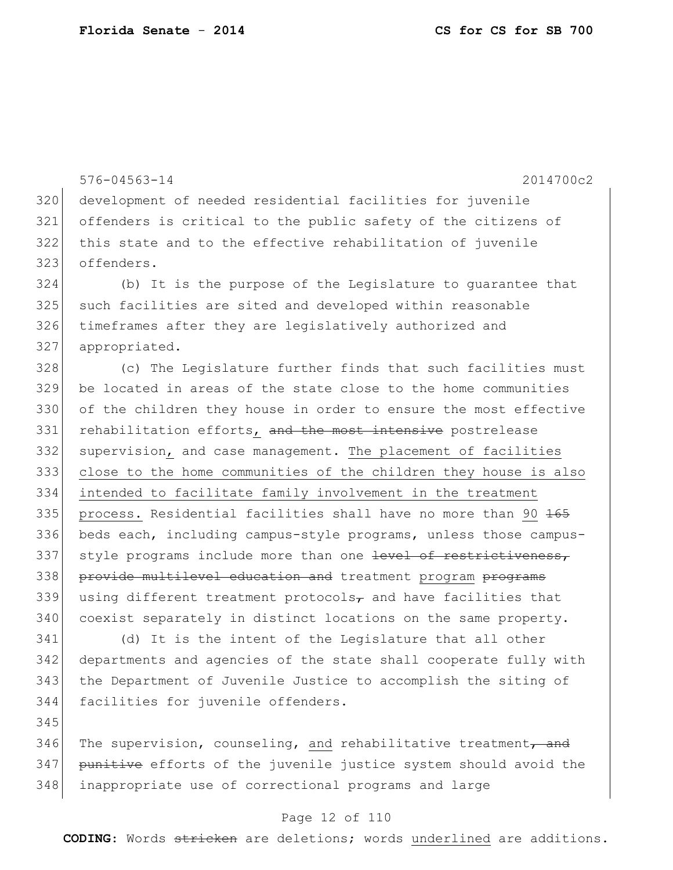576-04563-14 2014700c2 development of needed residential facilities for juvenile offenders is critical to the public safety of the citizens of this state and to the effective rehabilitation of juvenile offenders. (b) It is the purpose of the Legislature to guarantee that such facilities are sited and developed within reasonable 326 timeframes after they are legislatively authorized and appropriated. (c) The Legislature further finds that such facilities must be located in areas of the state close to the home communities of the children they house in order to ensure the most effective 331 rehabilitation efforts, and the most intensive postrelease supervision, and case management. The placement of facilities close to the home communities of the children they house is also intended to facilitate family involvement in the treatment 335 process. Residential facilities shall have no more than 90 165 beds each, including campus-style programs, unless those campus-337 style programs include more than one level of restrictiveness, 338 provide multilevel education and treatment program programs 339 using different treatment protocols<sub> $\tau$ </sub> and have facilities that coexist separately in distinct locations on the same property. (d) It is the intent of the Legislature that all other

 departments and agencies of the state shall cooperate fully with the Department of Juvenile Justice to accomplish the siting of facilities for juvenile offenders.

346 The supervision, counseling, and rehabilitative treatment, and 347 punitive efforts of the juvenile justice system should avoid the 348 | inappropriate use of correctional programs and large

### Page 12 of 110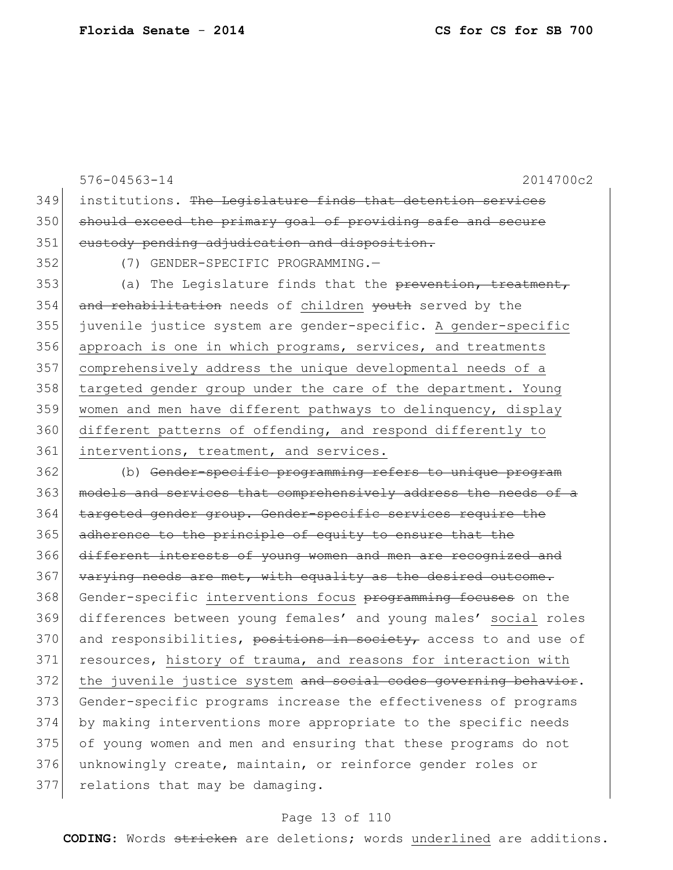576-04563-14 2014700c2 349 institutions. The Legislature finds that detention services 350 should exceed the primary goal of providing safe and secure 351 custody pending adjudication and disposition. 352 (7) GENDER-SPECIFIC PROGRAMMING.— 353 (a) The Legislature finds that the prevention, treatment, 354 and rehabilitation needs of children youth served by the 355 juvenile justice system are gender-specific. A gender-specific 356 approach is one in which programs, services, and treatments 357 comprehensively address the unique developmental needs of a 358 targeted gender group under the care of the department. Young 359 women and men have different pathways to delinquency, display 360 different patterns of offending, and respond differently to 361 interventions, treatment, and services. 362 (b) Gender-specific programming refers to unique program 363 models and services that comprehensively address the needs of a 364 targeted gender group. Gender-specific services require the 365 adherence to the principle of equity to ensure that the 366 different interests of young women and men are recognized and 367 varying needs are met, with equality as the desired outcome. 368 Gender-specific interventions focus programming focuses on the 369 differences between young females' and young males' social roles 370 and responsibilities, positions in society, access to and use of 371 resources, history of trauma, and reasons for interaction with 372 the juvenile justice system and social codes governing behavior.

373 Gender-specific programs increase the effectiveness of programs 374 by making interventions more appropriate to the specific needs 375 of young women and men and ensuring that these programs do not 376 unknowingly create, maintain, or reinforce gender roles or 377 relations that may be damaging.

### Page 13 of 110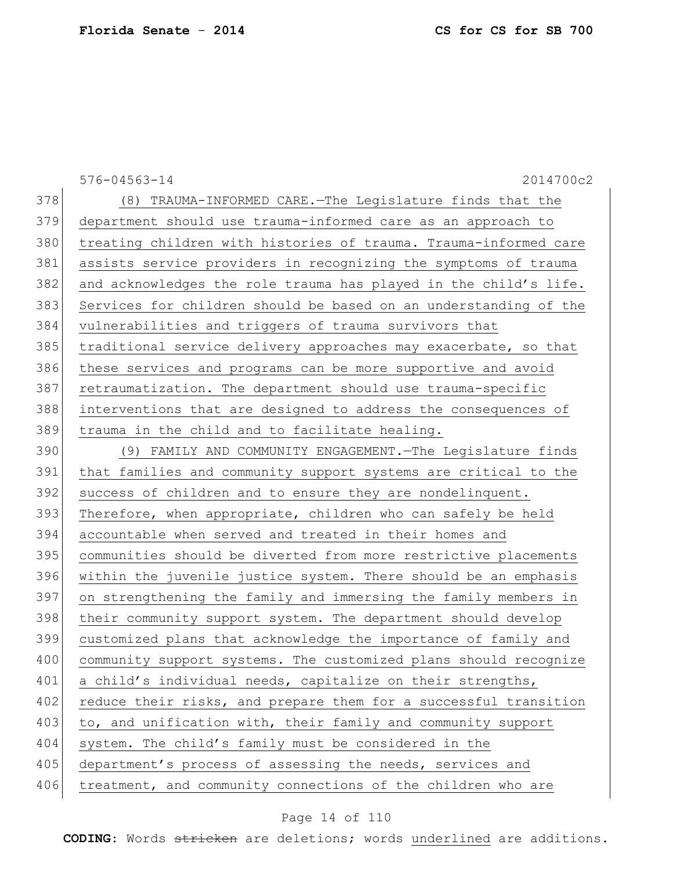|     | 2014700c2<br>$576 - 04563 - 14$                                  |
|-----|------------------------------------------------------------------|
| 378 | (8) TRAUMA-INFORMED CARE. The Legislature finds that the         |
| 379 | department should use trauma-informed care as an approach to     |
| 380 | treating children with histories of trauma. Trauma-informed care |
| 381 | assists service providers in recognizing the symptoms of trauma  |
| 382 | and acknowledges the role trauma has played in the child's life. |
| 383 | Services for children should be based on an understanding of the |
| 384 | vulnerabilities and triggers of trauma survivors that            |
| 385 | traditional service delivery approaches may exacerbate, so that  |
| 386 | these services and programs can be more supportive and avoid     |
| 387 | retraumatization. The department should use trauma-specific      |
| 388 | interventions that are designed to address the consequences of   |
| 389 | trauma in the child and to facilitate healing.                   |
| 390 | (9) FAMILY AND COMMUNITY ENGAGEMENT. The Legislature finds       |
| 391 | that families and community support systems are critical to the  |
| 392 | success of children and to ensure they are nondelinquent.        |
| 393 | Therefore, when appropriate, children who can safely be held     |
| 394 | accountable when served and treated in their homes and           |
| 395 | communities should be diverted from more restrictive placements  |
| 396 | within the juvenile justice system. There should be an emphasis  |
| 397 | on strengthening the family and immersing the family members in  |
| 398 | their community support system. The department should develop    |
| 399 | customized plans that acknowledge the importance of family and   |
| 400 | community support systems. The customized plans should recognize |
| 401 | a child's individual needs, capitalize on their strengths,       |
| 402 | reduce their risks, and prepare them for a successful transition |
| 403 | to, and unification with, their family and community support     |
| 404 | system. The child's family must be considered in the             |
| 405 | department's process of assessing the needs, services and        |
| 406 | treatment, and community connections of the children who are     |

# Page 14 of 110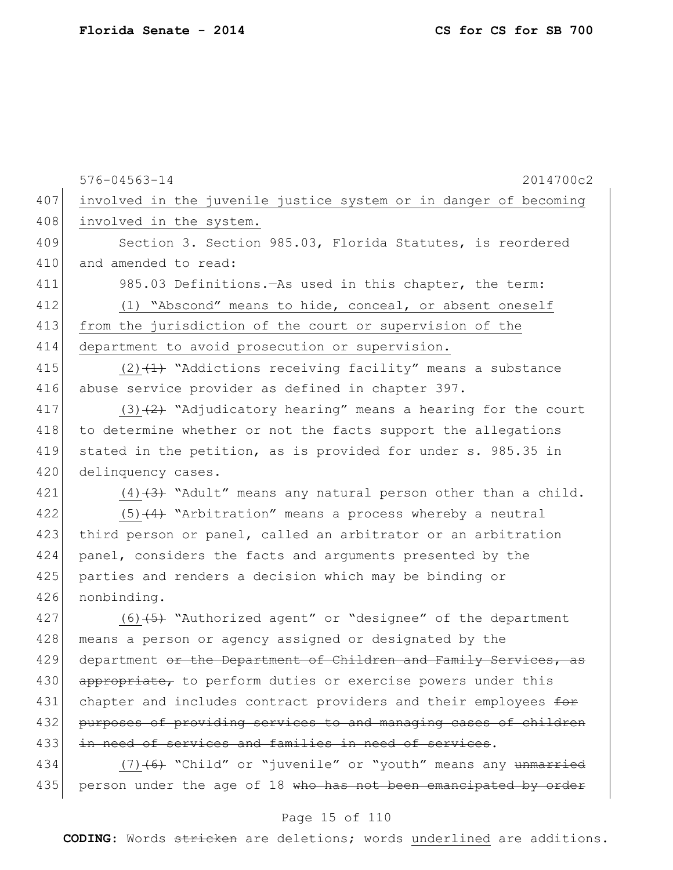| 407<br>408<br>involved in the system.<br>409<br>Section 3. Section 985.03, Florida Statutes, is reordered<br>410<br>and amended to read:<br>411<br>985.03 Definitions. As used in this chapter, the term:<br>412<br>(1) "Abscond" means to hide, conceal, or absent oneself<br>413<br>from the jurisdiction of the court or supervision of the<br>414<br>department to avoid prosecution or supervision.<br>415<br>$(2)$ $(1)$ "Addictions receiving facility" means a substance<br>416<br>abuse service provider as defined in chapter 397.<br>417<br>418<br>to determine whether or not the facts support the allegations<br>419<br>stated in the petition, as is provided for under s. 985.35 in<br>420<br>delinquency cases.<br>421<br>422<br>$(5)$ $(4)$ "Arbitration" means a process whereby a neutral<br>423<br>third person or panel, called an arbitrator or an arbitration<br>424<br>panel, considers the facts and arguments presented by the<br>425<br>parties and renders a decision which may be binding or<br>426<br>nonbinding.<br>427<br>$(6)$ $(5)$ "Authorized agent" or "designee" of the department<br>428<br>means a person or agency assigned or designated by the<br>department or the Department of Children and Family Services,<br>429<br>430<br>appropriate, to perform duties or exercise powers under this<br>431<br>chapter and includes contract providers and their employees for<br>432<br>433<br>in need of services and families in need of services.<br>434 |     | $576 - 04563 - 14$<br>2014700c2                                  |
|---------------------------------------------------------------------------------------------------------------------------------------------------------------------------------------------------------------------------------------------------------------------------------------------------------------------------------------------------------------------------------------------------------------------------------------------------------------------------------------------------------------------------------------------------------------------------------------------------------------------------------------------------------------------------------------------------------------------------------------------------------------------------------------------------------------------------------------------------------------------------------------------------------------------------------------------------------------------------------------------------------------------------------------------------------------------------------------------------------------------------------------------------------------------------------------------------------------------------------------------------------------------------------------------------------------------------------------------------------------------------------------------------------------------------------------------------------------------------------------------------|-----|------------------------------------------------------------------|
|                                                                                                                                                                                                                                                                                                                                                                                                                                                                                                                                                                                                                                                                                                                                                                                                                                                                                                                                                                                                                                                                                                                                                                                                                                                                                                                                                                                                                                                                                                   |     | involved in the juvenile justice system or in danger of becoming |
|                                                                                                                                                                                                                                                                                                                                                                                                                                                                                                                                                                                                                                                                                                                                                                                                                                                                                                                                                                                                                                                                                                                                                                                                                                                                                                                                                                                                                                                                                                   |     |                                                                  |
|                                                                                                                                                                                                                                                                                                                                                                                                                                                                                                                                                                                                                                                                                                                                                                                                                                                                                                                                                                                                                                                                                                                                                                                                                                                                                                                                                                                                                                                                                                   |     |                                                                  |
|                                                                                                                                                                                                                                                                                                                                                                                                                                                                                                                                                                                                                                                                                                                                                                                                                                                                                                                                                                                                                                                                                                                                                                                                                                                                                                                                                                                                                                                                                                   |     |                                                                  |
|                                                                                                                                                                                                                                                                                                                                                                                                                                                                                                                                                                                                                                                                                                                                                                                                                                                                                                                                                                                                                                                                                                                                                                                                                                                                                                                                                                                                                                                                                                   |     |                                                                  |
|                                                                                                                                                                                                                                                                                                                                                                                                                                                                                                                                                                                                                                                                                                                                                                                                                                                                                                                                                                                                                                                                                                                                                                                                                                                                                                                                                                                                                                                                                                   |     |                                                                  |
|                                                                                                                                                                                                                                                                                                                                                                                                                                                                                                                                                                                                                                                                                                                                                                                                                                                                                                                                                                                                                                                                                                                                                                                                                                                                                                                                                                                                                                                                                                   |     |                                                                  |
|                                                                                                                                                                                                                                                                                                                                                                                                                                                                                                                                                                                                                                                                                                                                                                                                                                                                                                                                                                                                                                                                                                                                                                                                                                                                                                                                                                                                                                                                                                   |     |                                                                  |
|                                                                                                                                                                                                                                                                                                                                                                                                                                                                                                                                                                                                                                                                                                                                                                                                                                                                                                                                                                                                                                                                                                                                                                                                                                                                                                                                                                                                                                                                                                   |     |                                                                  |
|                                                                                                                                                                                                                                                                                                                                                                                                                                                                                                                                                                                                                                                                                                                                                                                                                                                                                                                                                                                                                                                                                                                                                                                                                                                                                                                                                                                                                                                                                                   |     |                                                                  |
|                                                                                                                                                                                                                                                                                                                                                                                                                                                                                                                                                                                                                                                                                                                                                                                                                                                                                                                                                                                                                                                                                                                                                                                                                                                                                                                                                                                                                                                                                                   |     | $(3)$ $(2)$ "Adjudicatory hearing" means a hearing for the court |
|                                                                                                                                                                                                                                                                                                                                                                                                                                                                                                                                                                                                                                                                                                                                                                                                                                                                                                                                                                                                                                                                                                                                                                                                                                                                                                                                                                                                                                                                                                   |     |                                                                  |
|                                                                                                                                                                                                                                                                                                                                                                                                                                                                                                                                                                                                                                                                                                                                                                                                                                                                                                                                                                                                                                                                                                                                                                                                                                                                                                                                                                                                                                                                                                   |     |                                                                  |
|                                                                                                                                                                                                                                                                                                                                                                                                                                                                                                                                                                                                                                                                                                                                                                                                                                                                                                                                                                                                                                                                                                                                                                                                                                                                                                                                                                                                                                                                                                   |     |                                                                  |
|                                                                                                                                                                                                                                                                                                                                                                                                                                                                                                                                                                                                                                                                                                                                                                                                                                                                                                                                                                                                                                                                                                                                                                                                                                                                                                                                                                                                                                                                                                   |     | $(4)$ $(3)$ "Adult" means any natural person other than a child. |
|                                                                                                                                                                                                                                                                                                                                                                                                                                                                                                                                                                                                                                                                                                                                                                                                                                                                                                                                                                                                                                                                                                                                                                                                                                                                                                                                                                                                                                                                                                   |     |                                                                  |
|                                                                                                                                                                                                                                                                                                                                                                                                                                                                                                                                                                                                                                                                                                                                                                                                                                                                                                                                                                                                                                                                                                                                                                                                                                                                                                                                                                                                                                                                                                   |     |                                                                  |
|                                                                                                                                                                                                                                                                                                                                                                                                                                                                                                                                                                                                                                                                                                                                                                                                                                                                                                                                                                                                                                                                                                                                                                                                                                                                                                                                                                                                                                                                                                   |     |                                                                  |
|                                                                                                                                                                                                                                                                                                                                                                                                                                                                                                                                                                                                                                                                                                                                                                                                                                                                                                                                                                                                                                                                                                                                                                                                                                                                                                                                                                                                                                                                                                   |     |                                                                  |
|                                                                                                                                                                                                                                                                                                                                                                                                                                                                                                                                                                                                                                                                                                                                                                                                                                                                                                                                                                                                                                                                                                                                                                                                                                                                                                                                                                                                                                                                                                   |     |                                                                  |
|                                                                                                                                                                                                                                                                                                                                                                                                                                                                                                                                                                                                                                                                                                                                                                                                                                                                                                                                                                                                                                                                                                                                                                                                                                                                                                                                                                                                                                                                                                   |     |                                                                  |
|                                                                                                                                                                                                                                                                                                                                                                                                                                                                                                                                                                                                                                                                                                                                                                                                                                                                                                                                                                                                                                                                                                                                                                                                                                                                                                                                                                                                                                                                                                   |     |                                                                  |
|                                                                                                                                                                                                                                                                                                                                                                                                                                                                                                                                                                                                                                                                                                                                                                                                                                                                                                                                                                                                                                                                                                                                                                                                                                                                                                                                                                                                                                                                                                   |     | -as                                                              |
|                                                                                                                                                                                                                                                                                                                                                                                                                                                                                                                                                                                                                                                                                                                                                                                                                                                                                                                                                                                                                                                                                                                                                                                                                                                                                                                                                                                                                                                                                                   |     |                                                                  |
|                                                                                                                                                                                                                                                                                                                                                                                                                                                                                                                                                                                                                                                                                                                                                                                                                                                                                                                                                                                                                                                                                                                                                                                                                                                                                                                                                                                                                                                                                                   |     |                                                                  |
|                                                                                                                                                                                                                                                                                                                                                                                                                                                                                                                                                                                                                                                                                                                                                                                                                                                                                                                                                                                                                                                                                                                                                                                                                                                                                                                                                                                                                                                                                                   |     | purposes of providing services to and managing cases of children |
|                                                                                                                                                                                                                                                                                                                                                                                                                                                                                                                                                                                                                                                                                                                                                                                                                                                                                                                                                                                                                                                                                                                                                                                                                                                                                                                                                                                                                                                                                                   |     |                                                                  |
|                                                                                                                                                                                                                                                                                                                                                                                                                                                                                                                                                                                                                                                                                                                                                                                                                                                                                                                                                                                                                                                                                                                                                                                                                                                                                                                                                                                                                                                                                                   |     | $(7)$ +6+ "Child" or "juvenile" or "youth" means any unmarried   |
|                                                                                                                                                                                                                                                                                                                                                                                                                                                                                                                                                                                                                                                                                                                                                                                                                                                                                                                                                                                                                                                                                                                                                                                                                                                                                                                                                                                                                                                                                                   | 435 | person under the age of 18 who has not been emancipated by order |

# Page 15 of 110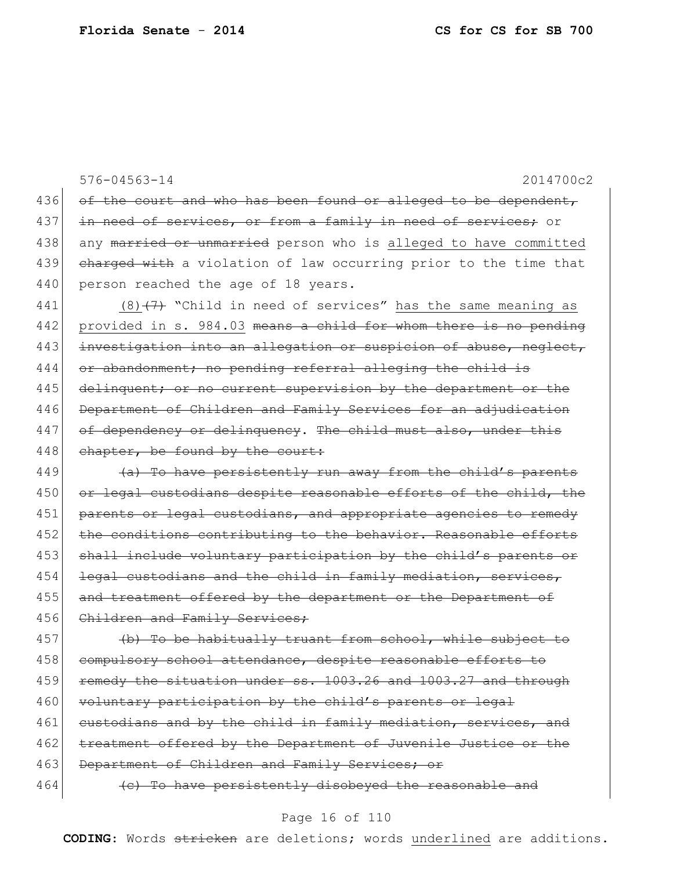576-04563-14 2014700c2 436 of the court and who has been found or alleged to be dependent, 437 in need of services, or from a family in need of services; or 438 any married or unmarried person who is alleged to have committed 439 charged with a violation of law occurring prior to the time that 440 person reached the age of 18 years. 441 (8)  $(7)$  "Child in need of services" has the same meaning as 442 provided in s. 984.03 means a child for whom there is no pending 443 investigation into an allegation or suspicion of abuse, neglect, 444 or abandonment; no pending referral alleging the child is 445 delinquent; or no current supervision by the department or the 446 Department of Children and Family Services for an adjudication 447 of dependency or delinquency. The child must also, under this 448 chapter, be found by the court: 449 (a) To have persistently run away from the child's parents 450 or legal custodians despite reasonable efforts of the child, the 451 parents or legal custodians, and appropriate agencies to remedy 452 the conditions contributing to the behavior. Reasonable efforts 453 shall include voluntary participation by the child's parents or  $454$  legal custodians and the child in family mediation, services, 455 and treatment offered by the department or the Department of 456 Children and Family Services; 457 (b) To be habitually truant from school, while subject to 458 compulsory school attendance, despite reasonable efforts to 459 remedy the situation under ss. 1003.26 and 1003.27 and through 460 voluntary participation by the child's parents or legal 461 custodians and by the child in family mediation, services, and

462 treatment offered by the Department of Juvenile Justice or the 463 Department of Children and Family Services; or

 $464$  (c) To have persistently disobeyed the reasonable and

## Page 16 of 110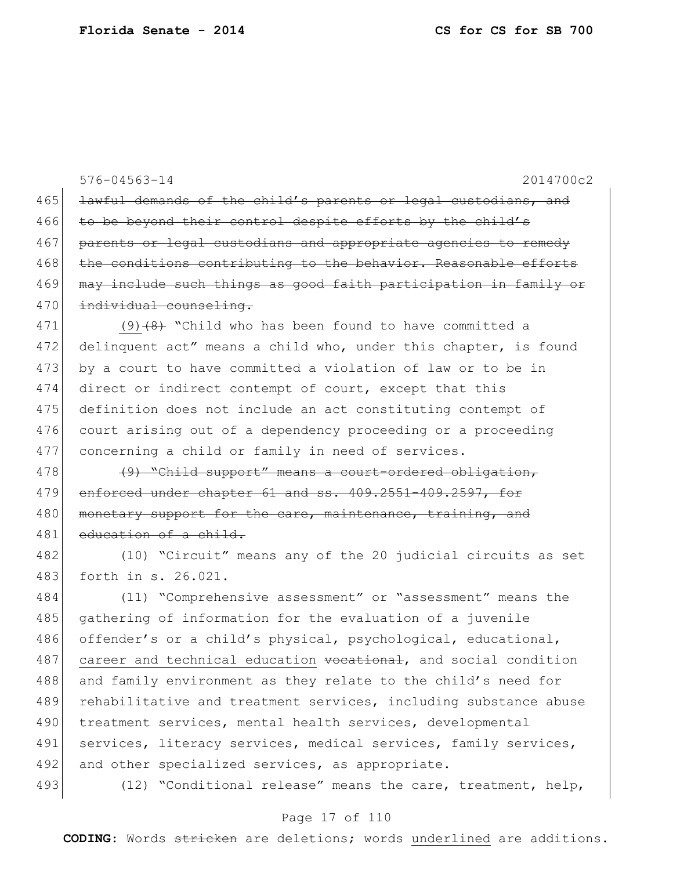|     | $576 - 04563 - 14$<br>2014700c2                                  |
|-----|------------------------------------------------------------------|
| 465 | lawful demands of the child's parents or legal custodians, and   |
| 466 | to be beyond their control despite efforts by the child's        |
| 467 | parents or legal custodians and appropriate agencies to remedy   |
| 468 | the conditions contributing to the behavior. Reasonable efforts  |
| 469 | may include such things as good faith participation in family or |
| 470 | individual counseling.                                           |
| 471 | $(9)$ $(8)$ "Child who has been found to have committed a        |
| 472 | delinquent act" means a child who, under this chapter, is found  |
| 473 | by a court to have committed a violation of law or to be in      |
| 474 | direct or indirect contempt of court, except that this           |
| 475 | definition does not include an act constituting contempt of      |
| 476 | court arising out of a dependency proceeding or a proceeding     |
| 477 | concerning a child or family in need of services.                |
| 478 | (9) "Child support" means a court-ordered obligation,            |
| 479 | enforced under chapter 61 and ss. 409.2551-409.2597, for         |
| 480 | monetary support for the care, maintenance, training, and        |
| 481 | education of a child.                                            |
| 482 | (10) "Circuit" means any of the 20 judicial circuits as set      |
| 483 | forth in s. 26.021.                                              |
| 484 | (11) "Comprehensive assessment" or "assessment" means the        |
| 485 | gathering of information for the evaluation of a juvenile        |
| 486 | offender's or a child's physical, psychological, educational,    |
| 487 | career and technical education vocational, and social condition  |
| 488 | and family environment as they relate to the child's need for    |
| 489 | rehabilitative and treatment services, including substance abuse |
| 490 | treatment services, mental health services, developmental        |
| 491 | services, literacy services, medical services, family services,  |
| 492 | and other specialized services, as appropriate.                  |
| 493 | (12) "Conditional release" means the care, treatment, help,      |

# Page 17 of 110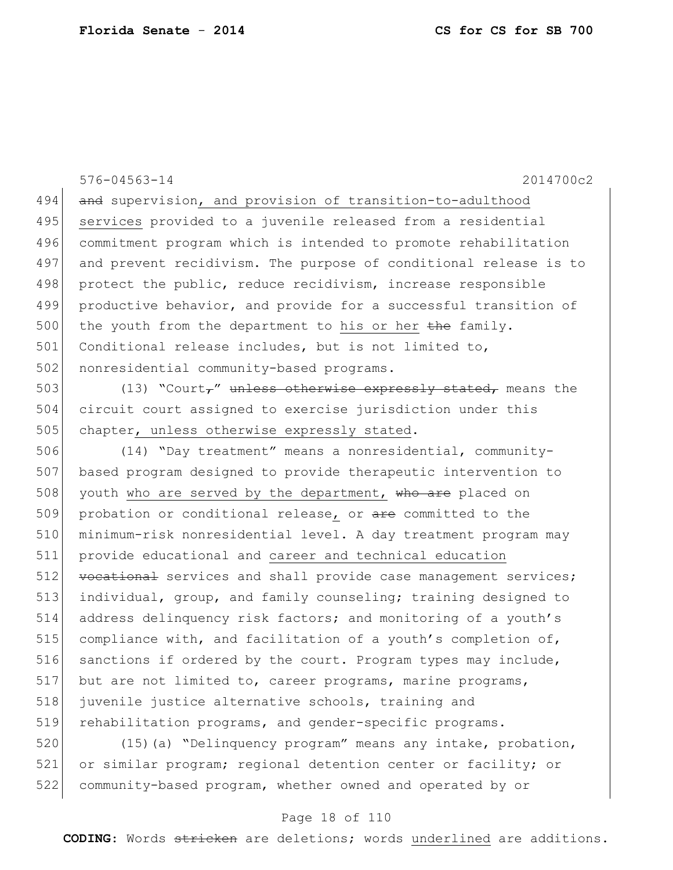576-04563-14 2014700c2 494 and supervision, and provision of transition-to-adulthood 495 services provided to a juvenile released from a residential 496 commitment program which is intended to promote rehabilitation 497 and prevent recidivism. The purpose of conditional release is to 498 protect the public, reduce recidivism, increase responsible 499 productive behavior, and provide for a successful transition of 500 the youth from the department to his or her the family. 501 Conditional release includes, but is not limited to, 502 nonresidential community-based programs. 503 (13) "Court," unless otherwise expressly stated, means the 504 circuit court assigned to exercise jurisdiction under this 505 chapter, unless otherwise expressly stated. 506 (14) "Day treatment" means a nonresidential, community-507 based program designed to provide therapeutic intervention to 508 youth who are served by the department, who are placed on 509 probation or conditional release, or are committed to the 510 minimum-risk nonresidential level. A day treatment program may 511 provide educational and career and technical education 512 vocational services and shall provide case management services; 513 individual, group, and family counseling; training designed to 514 address delinquency risk factors; and monitoring of a youth's 515 compliance with, and facilitation of a youth's completion of, 516 sanctions if ordered by the court. Program types may include, 517 but are not limited to, career programs, marine programs, 518 juvenile justice alternative schools, training and 519 rehabilitation programs, and gender-specific programs. 520 (15)(a) "Delinquency program" means any intake, probation,

521 or similar program; regional detention center or facility; or 522 community-based program, whether owned and operated by or

### Page 18 of 110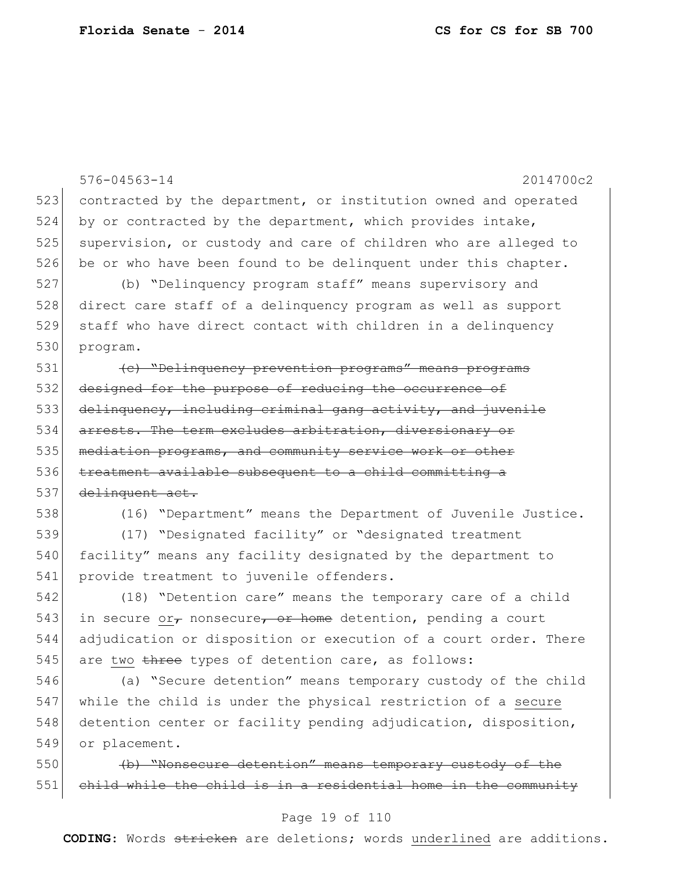576-04563-14 2014700c2 523 contracted by the department, or institution owned and operated 524 by or contracted by the department, which provides intake, 525 supervision, or custody and care of children who are alleged to 526 be or who have been found to be delinquent under this chapter. 527 (b) "Delinquency program staff" means supervisory and 528 direct care staff of a delinquency program as well as support 529 staff who have direct contact with children in a delinquency 530 program. 531 (c) "Delinquency prevention programs" means programs 532 designed for the purpose of reducing the occurrence of 533 delinquency, including criminal gang activity, and juvenile 534 arrests. The term excludes arbitration, diversionary or 535 | mediation programs, and community service work or other 536 treatment available subsequent to a child committing a 537 delinquent act. 538 (16) "Department" means the Department of Juvenile Justice. 539 (17) "Designated facility" or "designated treatment 540 facility" means any facility designated by the department to 541 provide treatment to juvenile offenders. 542 (18) "Detention care" means the temporary care of a child 543 in secure or, nonsecure, or home detention, pending a court 544 adjudication or disposition or execution of a court order. There 545 are two three types of detention care, as follows: 546 (a) "Secure detention" means temporary custody of the child 547 while the child is under the physical restriction of a secure 548 detention center or facility pending adjudication, disposition, 549 or placement. 550 (b) "Nonsecure detention" means temporary custody of the 551 child while the child is in a residential home in the community

### Page 19 of 110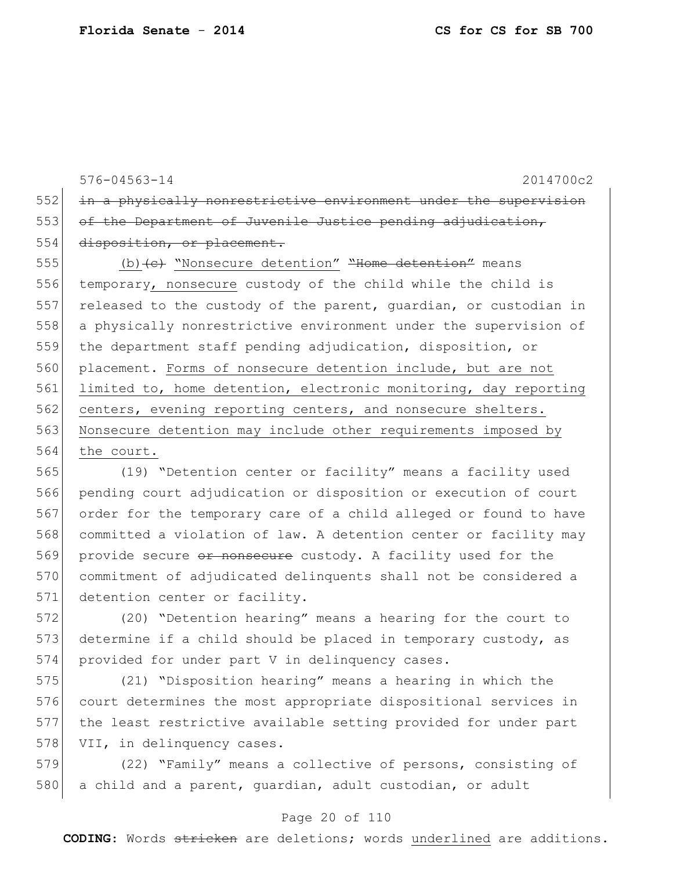576-04563-14 2014700c2 552 in a physically nonrestrictive environment under the supervision 553 of the Department of Juvenile Justice pending adjudication, 554 disposition, or placement. 555 (b)<del>(c)</del> "Nonsecure detention" "Home detention" means 556 temporary, nonsecure custody of the child while the child is 557 released to the custody of the parent, quardian, or custodian in 558 a physically nonrestrictive environment under the supervision of 559 the department staff pending adjudication, disposition, or 560 placement. Forms of nonsecure detention include, but are not 561 limited to, home detention, electronic monitoring, day reporting 562 centers, evening reporting centers, and nonsecure shelters. 563 Nonsecure detention may include other requirements imposed by 564 the court. 565 (19) "Detention center or facility" means a facility used

566 pending court adjudication or disposition or execution of court 567 order for the temporary care of a child alleged or found to have 568 committed a violation of law. A detention center or facility may 569 provide secure or nonsecure custody. A facility used for the 570 commitment of adjudicated delinquents shall not be considered a 571 detention center or facility.

572 (20) "Detention hearing" means a hearing for the court to 573 determine if a child should be placed in temporary custody, as 574 provided for under part  $V$  in delinquency cases.

 (21) "Disposition hearing" means a hearing in which the court determines the most appropriate dispositional services in the least restrictive available setting provided for under part 578 VII, in delinquency cases.

579 (22) "Family" means a collective of persons, consisting of 580 a child and a parent, quardian, adult custodian, or adult

## Page 20 of 110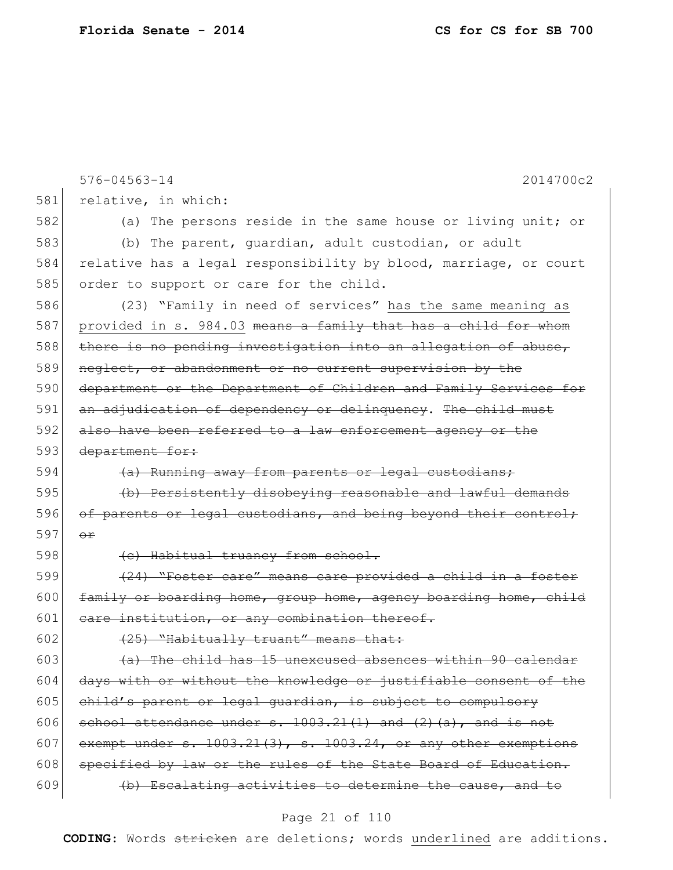|     | $576 - 04563 - 14$<br>2014700c2                                       |
|-----|-----------------------------------------------------------------------|
| 581 | relative, in which:                                                   |
| 582 | (a) The persons reside in the same house or living unit; or           |
| 583 | (b) The parent, quardian, adult custodian, or adult                   |
| 584 | relative has a legal responsibility by blood, marriage, or court      |
| 585 | order to support or care for the child.                               |
| 586 | (23) "Family in need of services" has the same meaning as             |
| 587 | provided in s. 984.03 means a family that has a child for whom        |
| 588 | there is no pending investigation into an allegation of abuse,        |
| 589 | neglect, or abandonment or no current supervision by the              |
| 590 | department or the Department of Children and Family Services for      |
| 591 | an adjudication of dependency or delinguency. The child must          |
| 592 | also have been referred to a law enforcement agency or the            |
| 593 | department for:                                                       |
| 594 | (a) Running away from parents or legal custodians;                    |
| 595 | (b) Persistently disobeying reasonable and lawful demands             |
| 596 | of parents or legal custodians, and being beyond their control;       |
| 597 | $\Theta$ $\mathbf{r}$                                                 |
| 598 | (e) Habitual truancy from school.                                     |
| 599 | (24) "Foster care" means care provided a child in a foster            |
| 600 | family or boarding home, group home, agency boarding home, child      |
| 601 | eare institution, or any combination thereof.                         |
| 602 | (25) "Habitually truant" means that:                                  |
| 603 | (a) The child has 15 unexcused absences within 90 calendar            |
| 604 | days with or without the knowledge or justifiable consent of the      |
| 605 | child's parent or legal guardian, is subject to compulsory            |
| 606 | school attendance under $s. 1003.21(1)$ and $(2)$ $(a)$ , and is not  |
| 607 | exempt under $s. 1003.21(3)$ , $s. 1003.24$ , or any other exemptions |
| 608 | specified by law or the rules of the State Board of Education.        |
| 609 | (b) Escalating activities to determine the cause, and to              |

# Page 21 of 110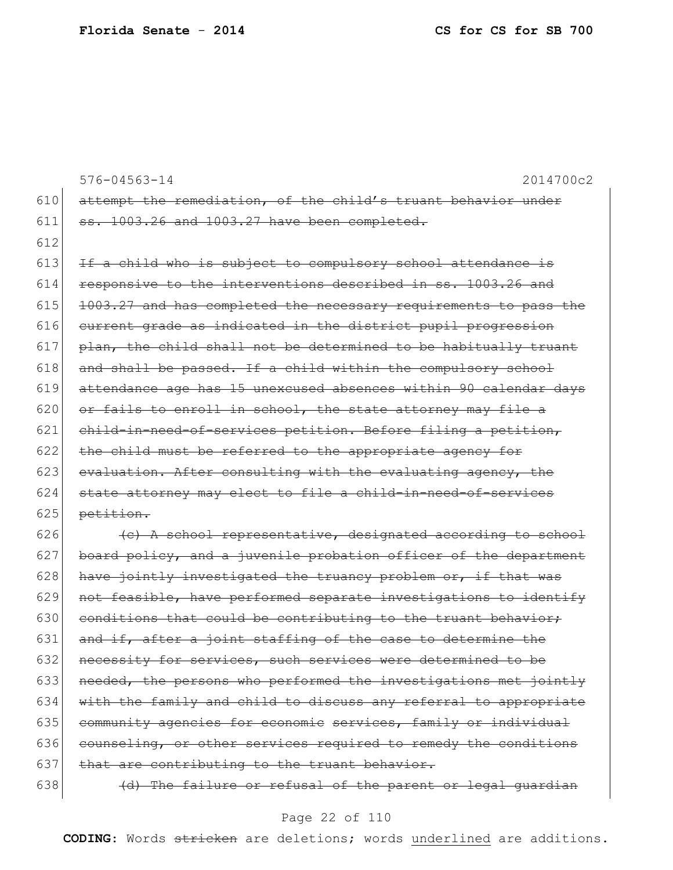|     | $576 - 04563 - 14$<br>2014700c2                                  |
|-----|------------------------------------------------------------------|
| 610 | attempt the remediation, of the child's truant behavior under    |
| 611 | ss. 1003.26 and 1003.27 have been completed.                     |
| 612 |                                                                  |
| 613 | If a child who is subject to compulsory school attendance is     |
| 614 | responsive to the interventions described in ss. 1003.26 and     |
| 615 | 1003.27 and has completed the necessary requirements to pass the |
| 616 | current grade as indicated in the district pupil progression     |
| 617 | plan, the child shall not be determined to be habitually truant  |
| 618 | and shall be passed. If a child within the compulsory school     |
| 619 | attendance age has 15 unexcused absences within 90 calendar days |
| 620 | or fails to enroll in school, the state attorney may file a      |
| 621 | child-in-need-of-services petition. Before filing a petition,    |
| 622 | the child must be referred to the appropriate agency for         |
| 623 | evaluation. After consulting with the evaluating agency, the     |
| 624 | state attorney may elect to file a child-in-need-of-services     |
| 625 | petition.                                                        |
| 626 | (c) A school representative, designated according to school      |
| 627 | board policy, and a juvenile probation officer of the department |
| 628 | have jointly investigated the truancy problem or, if that was    |
| 629 | not feasible, have performed separate investigations to identify |
| 630 | conditions that could be contributing to the truant behavior;    |
| 631 | and if, after a joint staffing of the case to determine the      |
| 632 | necessity for services, such services were determined to be      |
| 633 | needed, the persons who performed the investigations met jointly |
| 634 | with the family and child to discuss any referral to appropriate |
| 635 | community agencies for economic services, family or individual   |
| 636 | counseling, or other services required to remedy the conditions  |
| 637 | that are contributing to the truant behavior.                    |

638  $\left\{\n\begin{array}{ccc}\n\text{d} & \text{the failure or refusal of the parent or legal guardian}\n\end{array}\n\right\}$ 

## Page 22 of 110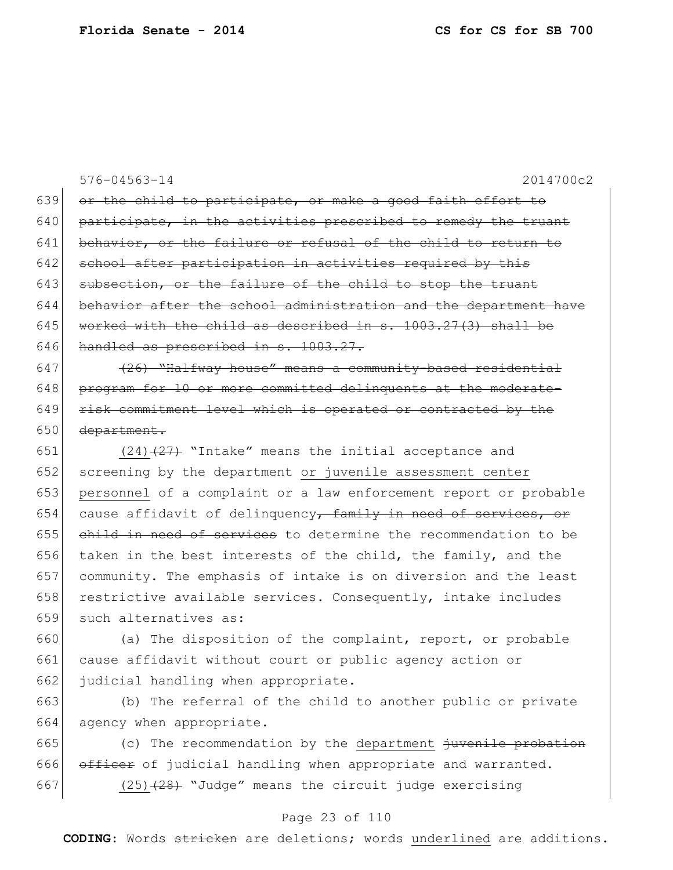576-04563-14 2014700c2 639 or the child to participate, or make a good faith effort to  $640$  participate, in the activities prescribed to remedy the truant 641 behavior, or the failure or refusal of the child to return to 642 school after participation in activities required by this 643 subsection, or the failure of the child to stop the truant  $644$  behavior after the school administration and the department have 645 worked with the child as described in s.  $1003.27(3)$  shall be 646 handled as prescribed in s. 1003.27. 647  $(26)$  "Halfway house" means a community-based residential 648 program for 10 or more committed delinquents at the moderate- $649$  risk commitment level which is operated or contracted by the 650 <del>department.</del> 651  $(24)$   $(27)$  "Intake" means the initial acceptance and 652 screening by the department or juvenile assessment center 653 personnel of a complaint or a law enforcement report or probable 654 cause affidavit of delinquency, family in need of services, or 655 child in need of services to determine the recommendation to be 656 taken in the best interests of the child, the family, and the 657 community. The emphasis of intake is on diversion and the least

659 such alternatives as: 660 (a) The disposition of the complaint, report, or probable 661 cause affidavit without court or public agency action or

658 restrictive available services. Consequently, intake includes

662 judicial handling when appropriate. 663 (b) The referral of the child to another public or private 664 agency when appropriate.

665 (c) The recommendation by the department  $\frac{1}{1}$  iven the probation 666 officer of judicial handling when appropriate and warranted. 667 (25) $(25)$  "Judge" means the circuit judge exercising

### Page 23 of 110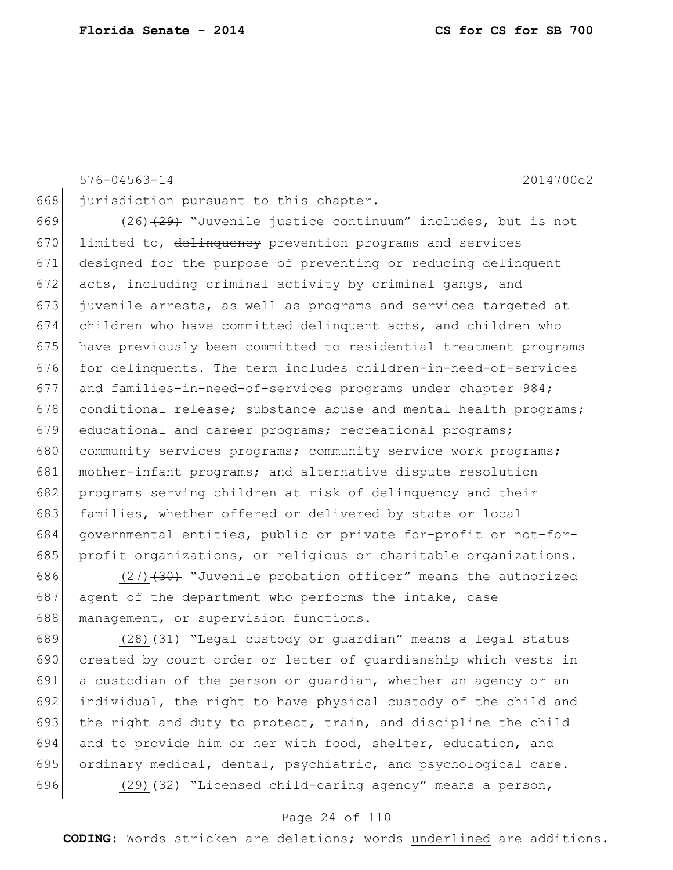576-04563-14 2014700c2

668 jurisdiction pursuant to this chapter.

669 (26)<del>(29)</del> "Juvenile justice continuum" includes, but is not 670 limited to, delinquency prevention programs and services 671 designed for the purpose of preventing or reducing delinquent 672 acts, including criminal activity by criminal gangs, and 673 juvenile arrests, as well as programs and services targeted at 674 children who have committed delinquent acts, and children who 675 have previously been committed to residential treatment programs 676 for delinquents. The term includes children-in-need-of-services 677 and families-in-need-of-services programs under chapter 984; 678 conditional release; substance abuse and mental health programs; 679 educational and career programs; recreational programs; 680 community services programs; community service work programs; 681 mother-infant programs; and alternative dispute resolution 682 programs serving children at risk of delinguency and their 683 families, whether offered or delivered by state or local 684 governmental entities, public or private for-profit or not-for-685 profit organizations, or religious or charitable organizations.

686  $(27)$   $(30)$  "Juvenile probation officer" means the authorized 687 agent of the department who performs the intake, case 688 management, or supervision functions.

 $(28)$   $\overline{31}$  "Legal custody or guardian" means a legal status 690 created by court order or letter of guardianship which vests in a custodian of the person or guardian, whether an agency or an individual, the right to have physical custody of the child and 693 the right and duty to protect, train, and discipline the child and to provide him or her with food, shelter, education, and 695 ordinary medical, dental, psychiatric, and psychological care.  $(29)$   $(32)$  "Licensed child-caring agency" means a person,

### Page 24 of 110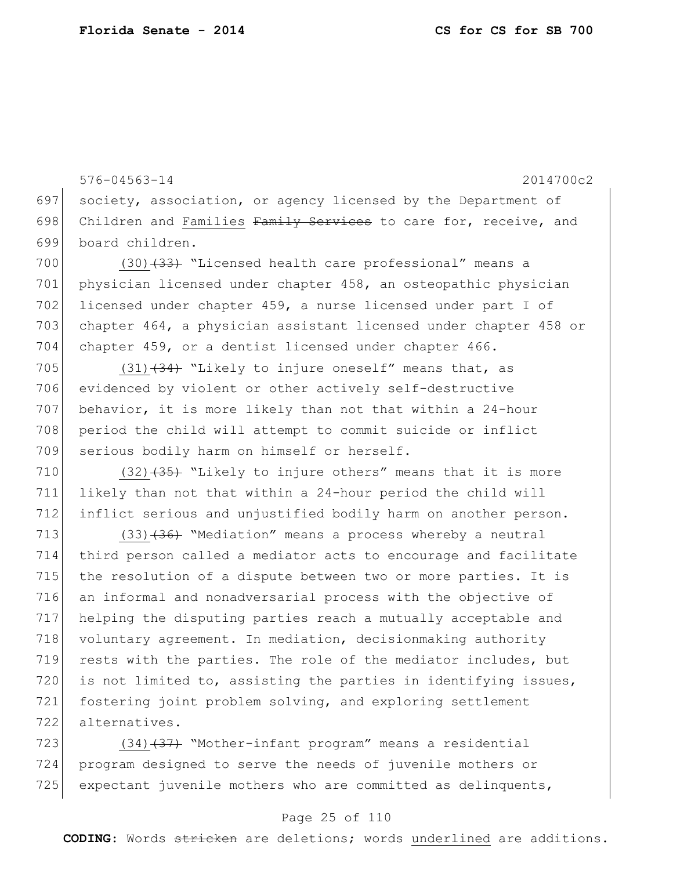576-04563-14 2014700c2 697 society, association, or agency licensed by the Department of 698 Children and Families Family Services to care for, receive, and 699 board children. 700 (30)<del>(33)</del> "Licensed health care professional" means a

701 physician licensed under chapter 458, an osteopathic physician 702 licensed under chapter 459, a nurse licensed under part I of 703 chapter 464, a physician assistant licensed under chapter 458 or 704 chapter 459, or a dentist licensed under chapter 466.

705 (31) $(34)$  "Likely to injure oneself" means that, as 706 evidenced by violent or other actively self-destructive 707 behavior, it is more likely than not that within a 24-hour 708 period the child will attempt to commit suicide or inflict 709 serious bodily harm on himself or herself.

710  $(32)$   $(35)$  "Likely to injure others" means that it is more 711 likely than not that within a 24-hour period the child will 712 inflict serious and unjustified bodily harm on another person.

713  $(33)$   $(36)$  "Mediation" means a process whereby a neutral 714 third person called a mediator acts to encourage and facilitate 715 the resolution of a dispute between two or more parties. It is 716 an informal and nonadversarial process with the objective of 717 helping the disputing parties reach a mutually acceptable and 718 voluntary agreement. In mediation, decisionmaking authority 719 rests with the parties. The role of the mediator includes, but 720 is not limited to, assisting the parties in identifying issues, 721 fostering joint problem solving, and exploring settlement 722 alternatives.

723  $(34)$   $(37)$  "Mother-infant program" means a residential 724 program designed to serve the needs of juvenile mothers or 725 expectant juvenile mothers who are committed as delinquents,

### Page 25 of 110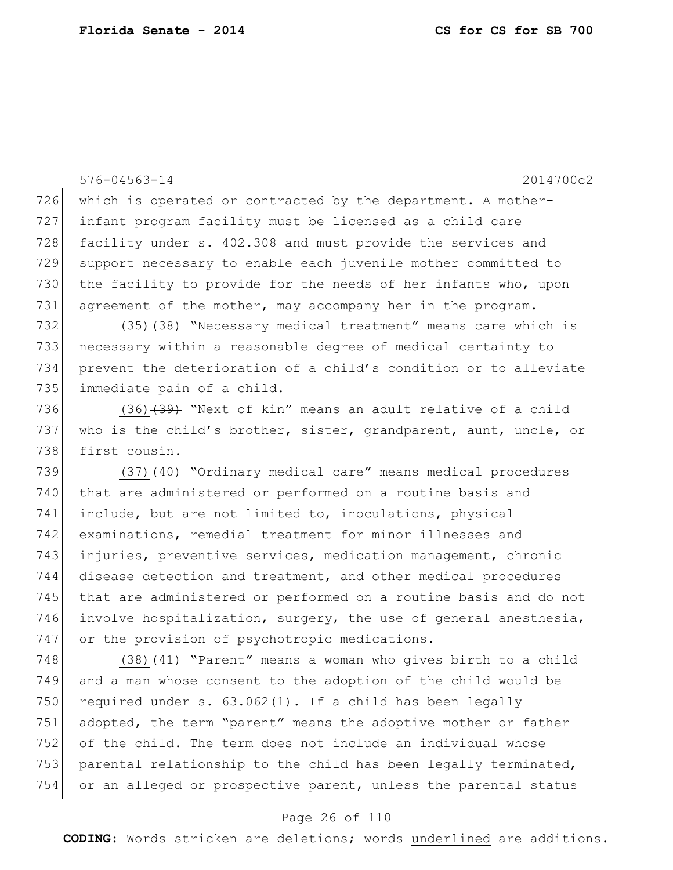576-04563-14 2014700c2 726 which is operated or contracted by the department. A mother-727 infant program facility must be licensed as a child care 728 facility under s. 402.308 and must provide the services and 729 support necessary to enable each juvenile mother committed to 730 the facility to provide for the needs of her infants who, upon 731 agreement of the mother, may accompany her in the program. 732 (35)<del>(38)</del> "Necessary medical treatment" means care which is 733 necessary within a reasonable degree of medical certainty to 734 prevent the deterioration of a child's condition or to alleviate 735 immediate pain of a child. 736 (36)<del>(39)</del> "Next of kin" means an adult relative of a child 737 who is the child's brother, sister, grandparent, aunt, uncle, or 738 first cousin. 739 (37)<del>(40)</del> "Ordinary medical care" means medical procedures 740 that are administered or performed on a routine basis and 741 include, but are not limited to, inoculations, physical 742 examinations, remedial treatment for minor illnesses and 743 injuries, preventive services, medication management, chronic 744 disease detection and treatment, and other medical procedures 745 that are administered or performed on a routine basis and do not 746 involve hospitalization, surgery, the use of general anesthesia, 747 or the provision of psychotropic medications. 748 (38) $(41)$  "Parent" means a woman who gives birth to a child 749 and a man whose consent to the adoption of the child would be 750 required under s.  $63.062(1)$ . If a child has been legally 751 adopted, the term "parent" means the adoptive mother or father

752 of the child. The term does not include an individual whose 753 parental relationship to the child has been legally terminated, 754 or an alleged or prospective parent, unless the parental status

## Page 26 of 110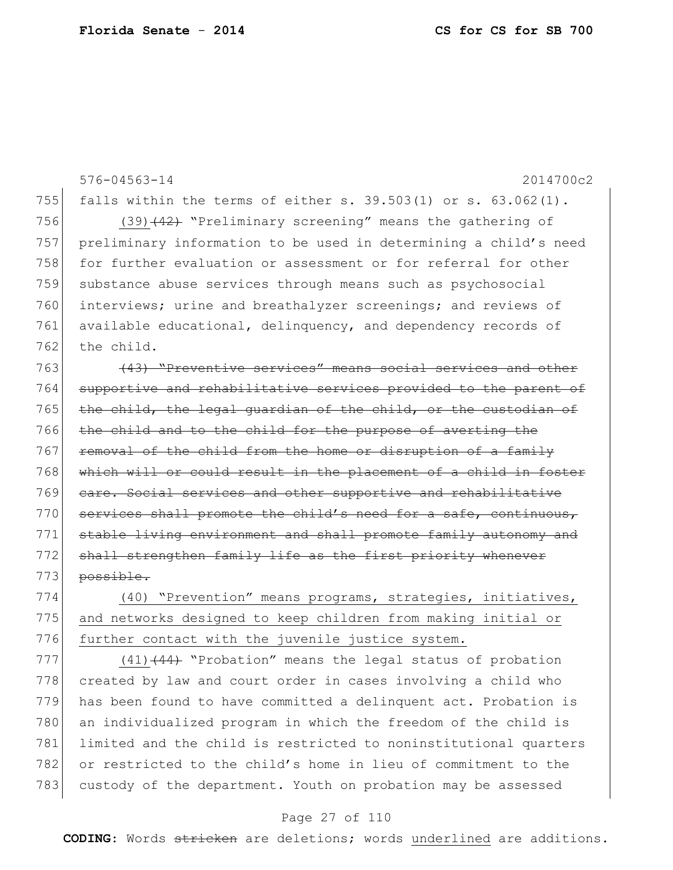576-04563-14 2014700c2 755 falls within the terms of either s.  $39.503(1)$  or s.  $63.062(1)$ . 756 (39)<del>(42)</del> "Preliminary screening" means the gathering of 757 preliminary information to be used in determining a child's need 758 for further evaluation or assessment or for referral for other 759 substance abuse services through means such as psychosocial 760 interviews; urine and breathalyzer screenings; and reviews of 761 available educational, delinquency, and dependency records of 762 the child. 763 (43) "Preventive services" means social services and other 764 supportive and rehabilitative services provided to the parent of 765 the child, the legal guardian of the child, or the custodian of 766 the child and to the child for the purpose of averting the 767 removal of the child from the home or disruption of a family 768 which will or could result in the placement of a child in foster 769 care. Social services and other supportive and rehabilitative 770 services shall promote the child's need for a safe, continuous, 771 stable living environment and shall promote family autonomy and 772 shall strengthen family life as the first priority whenever 773 possible. 774 (40) "Prevention" means programs, strategies, initiatives,

775 and networks designed to keep children from making initial or 776 further contact with the juvenile justice system.

 $777$  (41)<del>(44)</del> "Probation" means the legal status of probation 778 created by law and court order in cases involving a child who 779 has been found to have committed a delinquent act. Probation is 780 an individualized program in which the freedom of the child is 781 limited and the child is restricted to noninstitutional quarters 782 or restricted to the child's home in lieu of commitment to the 783 custody of the department. Youth on probation may be assessed

## Page 27 of 110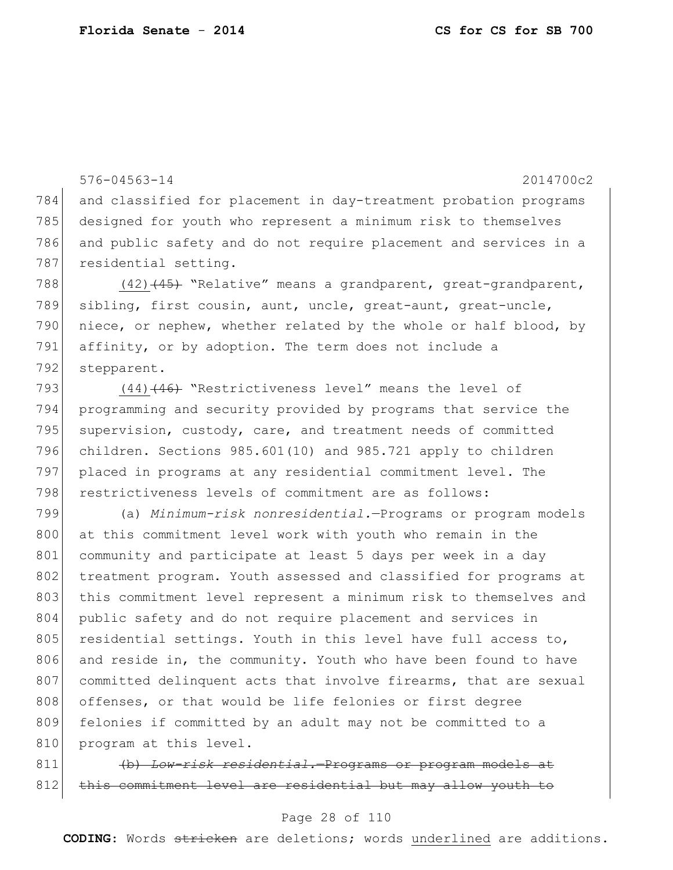576-04563-14 2014700c2 784 and classified for placement in day-treatment probation programs 785 designed for youth who represent a minimum risk to themselves 786 and public safety and do not require placement and services in a 787 residential setting. 788 (42)<del>(45)</del> "Relative" means a grandparent, great-grandparent, 789 sibling, first cousin, aunt, uncle, great-aunt, great-uncle, 790 niece, or nephew, whether related by the whole or half blood, by 791 affinity, or by adoption. The term does not include a 792 stepparent. 793 (44) (46) "Restrictiveness level" means the level of

 programming and security provided by programs that service the 795 supervision, custody, care, and treatment needs of committed children. Sections 985.601(10) and 985.721 apply to children placed in programs at any residential commitment level. The restrictiveness levels of commitment are as follows:

799 (a) *Minimum-risk nonresidential.*—Programs or program models 800 at this commitment level work with youth who remain in the 801 community and participate at least 5 days per week in a day 802 treatment program. Youth assessed and classified for programs at 803 this commitment level represent a minimum risk to themselves and 804 public safety and do not require placement and services in 805 residential settings. Youth in this level have full access to, 806 and reside in, the community. Youth who have been found to have 807 committed delinquent acts that involve firearms, that are sexual 808 offenses, or that would be life felonies or first degree 809 felonies if committed by an adult may not be committed to a 810 program at this level.

811 (b) Low-risk residential.—Programs or program models 812 this commitment level are residential but may allow youth to

## Page 28 of 110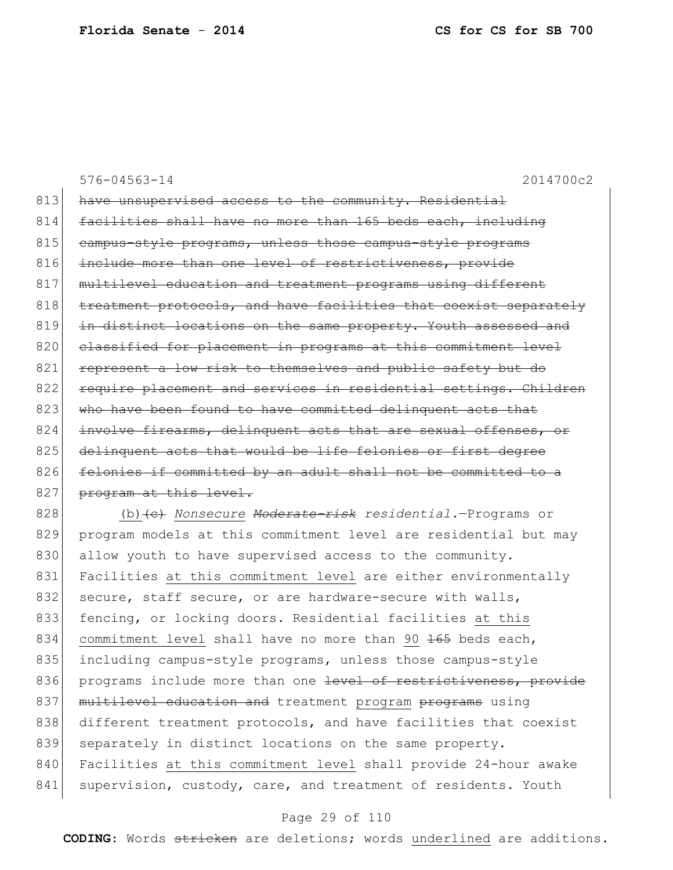576-04563-14 2014700c2 813 have unsupervised access to the community. Residential 814 facilities shall have no more than 165 beds each, including 815 campus-style programs, unless those campus-style programs 816 include more than one level of restrictiveness, provide 817 multilevel education and treatment programs using different 818 treatment protocols, and have facilities that coexist separately 819 in distinct locations on the same property. Youth assessed and 820 classified for placement in programs at this commitment level 821 represent a low risk to themselves and public safety but do 822 require placement and services in residential settings. Children 823 who have been found to have committed delinquent acts that 824 involve firearms, delinquent acts that are sexual offenses, or 825 delinquent acts that would be life felonies or first degree 826 felonies if committed by an adult shall not be committed to a 827 program at this level. 828 (b)<del>(c)</del> *Nonsecure <del>Moderate-risk</del> residential.*—Programs or

829 program models at this commitment level are residential but may 830 allow youth to have supervised access to the community. 831 Facilities at this commitment level are either environmentally 832 secure, staff secure, or are hardware-secure with walls, 833 fencing, or locking doors. Residential facilities at this 834 commitment level shall have no more than 90 <del>165</del> beds each, 835 including campus-style programs, unless those campus-style 836 programs include more than one level of restrictiveness, provide 837 multilevel education and treatment program programs using 838 different treatment protocols, and have facilities that coexist 839 separately in distinct locations on the same property. 840 Facilities at this commitment level shall provide 24-hour awake 841 supervision, custody, care, and treatment of residents. Youth

## Page 29 of 110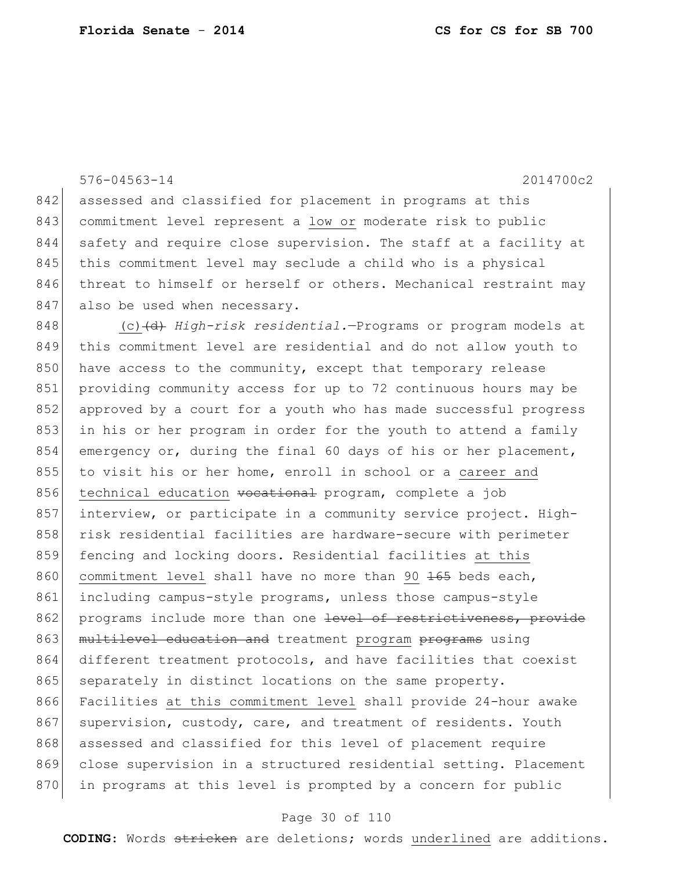842 assessed and classified for placement in programs at this 843 commitment level represent a low or moderate risk to public 844 safety and require close supervision. The staff at a facility at 845 this commitment level may seclude a child who is a physical 846 threat to himself or herself or others. Mechanical restraint may 847 also be used when necessary. 848 (c) (d) *High-risk residential.*—Programs or program models at 849 this commitment level are residential and do not allow youth to 850 have access to the community, except that temporary release 851 providing community access for up to 72 continuous hours may be 852 approved by a court for a youth who has made successful progress 853 in his or her program in order for the youth to attend a family 854 emergency or, during the final 60 days of his or her placement, 855 to visit his or her home, enroll in school or a career and 856 technical education vocational program, complete a job 857 interview, or participate in a community service project. High-858 risk residential facilities are hardware-secure with perimeter 859 fencing and locking doors. Residential facilities at this 860 commitment level shall have no more than 90 <del>165</del> beds each, 861 including campus-style programs, unless those campus-style 862 programs include more than one level of restrictiveness, provide 863 | multilevel education and treatment program programs using 864 different treatment protocols, and have facilities that coexist 865 separately in distinct locations on the same property. 866 Facilities at this commitment level shall provide 24-hour awake 867 supervision, custody, care, and treatment of residents. Youth 868 assessed and classified for this level of placement require 869 close supervision in a structured residential setting. Placement 870 in programs at this level is prompted by a concern for public

576-04563-14 2014700c2

#### Page 30 of 110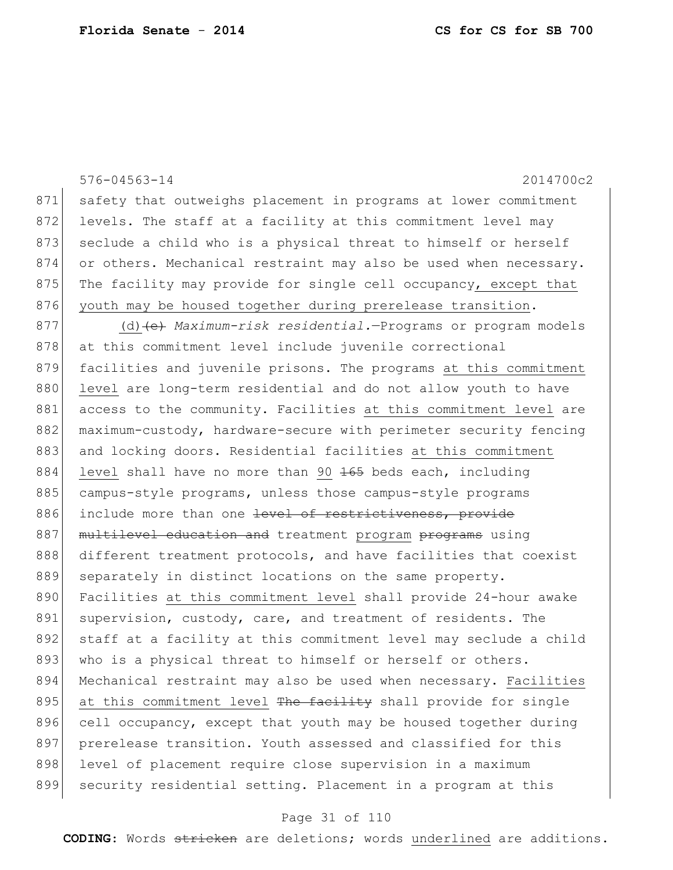|     | $576 - 04563 - 14$<br>2014700c2                                  |
|-----|------------------------------------------------------------------|
| 871 | safety that outweighs placement in programs at lower commitment  |
| 872 | levels. The staff at a facility at this commitment level may     |
| 873 | seclude a child who is a physical threat to himself or herself   |
| 874 | or others. Mechanical restraint may also be used when necessary. |
| 875 | The facility may provide for single cell occupancy, except that  |
| 876 | youth may be housed together during prerelease transition.       |
| 877 | (d) (e) Maximum-risk residential. - Programs or program models   |
| 878 | at this commitment level include juvenile correctional           |
| 879 | facilities and juvenile prisons. The programs at this commitment |
| 880 | level are long-term residential and do not allow youth to have   |
| 881 | access to the community. Facilities at this commitment level are |
| 882 | maximum-custody, hardware-secure with perimeter security fencing |
| 883 | and locking doors. Residential facilities at this commitment     |
| 884 | level shall have no more than 90 165 beds each, including        |
| 885 | campus-style programs, unless those campus-style programs        |
| 886 | include more than one level of restrictiveness, provide          |
| 887 | multilevel education and treatment program programs using        |
| 888 | different treatment protocols, and have facilities that coexist  |
| 889 | separately in distinct locations on the same property.           |
| 890 | Facilities at this commitment level shall provide 24-hour awake  |
| 891 | supervision, custody, care, and treatment of residents. The      |
| 892 | staff at a facility at this commitment level may seclude a child |
| 893 | who is a physical threat to himself or herself or others.        |
| 894 | Mechanical restraint may also be used when necessary. Facilities |
| 895 | at this commitment level The facility shall provide for single   |
| 896 | cell occupancy, except that youth may be housed together during  |
| 897 | prerelease transition. Youth assessed and classified for this    |
| 898 | level of placement require close supervision in a maximum        |
| 899 | security residential setting. Placement in a program at this     |

# Page 31 of 110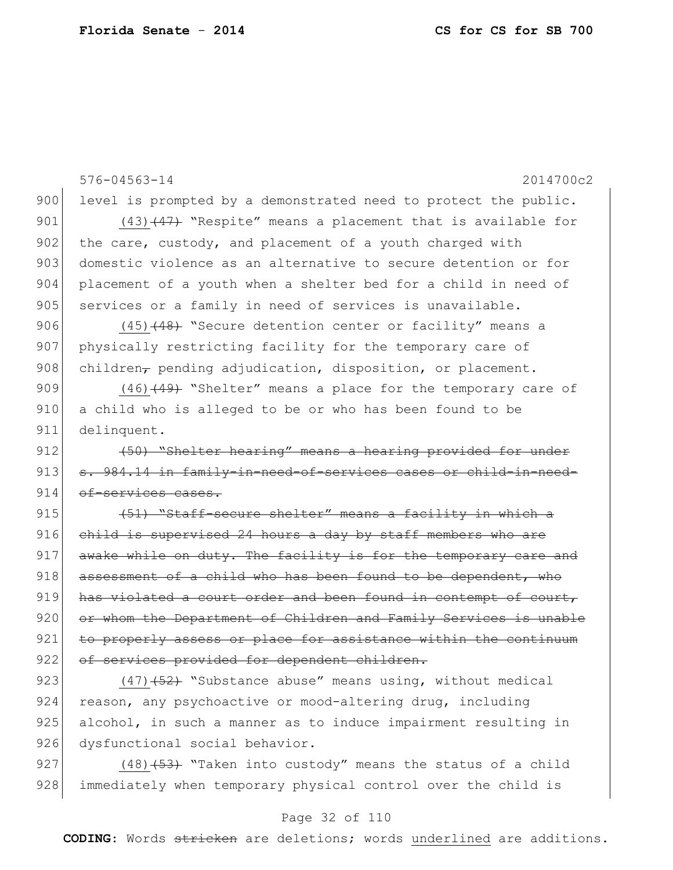576-04563-14 2014700c2 900 level is prompted by a demonstrated need to protect the public. 901  $(43)$   $(47)$  "Respite" means a placement that is available for 902 the care, custody, and placement of a youth charged with 903 domestic violence as an alternative to secure detention or for 904 placement of a youth when a shelter bed for a child in need of 905 services or a family in need of services is unavailable. 906 (45)<del>(48)</del> "Secure detention center or facility" means a 907 physically restricting facility for the temporary care of 908 children, pending adjudication, disposition, or placement. 909 (46)<del>(49)</del> "Shelter" means a place for the temporary care of 910 a child who is alleged to be or who has been found to be 911 delinquent. 912 (50) "Shelter hearing" means a hearing provided for under 913 s. 984.14 in family-in-need-of-services cases or child-in-need-914 of-services cases. 915  $(51)$  "Staff-secure shelter" means a facility in which a 916 child is supervised 24 hours a day by staff members who are  $917$  awake while on duty. The facility is for the temporary care and  $918$  assessment of a child who has been found to be dependent, who 919 has violated a court order and been found in contempt of court, 920 or whom the Department of Children and Family Services is unable 921 to properly assess or place for assistance within the continuum 922 of services provided for dependent children. 923  $(47)$   $\left(52\right)$  "Substance abuse" means using, without medical 924 reason, any psychoactive or mood-altering drug, including 925 alcohol, in such a manner as to induce impairment resulting in 926 dysfunctional social behavior.

927  $(48)$   $(53)$  "Taken into custody" means the status of a child 928 immediately when temporary physical control over the child is

### Page 32 of 110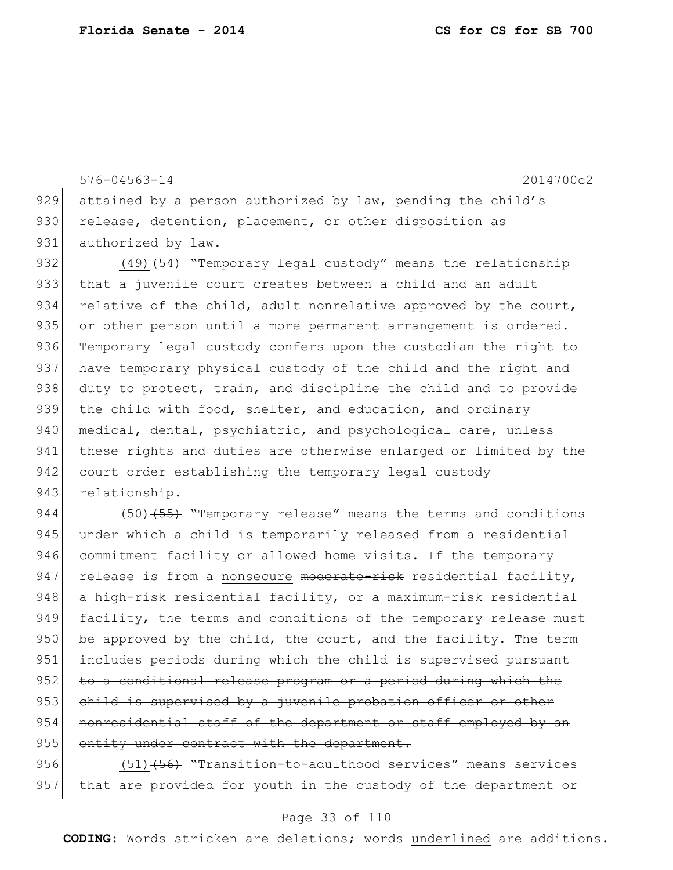576-04563-14 2014700c2 929 attained by a person authorized by law, pending the child's 930 release, detention, placement, or other disposition as 931 authorized by law. 932 (49)<del>(54)</del> "Temporary legal custody" means the relationship 933 that a juvenile court creates between a child and an adult 934 relative of the child, adult nonrelative approved by the court, 935 or other person until a more permanent arrangement is ordered. 936 Temporary legal custody confers upon the custodian the right to 937 have temporary physical custody of the child and the right and 938 duty to protect, train, and discipline the child and to provide 939 the child with food, shelter, and education, and ordinary 940 medical, dental, psychiatric, and psychological care, unless 941 these rights and duties are otherwise enlarged or limited by the 942 court order establishing the temporary legal custody

943 relationship.

944 (50)<del>(55)</del> "Temporary release" means the terms and conditions 945 under which a child is temporarily released from a residential 946 commitment facility or allowed home visits. If the temporary 947 release is from a nonsecure moderate-risk residential facility, 948 a high-risk residential facility, or a maximum-risk residential 949 facility, the terms and conditions of the temporary release must 950 be approved by the child, the court, and the facility. The term 951 includes periods during which the child is supervised pursuant 952 to a conditional release program or a period during which the 953 child is supervised by a juvenile probation officer or other 954 nonresidential staff of the department or staff employed by an 955 entity under contract with the department.

956 (51)<del>(56)</del> "Transition-to-adulthood services" means services 957 that are provided for youth in the custody of the department or

## Page 33 of 110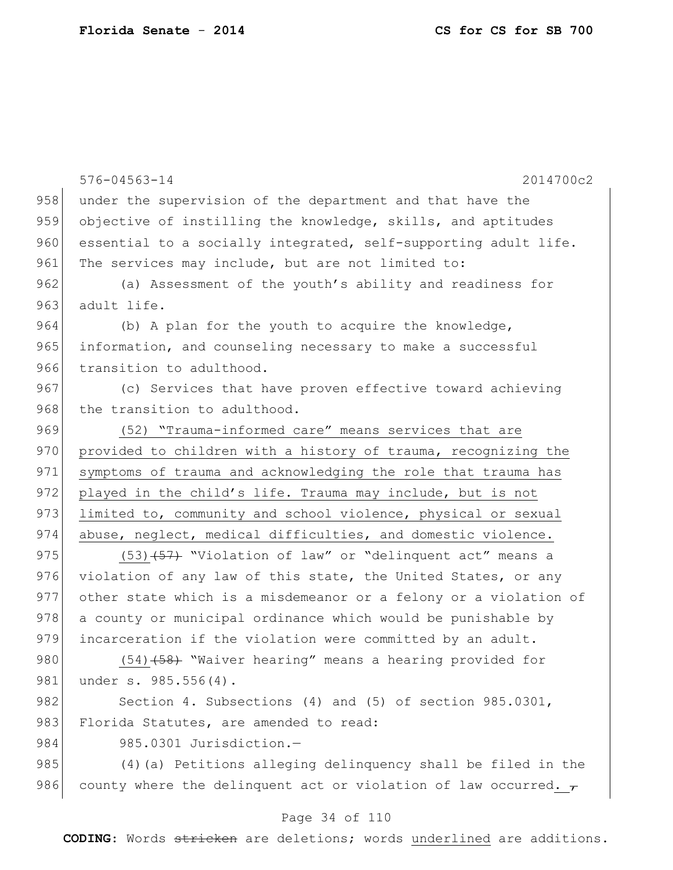|     | $576 - 04563 - 14$<br>2014700c2                                      |
|-----|----------------------------------------------------------------------|
| 958 | under the supervision of the department and that have the            |
| 959 | objective of instilling the knowledge, skills, and aptitudes         |
| 960 | essential to a socially integrated, self-supporting adult life.      |
| 961 | The services may include, but are not limited to:                    |
| 962 | (a) Assessment of the youth's ability and readiness for              |
| 963 | adult life.                                                          |
| 964 | (b) A plan for the youth to acquire the knowledge,                   |
| 965 | information, and counseling necessary to make a successful           |
| 966 | transition to adulthood.                                             |
| 967 | (c) Services that have proven effective toward achieving             |
| 968 | the transition to adulthood.                                         |
| 969 | (52) "Trauma-informed care" means services that are                  |
| 970 | provided to children with a history of trauma, recognizing the       |
| 971 | symptoms of trauma and acknowledging the role that trauma has        |
| 972 | played in the child's life. Trauma may include, but is not           |
| 973 | limited to, community and school violence, physical or sexual        |
| 974 | abuse, neglect, medical difficulties, and domestic violence.         |
| 975 | $(53)$ $(57)$ "Violation of law" or "delinquent act" means a         |
| 976 | violation of any law of this state, the United States, or any        |
| 977 | other state which is a misdemeanor or a felony or a violation of     |
| 978 | a county or municipal ordinance which would be punishable by         |
| 979 | incarceration if the violation were committed by an adult.           |
| 980 | (54) (58) "Waiver hearing" means a hearing provided for              |
| 981 | under s. 985.556(4).                                                 |
| 982 | Section 4. Subsections (4) and (5) of section 985.0301,              |
| 983 | Florida Statutes, are amended to read:                               |
| 984 | 985.0301 Jurisdiction.-                                              |
| 985 | (4) (a) Petitions alleging delinguency shall be filed in the         |
| 986 | county where the delinguent act or violation of law occurred. $\tau$ |
|     |                                                                      |

# Page 34 of 110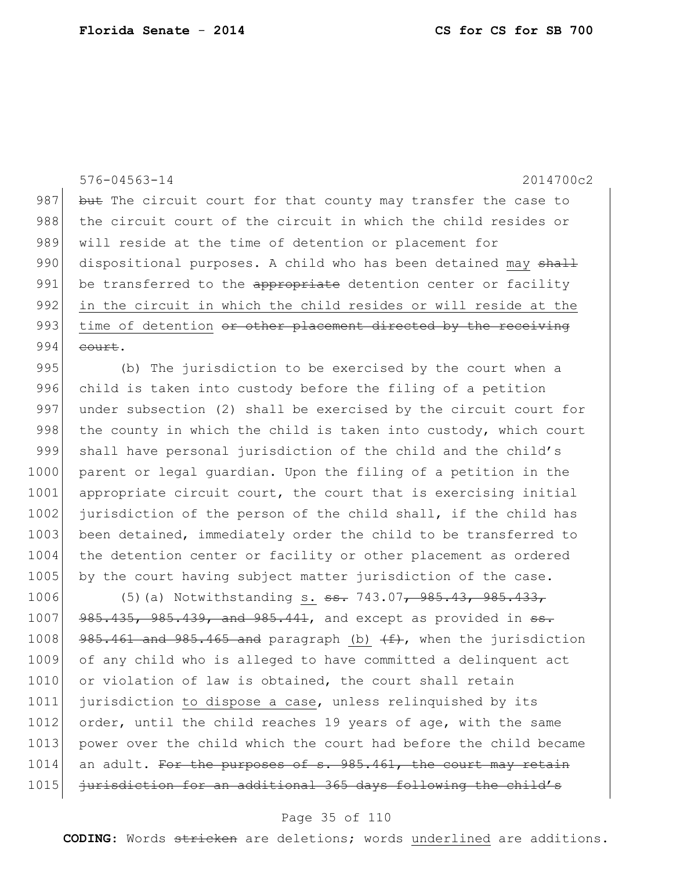576-04563-14 2014700c2 987 but The circuit court for that county may transfer the case to 988 the circuit court of the circuit in which the child resides or 989 will reside at the time of detention or placement for 990 dispositional purposes. A child who has been detained may shall 991 be transferred to the appropriate detention center or facility 992 in the circuit in which the child resides or will reside at the 993 time of detention or other placement directed by the receiving  $994$  court. 995 (b) The jurisdiction to be exercised by the court when a 996 child is taken into custody before the filing of a petition 997 under subsection (2) shall be exercised by the circuit court for 998 the county in which the child is taken into custody, which court 999 shall have personal jurisdiction of the child and the child's 1000 parent or legal quardian. Upon the filing of a petition in the 1001 appropriate circuit court, the court that is exercising initial 1002 jurisdiction of the person of the child shall, if the child has 1003 been detained, immediately order the child to be transferred to 1004 the detention center or facility or other placement as ordered 1005 by the court having subject matter jurisdiction of the case. 1006 (5)(a) Notwithstanding s. <del>ss.</del> 743.07, 985.43, 985.433,  $1007$   $985.435$ ,  $985.439$ , and  $985.441$ , and except as provided in  $5.4$ 1008 985.461 and 985.465 and paragraph (b)  $(f)$ , when the jurisdiction 1009 of any child who is alleged to have committed a delinquent act 1010 or violation of law is obtained, the court shall retain 1011 jurisdiction to dispose a case, unless relinquished by its 1012 order, until the child reaches 19 years of age, with the same 1013 | power over the child which the court had before the child became

1014 an adult. For the purposes of s. 985.461, the court may retain 1015 jurisdiction for an additional 365 days following the child's

### Page 35 of 110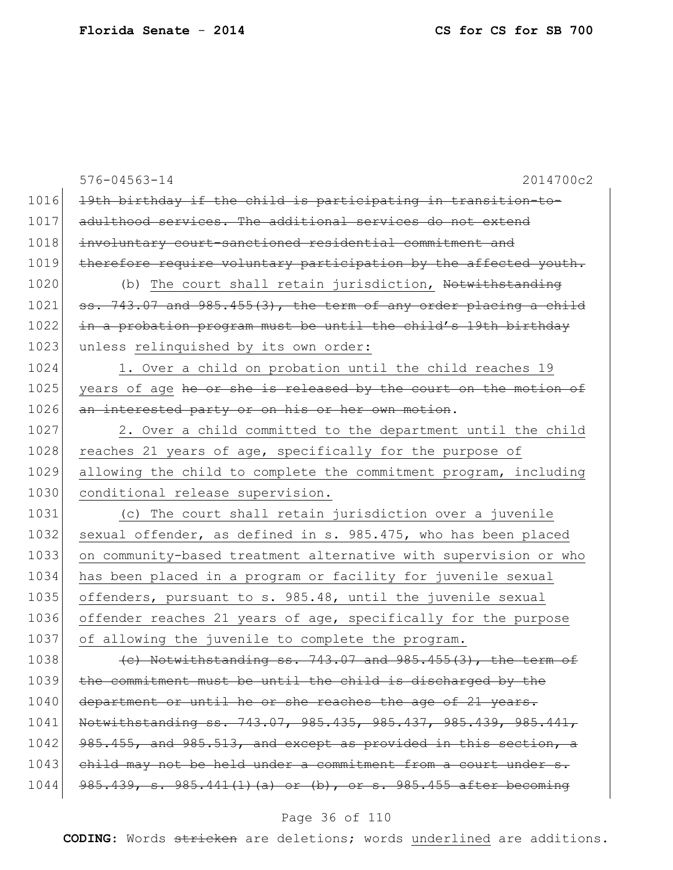576-04563-14 2014700c2 1016 19th birthday if the child is participating in transition-to-1017 adulthood services. The additional services do not extend 1018 involuntary court-sanctioned residential commitment and 1019 therefore require voluntary participation by the affected youth. 1020 (b) The court shall retain jurisdiction, Notwithstanding 1021  $\sigma$  ss. 743.07 and 985.455(3), the term of any order placing a child 1022 in a probation program must be until the child's 19th birthday 1023 unless relinquished by its own order: 1024 1. Over a child on probation until the child reaches 19 1025 years of age he or she is released by the court on the motion of 1026 an interested party or on his or her own motion. 1027 2. Over a child committed to the department until the child 1028 reaches 21 years of age, specifically for the purpose of 1029 allowing the child to complete the commitment program, including 1030 conditional release supervision. 1031 (c) The court shall retain jurisdiction over a juvenile 1032 sexual offender, as defined in s. 985.475, who has been placed 1033 on community-based treatment alternative with supervision or who 1034 has been placed in a program or facility for juvenile sexual 1035 offenders, pursuant to s. 985.48, until the juvenile sexual 1036 offender reaches 21 years of age, specifically for the purpose 1037 of allowing the juvenile to complete the program. 1038  $\left\{\n\begin{array}{ccc}\n\text{6} & \text{Notwithstanding ss. 743.07 and 985.455 (3), the term of}\n\end{array}\n\right\}$ 1039 the commitment must be until the child is discharged by the 1040 department or until he or she reaches the age of 21 years. 1041 Notwithstanding ss. 743.07, 985.435, 985.437, 985.439, 985.441, 1042 985.455, and 985.513, and except as provided in this section, a 1043 child may not be held under a commitment from a court under s.  $1044$   $985.439$ , s.  $985.441(1)$  (a) or (b), or s.  $985.455$  after becoming

## Page 36 of 110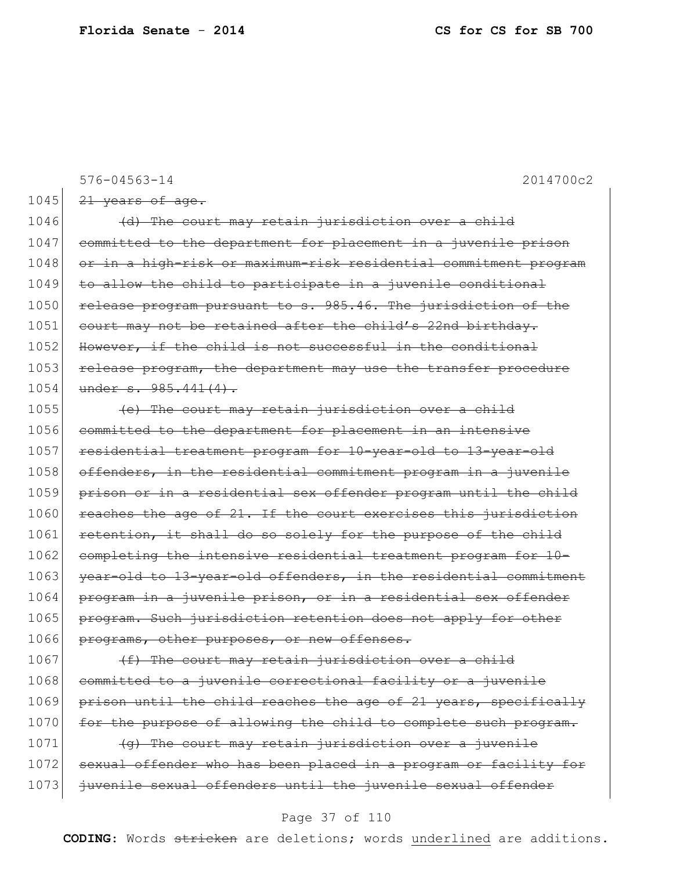576-04563-14 2014700c2  $1045$   $21$  years of age. 1046 (d) The court may retain jurisdiction over a child 1047 committed to the department for placement in a juvenile prison 1048 or in a high-risk or maximum-risk residential commitment program  $1049$  to allow the child to participate in a juvenile conditional 1050 release program pursuant to s. 985.46. The jurisdiction of the 1051 court may not be retained after the child's 22nd birthday. 1052 However, if the child is not successful in the conditional 1053 release program, the department may use the transfer procedure 1054 under s. 985.441(4). 1055 (e) The court may retain jurisdiction over a child 1056 committed to the department for placement in an intensive 1057 residential treatment program for 10-year-old to 13-year-old 1058 offenders, in the residential commitment program in a juvenile 1059 prison or in a residential sex offender program until the child 1060 reaches the age of 21. If the court exercises this jurisdiction 1061 retention, it shall do so solely for the purpose of the child 1062 completing the intensive residential treatment program for 10-1063 year-old to 13-year-old offenders, in the residential commitment 1064 program in a juvenile prison, or in a residential sex offender 1065 program. Such jurisdiction retention does not apply for other 1066 programs, other purposes, or new offenses.  $1067$  (f) The court may retain jurisdiction over a child 1068 committed to a juvenile correctional facility or a juvenile

1069 prison until the child reaches the age of 21 years, specifically 1070 for the purpose of allowing the child to complete such program. 1071  $\left\{\Theta\right\}$  The court may retain jurisdiction over a juvenile

1072 sexual offender who has been placed in a program or facility for 1073 juvenile sexual offenders until the juvenile sexual offender

### Page 37 of 110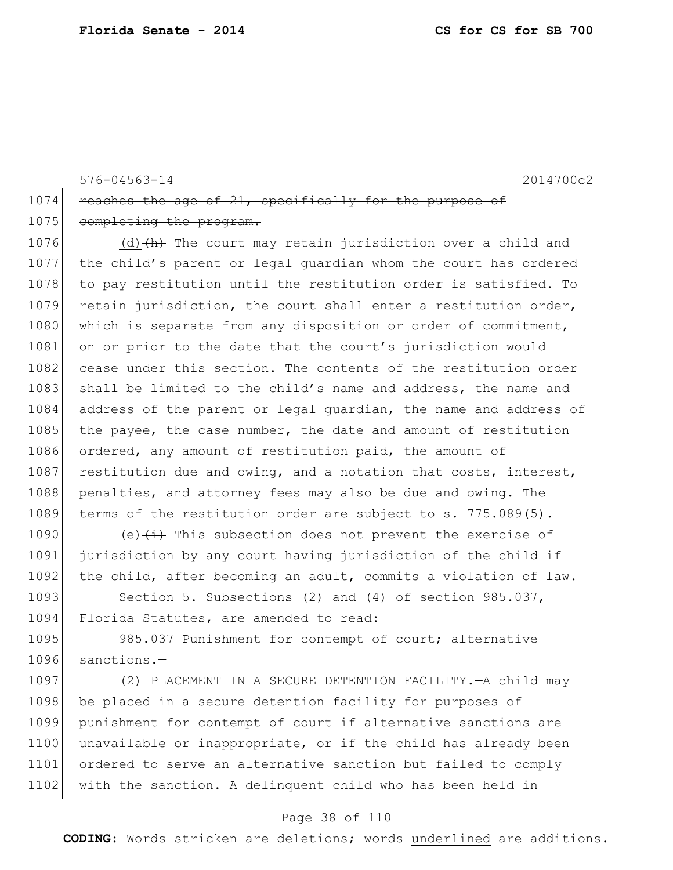576-04563-14 2014700c2 1074 reaches the age of  $21$ , specifically for the purpose of 1075 completing the program.

1076 (d) $\left\{\text{h}\right\}$  The court may retain jurisdiction over a child and 1077 the child's parent or legal guardian whom the court has ordered 1078 to pay restitution until the restitution order is satisfied. To 1079 retain jurisdiction, the court shall enter a restitution order, 1080 which is separate from any disposition or order of commitment, 1081 on or prior to the date that the court's jurisdiction would 1082 cease under this section. The contents of the restitution order 1083 shall be limited to the child's name and address, the name and 1084 address of the parent or legal guardian, the name and address of 1085 the payee, the case number, the date and amount of restitution 1086 ordered, any amount of restitution paid, the amount of 1087 restitution due and owing, and a notation that costs, interest, 1088 penalties, and attorney fees may also be due and owing. The 1089 terms of the restitution order are subject to s. 775.089(5).

1090 (e) $\leftarrow$  (e)  $\leftarrow$  This subsection does not prevent the exercise of 1091 jurisdiction by any court having jurisdiction of the child if 1092 the child, after becoming an adult, commits a violation of law.

1093 Section 5. Subsections (2) and (4) of section 985.037, 1094 Florida Statutes, are amended to read:

1095 985.037 Punishment for contempt of court; alternative 1096 sanctions.—

1097 (2) PLACEMENT IN A SECURE DETENTION FACILITY.—A child may 1098 be placed in a secure detention facility for purposes of 1099 punishment for contempt of court if alternative sanctions are 1100 unavailable or inappropriate, or if the child has already been 1101 ordered to serve an alternative sanction but failed to comply 1102 with the sanction. A delinquent child who has been held in

### Page 38 of 110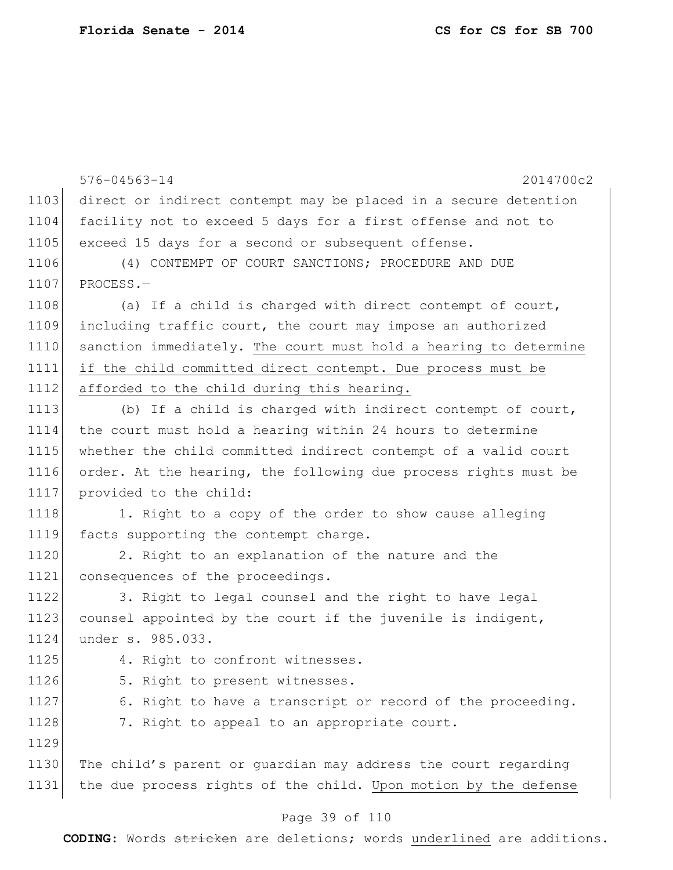|      | $576 - 04563 - 14$<br>2014700c2                                  |
|------|------------------------------------------------------------------|
| 1103 | direct or indirect contempt may be placed in a secure detention  |
| 1104 | facility not to exceed 5 days for a first offense and not to     |
| 1105 | exceed 15 days for a second or subsequent offense.               |
| 1106 | (4) CONTEMPT OF COURT SANCTIONS; PROCEDURE AND DUE               |
| 1107 | PROCESS.-                                                        |
| 1108 | (a) If a child is charged with direct contempt of court,         |
| 1109 | including traffic court, the court may impose an authorized      |
| 1110 | sanction immediately. The court must hold a hearing to determine |
| 1111 | if the child committed direct contempt. Due process must be      |
| 1112 | afforded to the child during this hearing.                       |
| 1113 | (b) If a child is charged with indirect contempt of court,       |
| 1114 | the court must hold a hearing within 24 hours to determine       |
| 1115 | whether the child committed indirect contempt of a valid court   |
| 1116 | order. At the hearing, the following due process rights must be  |
| 1117 | provided to the child:                                           |
| 1118 | 1. Right to a copy of the order to show cause alleging           |
| 1119 | facts supporting the contempt charge.                            |
| 1120 | 2. Right to an explanation of the nature and the                 |
| 1121 | consequences of the proceedings.                                 |
| 1122 | 3. Right to legal counsel and the right to have legal            |
| 1123 | counsel appointed by the court if the juvenile is indigent,      |
| 1124 | under s. 985.033.                                                |
| 1125 | 4. Right to confront witnesses.                                  |
| 1126 | 5. Right to present witnesses.                                   |
| 1127 | 6. Right to have a transcript or record of the proceeding.       |
| 1128 | 7. Right to appeal to an appropriate court.                      |
| 1129 |                                                                  |
| 1130 | The child's parent or guardian may address the court regarding   |
| 1131 | the due process rights of the child. Upon motion by the defense  |
|      |                                                                  |

### Page 39 of 110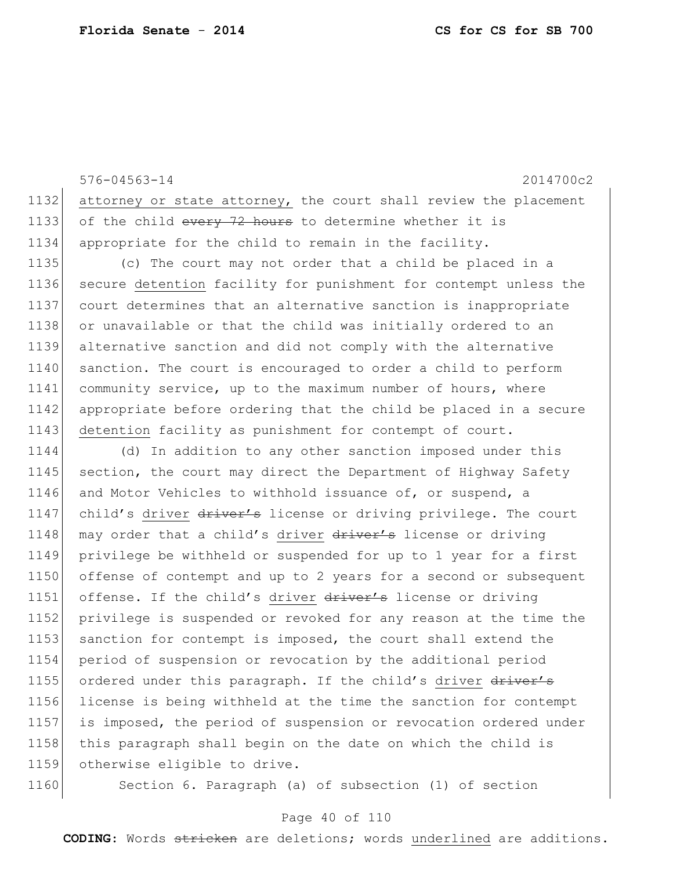576-04563-14 2014700c2 1132 attorney or state attorney, the court shall review the placement 1133 of the child every 72 hours to determine whether it is 1134 appropriate for the child to remain in the facility. 1135 (c) The court may not order that a child be placed in a 1136 secure detention facility for punishment for contempt unless the 1137 court determines that an alternative sanction is inappropriate 1138 or unavailable or that the child was initially ordered to an 1139 alternative sanction and did not comply with the alternative 1140 sanction. The court is encouraged to order a child to perform 1141 community service, up to the maximum number of hours, where 1142 appropriate before ordering that the child be placed in a secure 1143 detention facility as punishment for contempt of court. 1144 (d) In addition to any other sanction imposed under this 1145 section, the court may direct the Department of Highway Safety 1146 and Motor Vehicles to withhold issuance of, or suspend, a 1147 child's driver driver's license or driving privilege. The court 1148 may order that a child's driver driver's license or driving 1149 privilege be withheld or suspended for up to 1 year for a first 1150 offense of contempt and up to 2 years for a second or subsequent 1151 offense. If the child's driver driver's license or driving 1152 privilege is suspended or revoked for any reason at the time the 1153 sanction for contempt is imposed, the court shall extend the 1154 period of suspension or revocation by the additional period 1155 ordered under this paragraph. If the child's driver driver's 1156 license is being withheld at the time the sanction for contempt 1157 is imposed, the period of suspension or revocation ordered under 1158 this paragraph shall begin on the date on which the child is 1159 otherwise eligible to drive.

1160 Section 6. Paragraph (a) of subsection (1) of section

### Page 40 of 110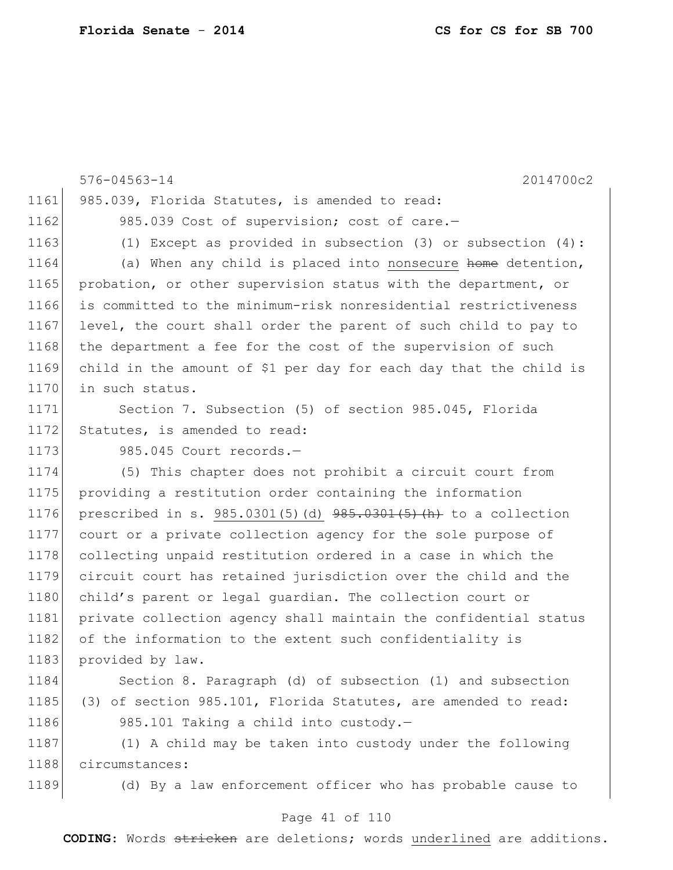```
576-04563-14 2014700c2
1161 985.039, Florida Statutes, is amended to read:
1162 985.039 Cost of supervision; cost of care.-
1163 (1) Except as provided in subsection (3) or subsection (4):
1164 (a) When any child is placed into nonsecure home detention,
1165 probation, or other supervision status with the department, or
1166 is committed to the minimum-risk nonresidential restrictiveness 
1167 level, the court shall order the parent of such child to pay to
1168 the department a fee for the cost of the supervision of such
1169 child in the amount of $1 per day for each day that the child is 
1170 in such status.
1171 Section 7. Subsection (5) of section 985.045, Florida
1172 Statutes, is amended to read:
1173 985.045 Court records.-
1174 (5) This chapter does not prohibit a circuit court from 
1175 providing a restitution order containing the information 
1176 prescribed in s. 985.0301(5)(d) 985.0301(5)(h) to a collection
1177 court or a private collection agency for the sole purpose of 
1178 collecting unpaid restitution ordered in a case in which the
1179 circuit court has retained jurisdiction over the child and the 
1180 child's parent or legal quardian. The collection court or
1181 private collection agency shall maintain the confidential status 
1182 of the information to the extent such confidentiality is
1183 provided by law.
```
1184 Section 8. Paragraph (d) of subsection (1) and subsection 1185 (3) of section 985.101, Florida Statutes, are amended to read: 1186 985.101 Taking a child into custody.-

1187 (1) A child may be taken into custody under the following 1188 circumstances:

1189 (d) By a law enforcement officer who has probable cause to

### Page 41 of 110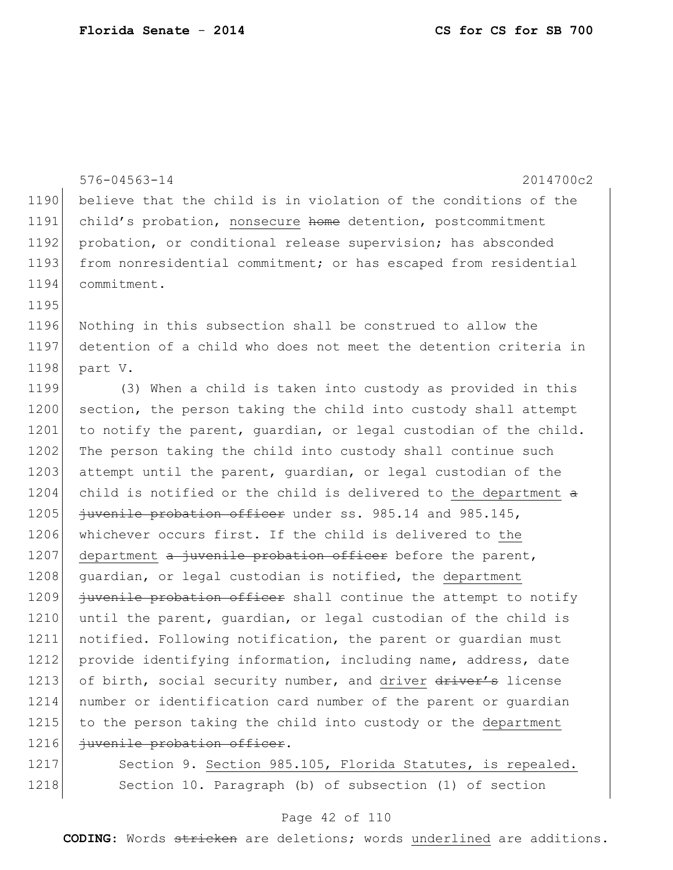576-04563-14 2014700c2 1190 believe that the child is in violation of the conditions of the 1191 child's probation, nonsecure home detention, postcommitment 1192 probation, or conditional release supervision; has absconded 1193 from nonresidential commitment; or has escaped from residential 1194 commitment. 1195 1196 Nothing in this subsection shall be construed to allow the 1197 detention of a child who does not meet the detention criteria in 1198 part V. 1199 (3) When a child is taken into custody as provided in this 1200 section, the person taking the child into custody shall attempt 1201 to notify the parent, quardian, or legal custodian of the child. 1202 The person taking the child into custody shall continue such 1203 attempt until the parent, quardian, or legal custodian of the 1204 child is notified or the child is delivered to the department a 1205 *juvenile probation officer under ss.* 985.14 and 985.145, 1206 whichever occurs first. If the child is delivered to the 1207 department  $a$  juvenile probation officer before the parent, 1208 quardian, or legal custodian is notified, the department 1209 juvenile probation officer shall continue the attempt to notify 1210 until the parent, quardian, or legal custodian of the child is 1211 notified. Following notification, the parent or guardian must 1212 provide identifying information, including name, address, date 1213 of birth, social security number, and driver driver's license 1214 number or identification card number of the parent or guardian 1215 to the person taking the child into custody or the department 1216 *juvenile probation officer.* 1217 Section 9. Section 985.105, Florida Statutes, is repealed.

#### Page 42 of 110

1218 Section 10. Paragraph (b) of subsection (1) of section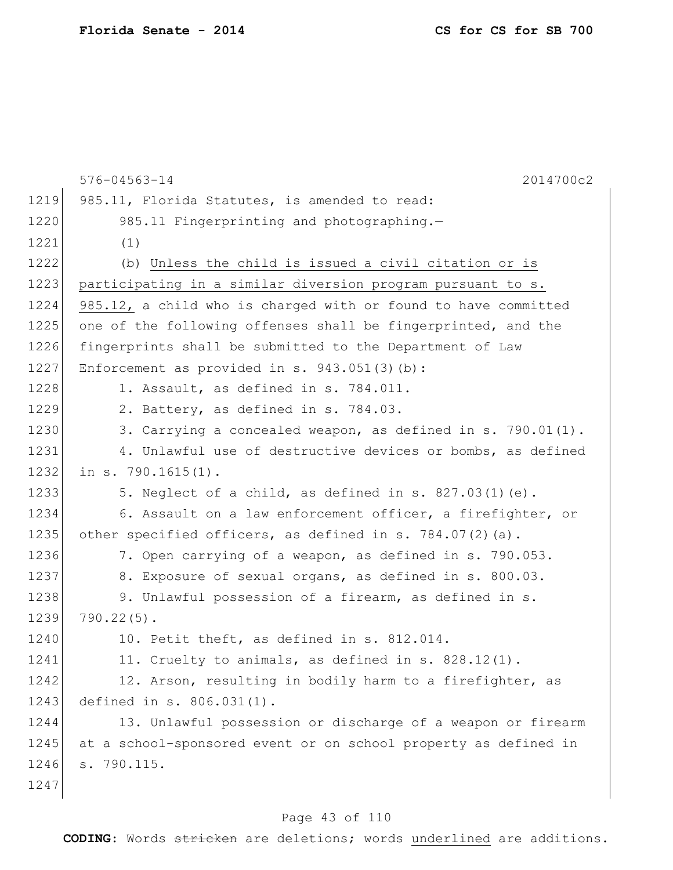| 1219<br>985.11, Florida Statutes, is amended to read:<br>1220<br>985.11 Fingerprinting and photographing.-<br>1221<br>(1)<br>1222<br>(b) Unless the child is issued a civil citation or is<br>1223<br>participating in a similar diversion program pursuant to s.<br>1224<br>985.12, a child who is charged with or found to have committed<br>1225<br>one of the following offenses shall be fingerprinted, and the<br>1226<br>fingerprints shall be submitted to the Department of Law<br>1227<br>Enforcement as provided in s. $943.051(3)(b)$ :<br>1228<br>1. Assault, as defined in s. 784.011.<br>1229<br>2. Battery, as defined in s. 784.03.<br>1230<br>3. Carrying a concealed weapon, as defined in s. 790.01(1).<br>1231<br>4. Unlawful use of destructive devices or bombs, as defined<br>1232<br>in $s. 790.1615(1)$ .<br>1233<br>5. Neglect of a child, as defined in s. 827.03(1)(e).<br>1234<br>6. Assault on a law enforcement officer, a firefighter, or<br>1235<br>other specified officers, as defined in s. $784.07(2)(a)$ .<br>1236<br>7. Open carrying of a weapon, as defined in s. 790.053.<br>1237<br>8. Exposure of sexual organs, as defined in s. 800.03.<br>1238<br>9. Unlawful possession of a firearm, as defined in s.<br>1239<br>$790.22(5)$ .<br>1240<br>10. Petit theft, as defined in s. 812.014.<br>1241<br>11. Cruelty to animals, as defined in s. $828.12(1)$ .<br>1242<br>12. Arson, resulting in bodily harm to a firefighter, as<br>1243<br>defined in s. 806.031(1).<br>1244<br>13. Unlawful possession or discharge of a weapon or firearm<br>1245<br>at a school-sponsored event or on school property as defined in<br>1246<br>s. 790.115.<br>1247 | 2014700c2<br>$576 - 04563 - 14$ |
|----------------------------------------------------------------------------------------------------------------------------------------------------------------------------------------------------------------------------------------------------------------------------------------------------------------------------------------------------------------------------------------------------------------------------------------------------------------------------------------------------------------------------------------------------------------------------------------------------------------------------------------------------------------------------------------------------------------------------------------------------------------------------------------------------------------------------------------------------------------------------------------------------------------------------------------------------------------------------------------------------------------------------------------------------------------------------------------------------------------------------------------------------------------------------------------------------------------------------------------------------------------------------------------------------------------------------------------------------------------------------------------------------------------------------------------------------------------------------------------------------------------------------------------------------------------------------------------------------------------------------------------------------------------------------------------------------|---------------------------------|
|                                                                                                                                                                                                                                                                                                                                                                                                                                                                                                                                                                                                                                                                                                                                                                                                                                                                                                                                                                                                                                                                                                                                                                                                                                                                                                                                                                                                                                                                                                                                                                                                                                                                                                    |                                 |
|                                                                                                                                                                                                                                                                                                                                                                                                                                                                                                                                                                                                                                                                                                                                                                                                                                                                                                                                                                                                                                                                                                                                                                                                                                                                                                                                                                                                                                                                                                                                                                                                                                                                                                    |                                 |
|                                                                                                                                                                                                                                                                                                                                                                                                                                                                                                                                                                                                                                                                                                                                                                                                                                                                                                                                                                                                                                                                                                                                                                                                                                                                                                                                                                                                                                                                                                                                                                                                                                                                                                    |                                 |
|                                                                                                                                                                                                                                                                                                                                                                                                                                                                                                                                                                                                                                                                                                                                                                                                                                                                                                                                                                                                                                                                                                                                                                                                                                                                                                                                                                                                                                                                                                                                                                                                                                                                                                    |                                 |
|                                                                                                                                                                                                                                                                                                                                                                                                                                                                                                                                                                                                                                                                                                                                                                                                                                                                                                                                                                                                                                                                                                                                                                                                                                                                                                                                                                                                                                                                                                                                                                                                                                                                                                    |                                 |
|                                                                                                                                                                                                                                                                                                                                                                                                                                                                                                                                                                                                                                                                                                                                                                                                                                                                                                                                                                                                                                                                                                                                                                                                                                                                                                                                                                                                                                                                                                                                                                                                                                                                                                    |                                 |
|                                                                                                                                                                                                                                                                                                                                                                                                                                                                                                                                                                                                                                                                                                                                                                                                                                                                                                                                                                                                                                                                                                                                                                                                                                                                                                                                                                                                                                                                                                                                                                                                                                                                                                    |                                 |
|                                                                                                                                                                                                                                                                                                                                                                                                                                                                                                                                                                                                                                                                                                                                                                                                                                                                                                                                                                                                                                                                                                                                                                                                                                                                                                                                                                                                                                                                                                                                                                                                                                                                                                    |                                 |
|                                                                                                                                                                                                                                                                                                                                                                                                                                                                                                                                                                                                                                                                                                                                                                                                                                                                                                                                                                                                                                                                                                                                                                                                                                                                                                                                                                                                                                                                                                                                                                                                                                                                                                    |                                 |
|                                                                                                                                                                                                                                                                                                                                                                                                                                                                                                                                                                                                                                                                                                                                                                                                                                                                                                                                                                                                                                                                                                                                                                                                                                                                                                                                                                                                                                                                                                                                                                                                                                                                                                    |                                 |
|                                                                                                                                                                                                                                                                                                                                                                                                                                                                                                                                                                                                                                                                                                                                                                                                                                                                                                                                                                                                                                                                                                                                                                                                                                                                                                                                                                                                                                                                                                                                                                                                                                                                                                    |                                 |
|                                                                                                                                                                                                                                                                                                                                                                                                                                                                                                                                                                                                                                                                                                                                                                                                                                                                                                                                                                                                                                                                                                                                                                                                                                                                                                                                                                                                                                                                                                                                                                                                                                                                                                    |                                 |
|                                                                                                                                                                                                                                                                                                                                                                                                                                                                                                                                                                                                                                                                                                                                                                                                                                                                                                                                                                                                                                                                                                                                                                                                                                                                                                                                                                                                                                                                                                                                                                                                                                                                                                    |                                 |
|                                                                                                                                                                                                                                                                                                                                                                                                                                                                                                                                                                                                                                                                                                                                                                                                                                                                                                                                                                                                                                                                                                                                                                                                                                                                                                                                                                                                                                                                                                                                                                                                                                                                                                    |                                 |
|                                                                                                                                                                                                                                                                                                                                                                                                                                                                                                                                                                                                                                                                                                                                                                                                                                                                                                                                                                                                                                                                                                                                                                                                                                                                                                                                                                                                                                                                                                                                                                                                                                                                                                    |                                 |
|                                                                                                                                                                                                                                                                                                                                                                                                                                                                                                                                                                                                                                                                                                                                                                                                                                                                                                                                                                                                                                                                                                                                                                                                                                                                                                                                                                                                                                                                                                                                                                                                                                                                                                    |                                 |
|                                                                                                                                                                                                                                                                                                                                                                                                                                                                                                                                                                                                                                                                                                                                                                                                                                                                                                                                                                                                                                                                                                                                                                                                                                                                                                                                                                                                                                                                                                                                                                                                                                                                                                    |                                 |
|                                                                                                                                                                                                                                                                                                                                                                                                                                                                                                                                                                                                                                                                                                                                                                                                                                                                                                                                                                                                                                                                                                                                                                                                                                                                                                                                                                                                                                                                                                                                                                                                                                                                                                    |                                 |
|                                                                                                                                                                                                                                                                                                                                                                                                                                                                                                                                                                                                                                                                                                                                                                                                                                                                                                                                                                                                                                                                                                                                                                                                                                                                                                                                                                                                                                                                                                                                                                                                                                                                                                    |                                 |
|                                                                                                                                                                                                                                                                                                                                                                                                                                                                                                                                                                                                                                                                                                                                                                                                                                                                                                                                                                                                                                                                                                                                                                                                                                                                                                                                                                                                                                                                                                                                                                                                                                                                                                    |                                 |
|                                                                                                                                                                                                                                                                                                                                                                                                                                                                                                                                                                                                                                                                                                                                                                                                                                                                                                                                                                                                                                                                                                                                                                                                                                                                                                                                                                                                                                                                                                                                                                                                                                                                                                    |                                 |
|                                                                                                                                                                                                                                                                                                                                                                                                                                                                                                                                                                                                                                                                                                                                                                                                                                                                                                                                                                                                                                                                                                                                                                                                                                                                                                                                                                                                                                                                                                                                                                                                                                                                                                    |                                 |
|                                                                                                                                                                                                                                                                                                                                                                                                                                                                                                                                                                                                                                                                                                                                                                                                                                                                                                                                                                                                                                                                                                                                                                                                                                                                                                                                                                                                                                                                                                                                                                                                                                                                                                    |                                 |
|                                                                                                                                                                                                                                                                                                                                                                                                                                                                                                                                                                                                                                                                                                                                                                                                                                                                                                                                                                                                                                                                                                                                                                                                                                                                                                                                                                                                                                                                                                                                                                                                                                                                                                    |                                 |
|                                                                                                                                                                                                                                                                                                                                                                                                                                                                                                                                                                                                                                                                                                                                                                                                                                                                                                                                                                                                                                                                                                                                                                                                                                                                                                                                                                                                                                                                                                                                                                                                                                                                                                    |                                 |
|                                                                                                                                                                                                                                                                                                                                                                                                                                                                                                                                                                                                                                                                                                                                                                                                                                                                                                                                                                                                                                                                                                                                                                                                                                                                                                                                                                                                                                                                                                                                                                                                                                                                                                    |                                 |
|                                                                                                                                                                                                                                                                                                                                                                                                                                                                                                                                                                                                                                                                                                                                                                                                                                                                                                                                                                                                                                                                                                                                                                                                                                                                                                                                                                                                                                                                                                                                                                                                                                                                                                    |                                 |
|                                                                                                                                                                                                                                                                                                                                                                                                                                                                                                                                                                                                                                                                                                                                                                                                                                                                                                                                                                                                                                                                                                                                                                                                                                                                                                                                                                                                                                                                                                                                                                                                                                                                                                    |                                 |
|                                                                                                                                                                                                                                                                                                                                                                                                                                                                                                                                                                                                                                                                                                                                                                                                                                                                                                                                                                                                                                                                                                                                                                                                                                                                                                                                                                                                                                                                                                                                                                                                                                                                                                    |                                 |

# Page 43 of 110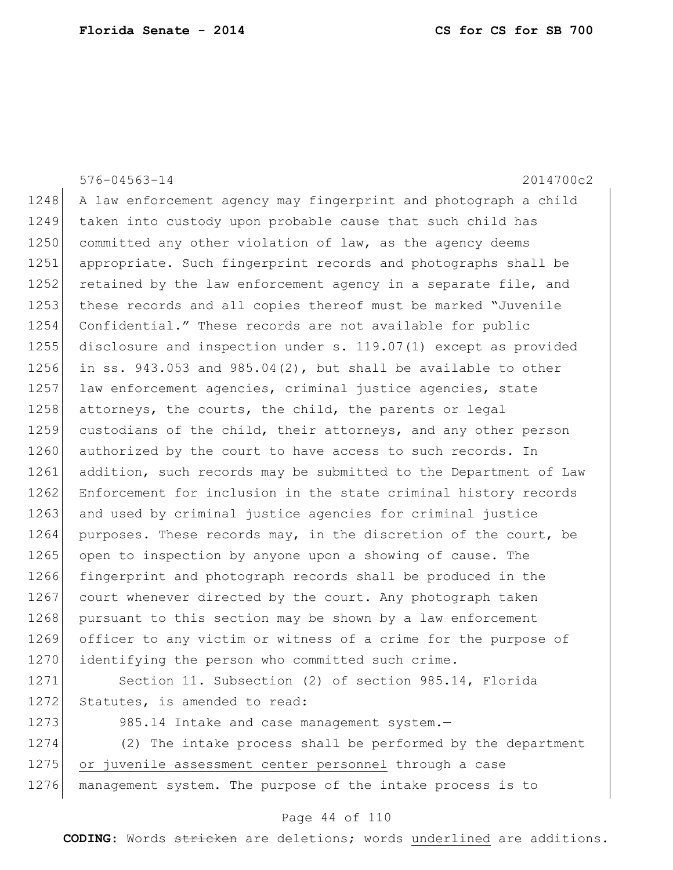|      | $576 - 04563 - 14$<br>2014700c2                                    |
|------|--------------------------------------------------------------------|
| 1248 | A law enforcement agency may fingerprint and photograph a child    |
| 1249 | taken into custody upon probable cause that such child has         |
| 1250 | committed any other violation of law, as the agency deems          |
| 1251 | appropriate. Such fingerprint records and photographs shall be     |
| 1252 | retained by the law enforcement agency in a separate file, and     |
| 1253 | these records and all copies thereof must be marked "Juvenile      |
| 1254 | Confidential." These records are not available for public          |
| 1255 | disclosure and inspection under s. 119.07(1) except as provided    |
| 1256 | in ss. $943.053$ and $985.04(2)$ , but shall be available to other |
| 1257 | law enforcement agencies, criminal justice agencies, state         |
| 1258 | attorneys, the courts, the child, the parents or legal             |
| 1259 | custodians of the child, their attorneys, and any other person     |
| 1260 | authorized by the court to have access to such records. In         |
| 1261 | addition, such records may be submitted to the Department of Law   |
| 1262 | Enforcement for inclusion in the state criminal history records    |
| 1263 | and used by criminal justice agencies for criminal justice         |
| 1264 | purposes. These records may, in the discretion of the court, be    |
| 1265 | open to inspection by anyone upon a showing of cause. The          |
| 1266 | fingerprint and photograph records shall be produced in the        |
| 1267 | court whenever directed by the court. Any photograph taken         |
| 1268 | pursuant to this section may be shown by a law enforcement         |
| 1269 | officer to any victim or witness of a crime for the purpose of     |
| 1270 | identifying the person who committed such crime.                   |
| 1271 | Section 11. Subsection (2) of section 985.14, Florida              |
| 1272 | Statutes, is amended to read:                                      |
| 1273 | 985.14 Intake and case management system.-                         |
| 1274 | (2) The intake process shall be performed by the department        |

1275 or juvenile assessment center personnel through a case

management system. The purpose of the intake process is to

## Page 44 of 110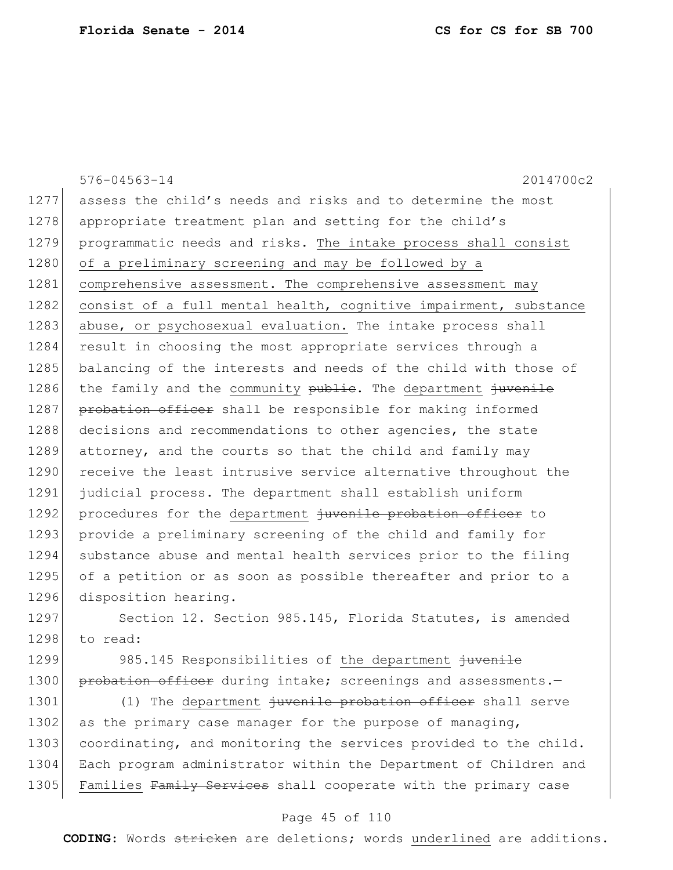576-04563-14 2014700c2 1277 assess the child's needs and risks and to determine the most 1278 appropriate treatment plan and setting for the child's 1279 programmatic needs and risks. The intake process shall consist 1280 of a preliminary screening and may be followed by a 1281 comprehensive assessment. The comprehensive assessment may 1282 consist of a full mental health, cognitive impairment, substance 1283 abuse, or psychosexual evaluation. The intake process shall 1284 result in choosing the most appropriate services through a 1285 balancing of the interests and needs of the child with those of 1286 the family and the community publie. The department juvenile 1287 probation officer shall be responsible for making informed 1288 decisions and recommendations to other agencies, the state 1289 attorney, and the courts so that the child and family may 1290 receive the least intrusive service alternative throughout the 1291 judicial process. The department shall establish uniform 1292 procedures for the department juvenile probation officer to 1293 provide a preliminary screening of the child and family for 1294 substance abuse and mental health services prior to the filing 1295 of a petition or as soon as possible thereafter and prior to a 1296 disposition hearing. 1297 Section 12. Section 985.145, Florida Statutes, is amended 1298 to read: 1299 985.145 Responsibilities of the department juvenile 1300 probation officer during intake; screenings and assessments.-1301 (1) The department juvenile probation officer shall serve

1302 as the primary case manager for the purpose of managing, 1303 coordinating, and monitoring the services provided to the child. 1304 Each program administrator within the Department of Children and 1305 Families Family Services shall cooperate with the primary case

### Page 45 of 110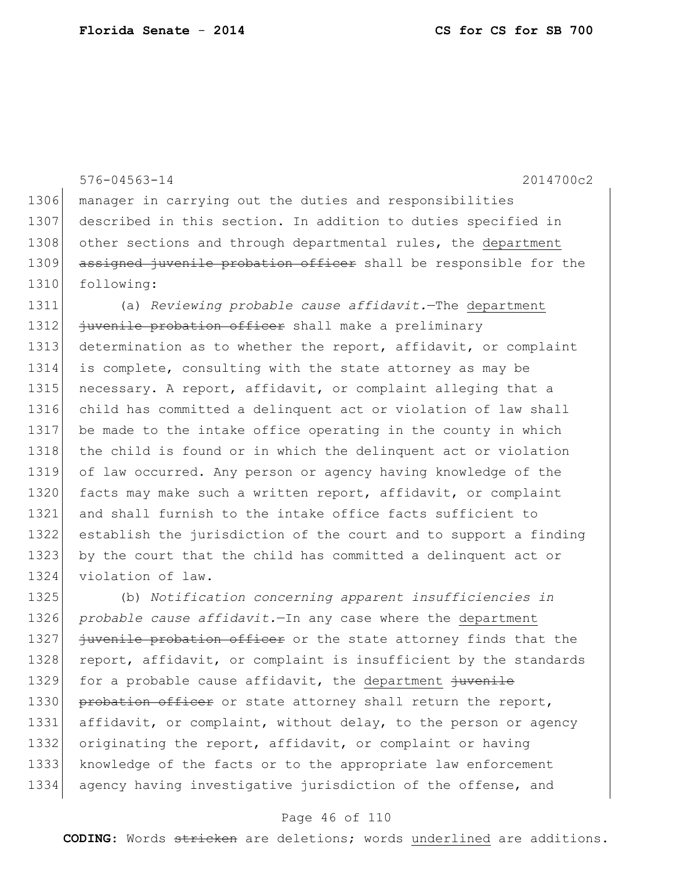576-04563-14 2014700c2 manager in carrying out the duties and responsibilities described in this section. In addition to duties specified in 1308 other sections and through departmental rules, the department 1309 assigned juvenile probation officer shall be responsible for the following: (a) *Reviewing probable cause affidavit.*—The department *juvenile probation officer* shall make a preliminary determination as to whether the report, affidavit, or complaint is complete, consulting with the state attorney as may be 1315 necessary. A report, affidavit, or complaint alleging that a child has committed a delinquent act or violation of law shall be made to the intake office operating in the county in which 1318 the child is found or in which the delinquent act or violation of law occurred. Any person or agency having knowledge of the 1320 facts may make such a written report, affidavit, or complaint and shall furnish to the intake office facts sufficient to establish the jurisdiction of the court and to support a finding by the court that the child has committed a delinquent act or violation of law.

1325 (b) *Notification concerning apparent insufficiencies in*  1326 *probable cause affidavit.*—In any case where the department 1327 juvenile probation officer or the state attorney finds that the 1328 report, affidavit, or complaint is insufficient by the standards 1329 for a probable cause affidavit, the department juvenile 1330 probation officer or state attorney shall return the report, 1331 affidavit, or complaint, without delay, to the person or agency 1332 originating the report, affidavit, or complaint or having 1333 knowledge of the facts or to the appropriate law enforcement 1334 agency having investigative jurisdiction of the offense, and

### Page 46 of 110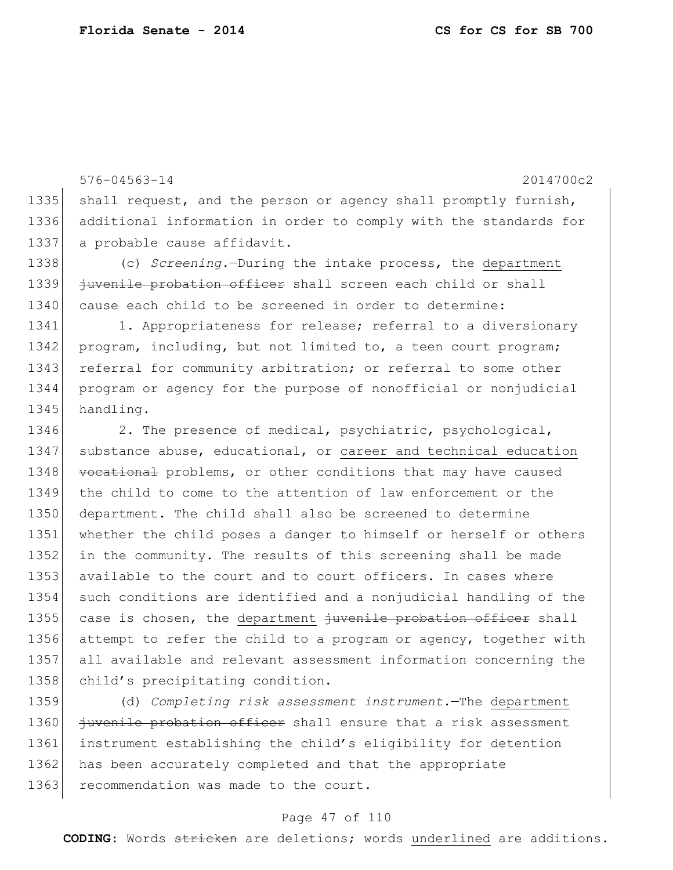576-04563-14 2014700c2 1335 shall request, and the person or agency shall promptly furnish, 1336 additional information in order to comply with the standards for 1337 a probable cause affidavit. 1338 (c) *Screening.*—During the intake process, the department 1339 juvenile probation officer shall screen each child or shall 1340 cause each child to be screened in order to determine: 1341 1. Appropriateness for release; referral to a diversionary 1342 program, including, but not limited to, a teen court program; 1343 referral for community arbitration; or referral to some other 1344 program or agency for the purpose of nonofficial or nonjudicial 1345 handling. 1346 2. The presence of medical, psychiatric, psychological, 1347 | substance abuse, educational, or career and technical education 1348 vocational problems, or other conditions that may have caused 1349 the child to come to the attention of law enforcement or the 1350 department. The child shall also be screened to determine 1351 whether the child poses a danger to himself or herself or others 1352 in the community. The results of this screening shall be made 1353 available to the court and to court officers. In cases where 1354 such conditions are identified and a nonjudicial handling of the

1355 case is chosen, the department juvenile probation officer shall 1356 attempt to refer the child to a program or agency, together with 1357 all available and relevant assessment information concerning the 1358 child's precipitating condition.

1359 (d) *Completing risk assessment instrument.*—The department 1360 juvenile probation officer shall ensure that a risk assessment 1361 instrument establishing the child's eligibility for detention 1362 has been accurately completed and that the appropriate 1363 recommendation was made to the court.

### Page 47 of 110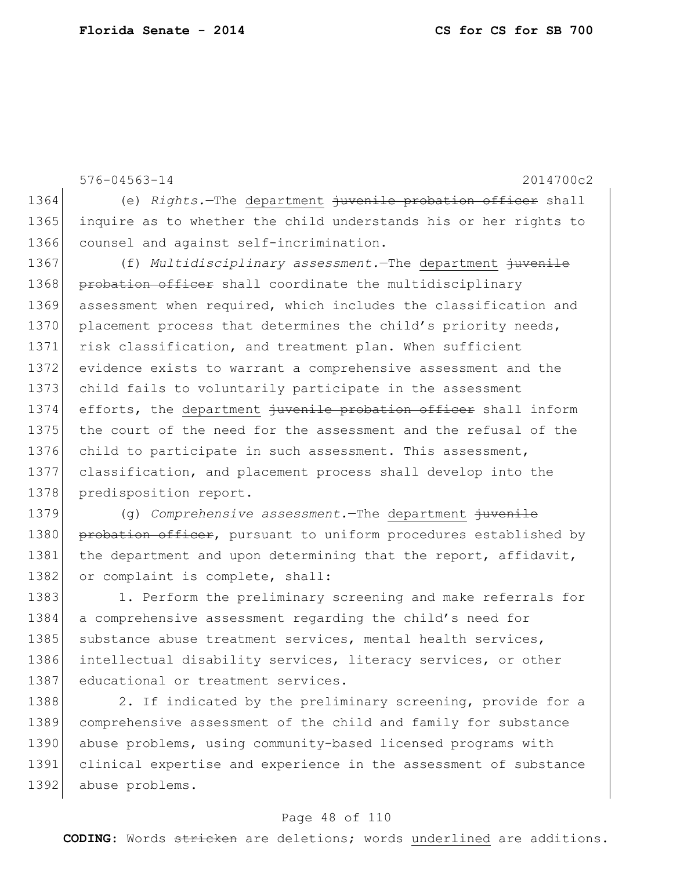576-04563-14 2014700c2 1364 (e) *Rights.*—The department juvenile probation officer shall 1365 inquire as to whether the child understands his or her rights to 1366 counsel and against self-incrimination. 1367 (f) *Multidisciplinary assessment.*—The department juvenile 1368 probation officer shall coordinate the multidisciplinary 1369 assessment when required, which includes the classification and 1370 placement process that determines the child's priority needs, 1371 risk classification, and treatment plan. When sufficient 1372 evidence exists to warrant a comprehensive assessment and the 1373 child fails to voluntarily participate in the assessment 1374 efforts, the department juvenile probation officer shall inform 1375 the court of the need for the assessment and the refusal of the 1376 child to participate in such assessment. This assessment, 1377 classification, and placement process shall develop into the 1378 predisposition report. 1379 (g) *Comprehensive assessment.*—The department juvenile

1380 probation officer, pursuant to uniform procedures established by 1381 the department and upon determining that the report, affidavit, 1382 or complaint is complete, shall:

1383 1. Perform the preliminary screening and make referrals for 1384 a comprehensive assessment regarding the child's need for 1385 substance abuse treatment services, mental health services, 1386 intellectual disability services, literacy services, or other 1387 educational or treatment services.

1388 2. If indicated by the preliminary screening, provide for a 1389 comprehensive assessment of the child and family for substance 1390 abuse problems, using community-based licensed programs with 1391 clinical expertise and experience in the assessment of substance 1392 abuse problems.

### Page 48 of 110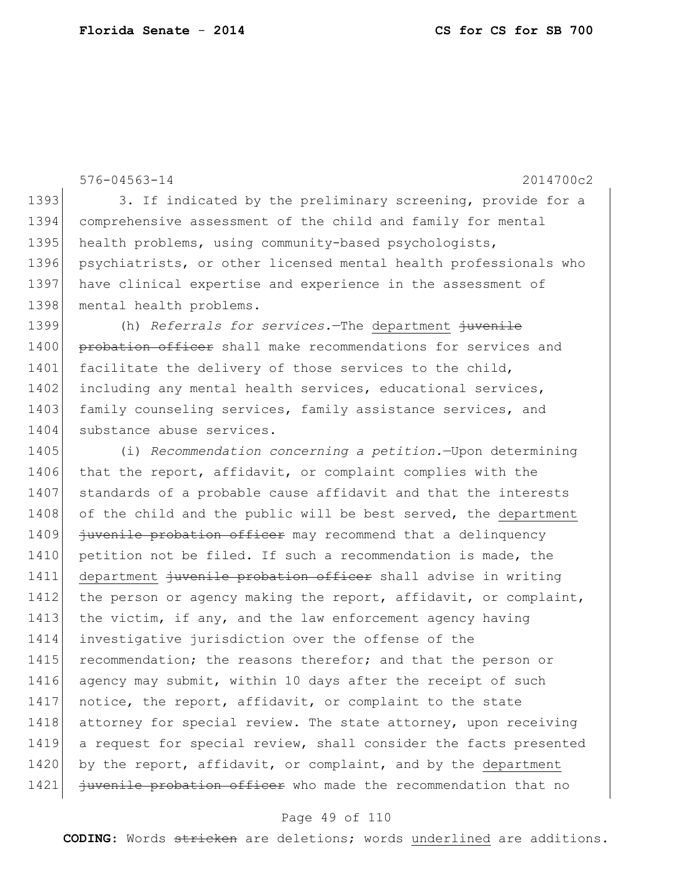```
576-04563-14 2014700c2
1393 3. If indicated by the preliminary screening, provide for a
1394 comprehensive assessment of the child and family for mental 
1395 health problems, using community-based psychologists,
1396 psychiatrists, or other licensed mental health professionals who 
1397 have clinical expertise and experience in the assessment of
1398 mental health problems.
1399 (h) Referrals for services.—The department juvenile 
1400 probation officer shall make recommendations for services and
1401 facilitate the delivery of those services to the child,
1402 including any mental health services, educational services,
1403 family counseling services, family assistance services, and
1404 substance abuse services.
1405 (i) Recommendation concerning a petition.—Upon determining 
1406 that the report, affidavit, or complaint complies with the
1407 standards of a probable cause affidavit and that the interests
1408 of the child and the public will be best served, the department
1409 juvenile probation officer may recommend that a delinquency
1410 petition not be filed. If such a recommendation is made, the
1411 department juvenile probation officer shall advise in writing
1412 the person or agency making the report, affidavit, or complaint,
1413 the victim, if any, and the law enforcement agency having
1414 investigative jurisdiction over the offense of the 
1415 recommendation; the reasons therefor; and that the person or
1416 agency may submit, within 10 days after the receipt of such
1417 notice, the report, affidavit, or complaint to the state
1418 attorney for special review. The state attorney, upon receiving
1419 a request for special review, shall consider the facts presented 
1420 by the report, affidavit, or complaint, and by the department
1421 juvenile probation officer who made the recommendation that no
```
#### Page 49 of 110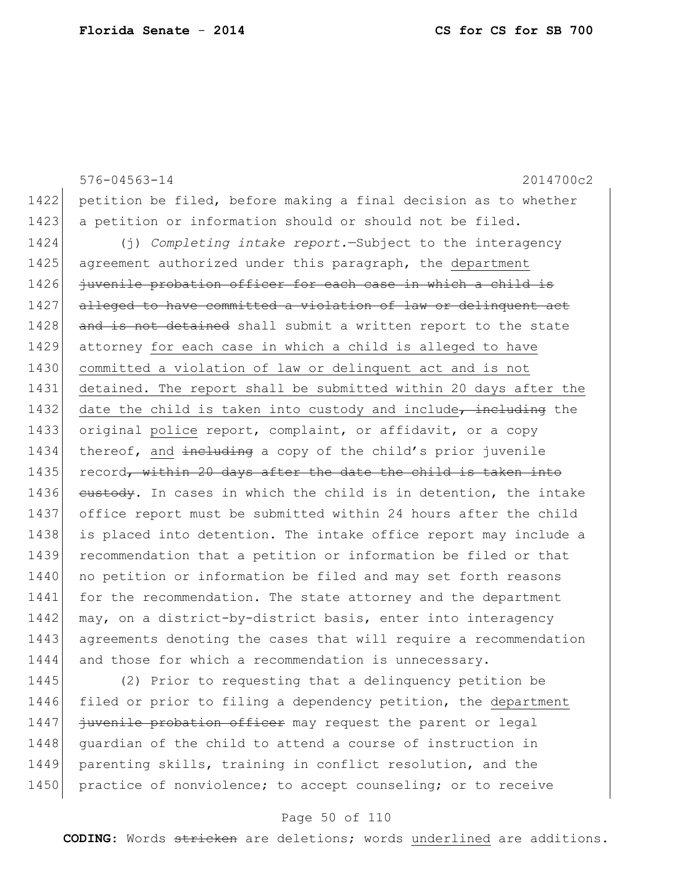576-04563-14 2014700c2 1422 petition be filed, before making a final decision as to whether 1423 a petition or information should or should not be filed. 1424 (j) *Completing intake report.*—Subject to the interagency 1425 agreement authorized under this paragraph, the department 1426 juvenile probation officer for each case in which a child is 1427 alleged to have committed a violation of law or delinquent act 1428 and is not detained shall submit a written report to the state 1429 attorney for each case in which a child is alleged to have 1430 committed a violation of law or delinquent act and is not 1431 detained. The report shall be submitted within 20 days after the 1432 date the child is taken into custody and include, including the 1433 original police report, complaint, or affidavit, or a copy 1434 thereof, and including a copy of the child's prior juvenile 1435 record, within 20 days after the date the child is taken into 1436 custody. In cases in which the child is in detention, the intake 1437 office report must be submitted within 24 hours after the child 1438 is placed into detention. The intake office report may include a 1439 recommendation that a petition or information be filed or that 1440 no petition or information be filed and may set forth reasons 1441 for the recommendation. The state attorney and the department 1442 may, on a district-by-district basis, enter into interagency 1443 agreements denoting the cases that will require a recommendation 1444 and those for which a recommendation is unnecessary.

1445 (2) Prior to requesting that a delinquency petition be 1446 filed or prior to filing a dependency petition, the department 1447 *juvenile probation officer* may request the parent or legal 1448 guardian of the child to attend a course of instruction in 1449 parenting skills, training in conflict resolution, and the 1450 practice of nonviolence; to accept counseling; or to receive

### Page 50 of 110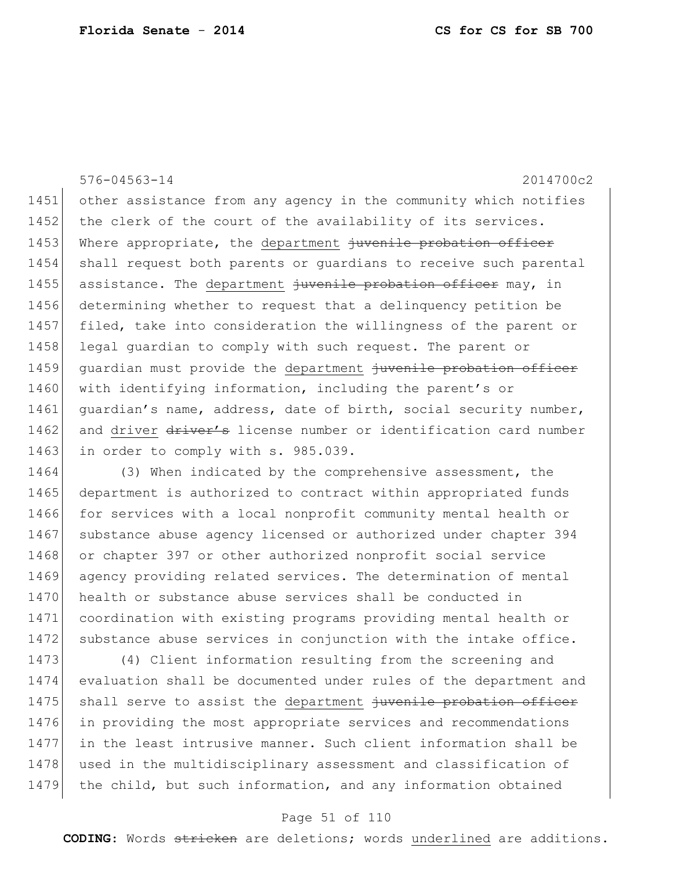576-04563-14 2014700c2 1451 other assistance from any agency in the community which notifies 1452 the clerk of the court of the availability of its services. 1453 Where appropriate, the department juvenile probation officer 1454 shall request both parents or guardians to receive such parental 1455 assistance. The department  $\frac{1}{100}$  assistance. The department  $\frac{1}{100}$  in 1456 determining whether to request that a delinquency petition be 1457 filed, take into consideration the willingness of the parent or 1458 legal guardian to comply with such request. The parent or 1459 guardian must provide the department juvenile probation officer 1460 with identifying information, including the parent's or 1461 | guardian's name, address, date of birth, social security number, 1462 and driver driver's license number or identification card number 1463 in order to comply with s. 985.039.

1464 (3) When indicated by the comprehensive assessment, the 1465 department is authorized to contract within appropriated funds 1466 for services with a local nonprofit community mental health or 1467 substance abuse agency licensed or authorized under chapter 394 1468 or chapter 397 or other authorized nonprofit social service 1469 agency providing related services. The determination of mental 1470 health or substance abuse services shall be conducted in 1471 coordination with existing programs providing mental health or 1472 substance abuse services in conjunction with the intake office.

1473 (4) Client information resulting from the screening and 1474 evaluation shall be documented under rules of the department and 1475 shall serve to assist the department juvenile probation officer 1476 in providing the most appropriate services and recommendations 1477 in the least intrusive manner. Such client information shall be 1478 used in the multidisciplinary assessment and classification of 1479 the child, but such information, and any information obtained

### Page 51 of 110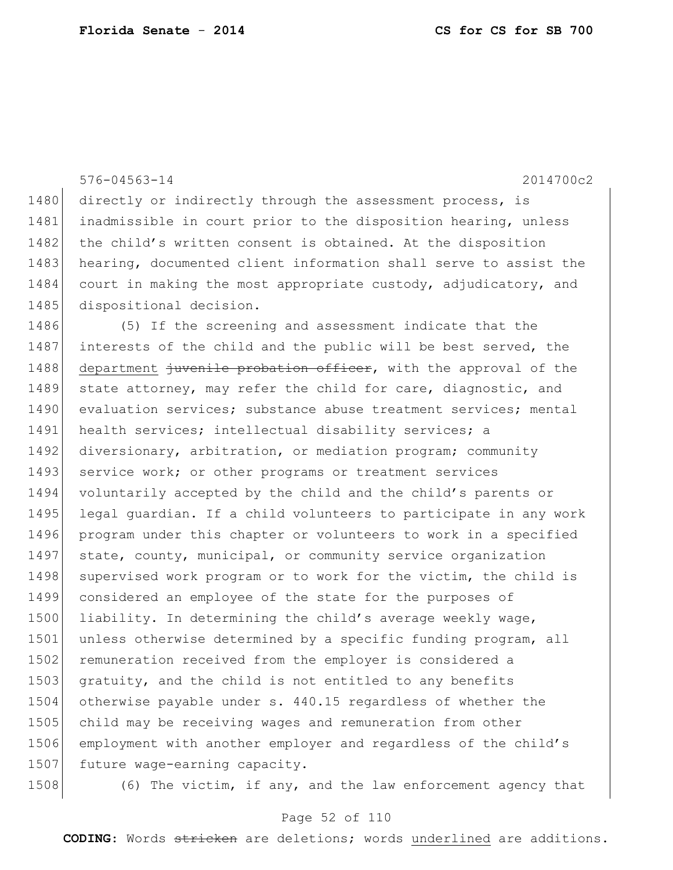|      | $576 - 04563 - 14$<br>2014700c2                                  |
|------|------------------------------------------------------------------|
| 1480 | directly or indirectly through the assessment process, is        |
| 1481 | inadmissible in court prior to the disposition hearing, unless   |
| 1482 | the child's written consent is obtained. At the disposition      |
| 1483 | hearing, documented client information shall serve to assist the |
| 1484 | court in making the most appropriate custody, adjudicatory, and  |
| 1485 | dispositional decision.                                          |
| 1486 | (5) If the screening and assessment indicate that the            |
| 1487 | interests of the child and the public will be best served, the   |
| 1488 | department juvenile probation officer, with the approval of the  |
| 1489 | state attorney, may refer the child for care, diagnostic, and    |
| 1490 | evaluation services; substance abuse treatment services; mental  |
| 1491 | health services; intellectual disability services; a             |
| 1492 | diversionary, arbitration, or mediation program; community       |
| 1493 | service work; or other programs or treatment services            |
| 1494 | voluntarily accepted by the child and the child's parents or     |
| 1495 | legal guardian. If a child volunteers to participate in any work |
| 1496 | program under this chapter or volunteers to work in a specified  |
| 1497 | state, county, municipal, or community service organization      |
| 1498 | supervised work program or to work for the victim, the child is  |
| 1499 | considered an employee of the state for the purposes of          |
| 1500 | liability. In determining the child's average weekly wage,       |
| 1501 | unless otherwise determined by a specific funding program, all   |
| 1502 | remuneration received from the employer is considered a          |
| 1503 | gratuity, and the child is not entitled to any benefits          |
| 1504 | otherwise payable under s. 440.15 regardless of whether the      |
| 1505 | child may be receiving wages and remuneration from other         |
| 1506 | employment with another employer and regardless of the child's   |
| 1507 | future wage-earning capacity.                                    |
|      |                                                                  |

1508 (6) The victim, if any, and the law enforcement agency that

## Page 52 of 110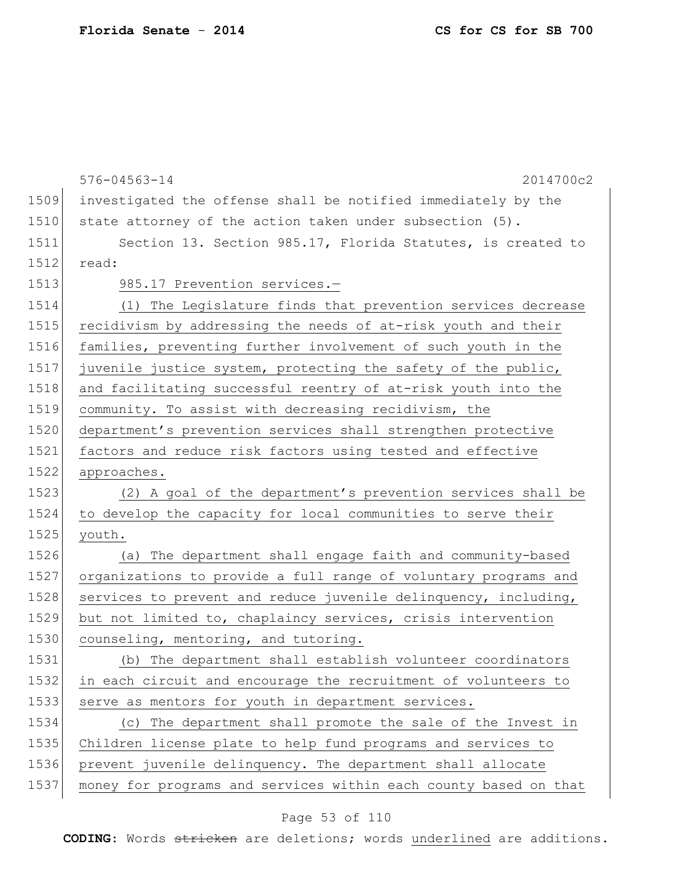|      | $576 - 04563 - 14$<br>2014700c2                                  |
|------|------------------------------------------------------------------|
| 1509 | investigated the offense shall be notified immediately by the    |
| 1510 | state attorney of the action taken under subsection (5).         |
| 1511 | Section 13. Section 985.17, Florida Statutes, is created to      |
| 1512 | read:                                                            |
| 1513 | 985.17 Prevention services.-                                     |
| 1514 | (1) The Legislature finds that prevention services decrease      |
| 1515 | recidivism by addressing the needs of at-risk youth and their    |
| 1516 | families, preventing further involvement of such youth in the    |
| 1517 | juvenile justice system, protecting the safety of the public,    |
| 1518 | and facilitating successful reentry of at-risk youth into the    |
| 1519 | community. To assist with decreasing recidivism, the             |
| 1520 | department's prevention services shall strengthen protective     |
| 1521 | factors and reduce risk factors using tested and effective       |
| 1522 | approaches.                                                      |
| 1523 | (2) A goal of the department's prevention services shall be      |
| 1524 | to develop the capacity for local communities to serve their     |
| 1525 | youth.                                                           |
| 1526 | (a) The department shall engage faith and community-based        |
| 1527 | organizations to provide a full range of voluntary programs and  |
| 1528 | services to prevent and reduce juvenile delinquency, including,  |
| 1529 | but not limited to, chaplaincy services, crisis intervention     |
| 1530 | counseling, mentoring, and tutoring.                             |
| 1531 | (b) The department shall establish volunteer coordinators        |
| 1532 | in each circuit and encourage the recruitment of volunteers to   |
| 1533 | serve as mentors for youth in department services.               |
| 1534 | (c) The department shall promote the sale of the Invest in       |
| 1535 | Children license plate to help fund programs and services to     |
| 1536 | prevent juvenile delinquency. The department shall allocate      |
| 1537 | money for programs and services within each county based on that |
|      |                                                                  |

# Page 53 of 110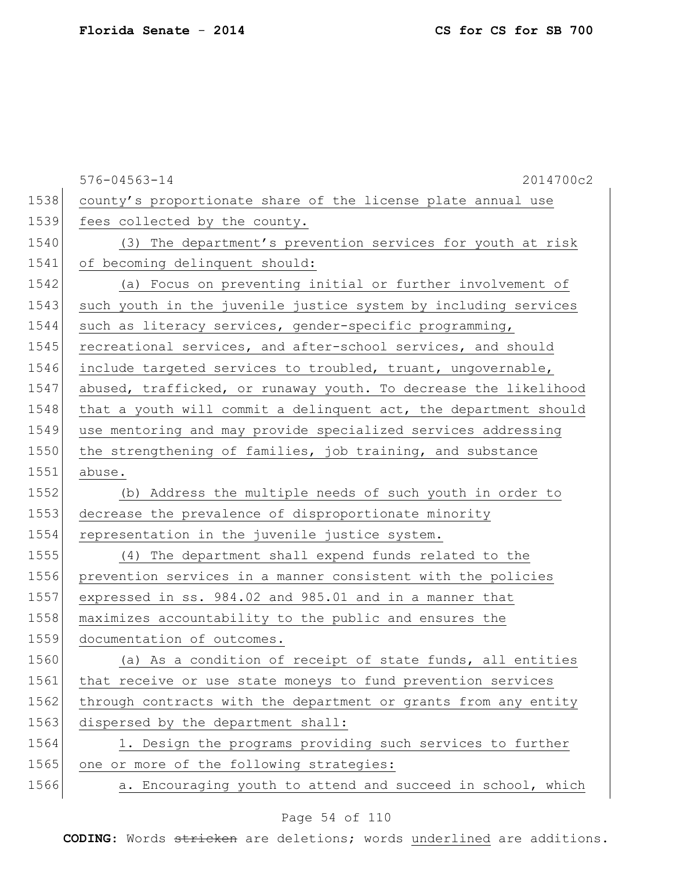|      | 2014700c2<br>$576 - 04563 - 14$                                  |
|------|------------------------------------------------------------------|
| 1538 | county's proportionate share of the license plate annual use     |
| 1539 | fees collected by the county.                                    |
| 1540 | (3) The department's prevention services for youth at risk       |
| 1541 | of becoming delinquent should:                                   |
| 1542 | (a) Focus on preventing initial or further involvement of        |
| 1543 | such youth in the juvenile justice system by including services  |
| 1544 | such as literacy services, gender-specific programming,          |
| 1545 | recreational services, and after-school services, and should     |
| 1546 | include targeted services to troubled, truant, ungovernable,     |
| 1547 | abused, trafficked, or runaway youth. To decrease the likelihood |
| 1548 | that a youth will commit a delinquent act, the department should |
| 1549 | use mentoring and may provide specialized services addressing    |
| 1550 | the strengthening of families, job training, and substance       |
| 1551 | abuse.                                                           |
| 1552 | (b) Address the multiple needs of such youth in order to         |
| 1553 | decrease the prevalence of disproportionate minority             |
| 1554 | representation in the juvenile justice system.                   |
| 1555 | (4) The department shall expend funds related to the             |
| 1556 | prevention services in a manner consistent with the policies     |
| 1557 | expressed in ss. 984.02 and 985.01 and in a manner that          |
| 1558 | maximizes accountability to the public and ensures the           |
| 1559 | documentation of outcomes.                                       |
| 1560 | (a) As a condition of receipt of state funds, all entities       |
| 1561 | that receive or use state moneys to fund prevention services     |
| 1562 | through contracts with the department or grants from any entity  |
| 1563 | dispersed by the department shall:                               |
| 1564 | 1. Design the programs providing such services to further        |
| 1565 | one or more of the following strategies:                         |
| 1566 | a. Encouraging youth to attend and succeed in school, which      |

# Page 54 of 110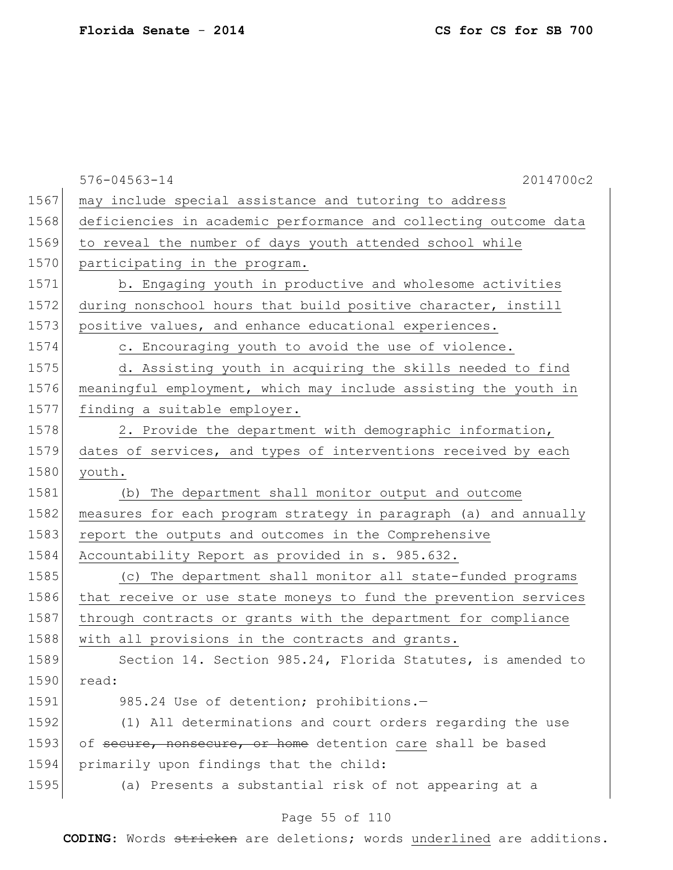|      | $576 - 04563 - 14$<br>2014700c2                                  |
|------|------------------------------------------------------------------|
| 1567 | may include special assistance and tutoring to address           |
| 1568 | deficiencies in academic performance and collecting outcome data |
| 1569 | to reveal the number of days youth attended school while         |
| 1570 | participating in the program.                                    |
| 1571 | b. Engaging youth in productive and wholesome activities         |
| 1572 | during nonschool hours that build positive character, instill    |
| 1573 | positive values, and enhance educational experiences.            |
| 1574 | c. Encouraging youth to avoid the use of violence.               |
| 1575 | d. Assisting youth in acquiring the skills needed to find        |
| 1576 | meaningful employment, which may include assisting the youth in  |
| 1577 | finding a suitable employer.                                     |
| 1578 | 2. Provide the department with demographic information,          |
| 1579 | dates of services, and types of interventions received by each   |
| 1580 | youth.                                                           |
| 1581 | The department shall monitor output and outcome<br>(b)           |
| 1582 | measures for each program strategy in paragraph (a) and annually |
| 1583 | report the outputs and outcomes in the Comprehensive             |
| 1584 | Accountability Report as provided in s. 985.632.                 |
| 1585 | (c) The department shall monitor all state-funded programs       |
| 1586 | that receive or use state moneys to fund the prevention services |
| 1587 | through contracts or grants with the department for compliance   |
| 1588 | with all provisions in the contracts and grants.                 |
| 1589 | Section 14. Section 985.24, Florida Statutes, is amended to      |
| 1590 | read:                                                            |
| 1591 | 985.24 Use of detention; prohibitions.-                          |
| 1592 | (1) All determinations and court orders regarding the use        |
| 1593 | of secure, nonsecure, or home detention care shall be based      |
| 1594 | primarily upon findings that the child:                          |
| 1595 | (a) Presents a substantial risk of not appearing at a            |
|      | Page 55 of 110                                                   |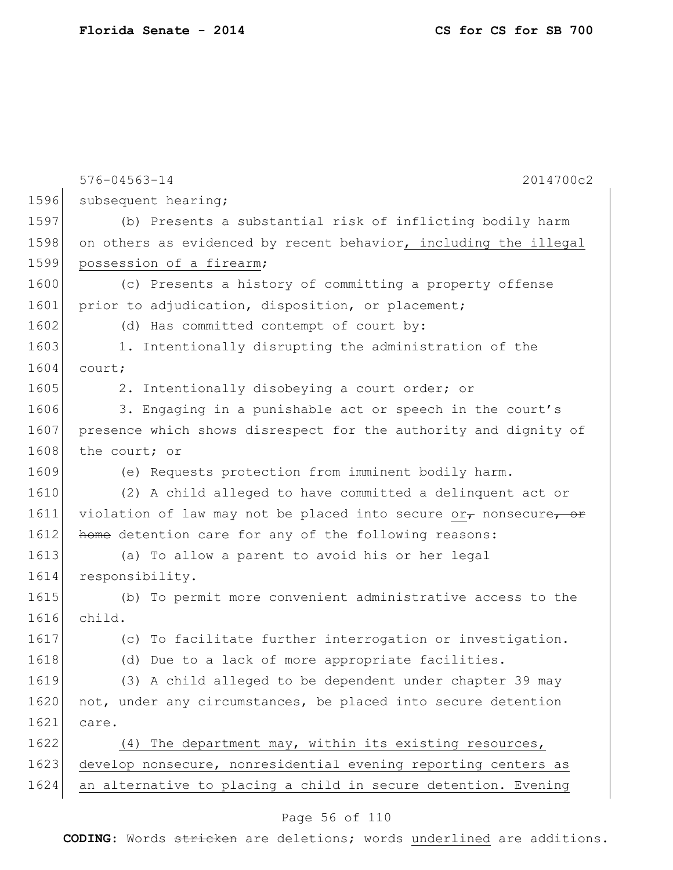|      | $576 - 04563 - 14$<br>2014700c2                                           |
|------|---------------------------------------------------------------------------|
| 1596 | subsequent hearing;                                                       |
| 1597 | (b) Presents a substantial risk of inflicting bodily harm                 |
| 1598 | on others as evidenced by recent behavior, including the illegal          |
| 1599 | possession of a firearm;                                                  |
| 1600 | (c) Presents a history of committing a property offense                   |
| 1601 | prior to adjudication, disposition, or placement;                         |
| 1602 | (d) Has committed contempt of court by:                                   |
| 1603 | 1. Intentionally disrupting the administration of the                     |
| 1604 | court;                                                                    |
| 1605 | 2. Intentionally disobeying a court order; or                             |
| 1606 | 3. Engaging in a punishable act or speech in the court's                  |
| 1607 | presence which shows disrespect for the authority and dignity of          |
| 1608 | the court; or                                                             |
| 1609 | (e) Requests protection from imminent bodily harm.                        |
| 1610 | (2) A child alleged to have committed a delinquent act or                 |
| 1611 | violation of law may not be placed into secure or $_{\tau}$ nonsecure, or |
| 1612 | home detention care for any of the following reasons:                     |
| 1613 | (a) To allow a parent to avoid his or her legal                           |
| 1614 | responsibility.                                                           |
| 1615 | (b) To permit more convenient administrative access to the                |
| 1616 | child.                                                                    |
| 1617 | (c) To facilitate further interrogation or investigation.                 |
| 1618 | (d) Due to a lack of more appropriate facilities.                         |
| 1619 | (3) A child alleged to be dependent under chapter 39 may                  |
| 1620 | not, under any circumstances, be placed into secure detention             |
| 1621 | care.                                                                     |
| 1622 | (4) The department may, within its existing resources,                    |
| 1623 | develop nonsecure, nonresidential evening reporting centers as            |
| 1624 | an alternative to placing a child in secure detention. Evening            |
|      |                                                                           |

# Page 56 of 110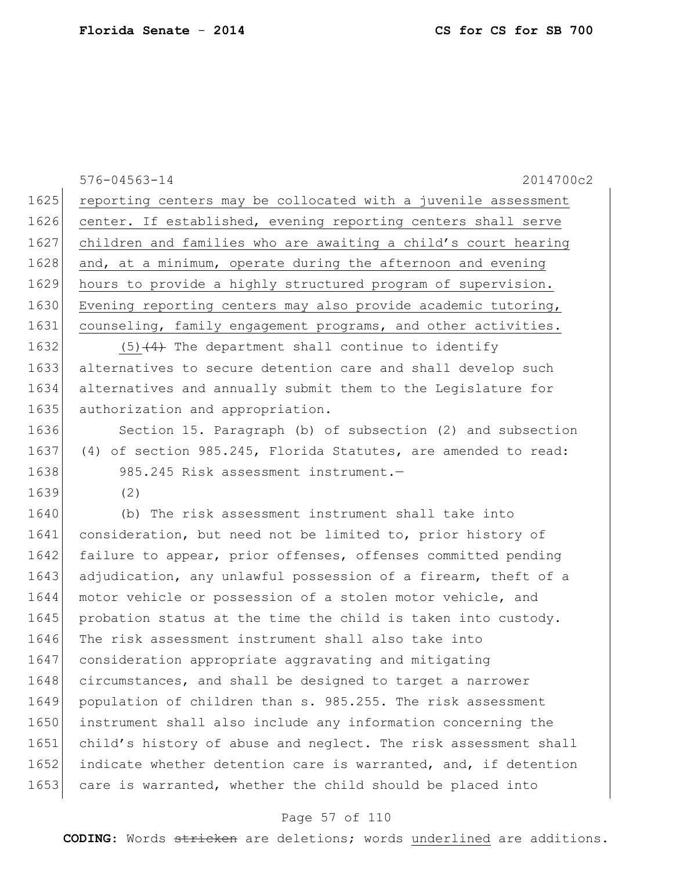|      | $576 - 04563 - 14$<br>2014700c2                                 |
|------|-----------------------------------------------------------------|
| 1625 | reporting centers may be collocated with a juvenile assessment  |
| 1626 | center. If established, evening reporting centers shall serve   |
| 1627 | children and families who are awaiting a child's court hearing  |
| 1628 | and, at a minimum, operate during the afternoon and evening     |
| 1629 | hours to provide a highly structured program of supervision.    |
| 1630 | Evening reporting centers may also provide academic tutoring,   |
| 1631 | counseling, family engagement programs, and other activities.   |
| 1632 | $(5)$ $(4)$ The department shall continue to identify           |
| 1633 | alternatives to secure detention care and shall develop such    |
| 1634 | alternatives and annually submit them to the Legislature for    |
| 1635 | authorization and appropriation.                                |
| 1636 | Section 15. Paragraph (b) of subsection (2) and subsection      |
| 1637 | (4) of section 985.245, Florida Statutes, are amended to read:  |
| 1638 | 985.245 Risk assessment instrument.-                            |
| 1639 | (2)                                                             |
| 1640 | (b) The risk assessment instrument shall take into              |
| 1641 | consideration, but need not be limited to, prior history of     |
| 1642 | failure to appear, prior offenses, offenses committed pending   |
| 1643 | adjudication, any unlawful possession of a firearm, theft of a  |
| 1644 | motor vehicle or possession of a stolen motor vehicle, and      |
| 1645 | probation status at the time the child is taken into custody.   |
| 1646 | The risk assessment instrument shall also take into             |
| 1647 | consideration appropriate aggravating and mitigating            |
| 1648 | circumstances, and shall be designed to target a narrower       |
| 1649 | population of children than s. 985.255. The risk assessment     |
| 1650 | instrument shall also include any information concerning the    |
| 1651 | child's history of abuse and neglect. The risk assessment shall |
| 1652 | indicate whether detention care is warranted, and, if detention |
| 1653 | care is warranted, whether the child should be placed into      |

# Page 57 of 110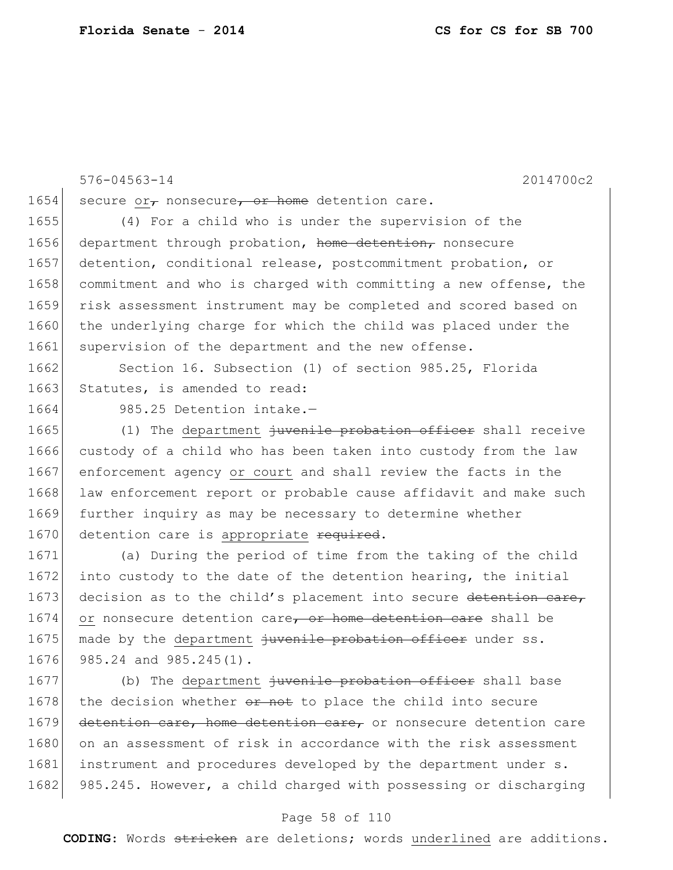576-04563-14 2014700c2 1654 secure or<sub>7</sub> nonsecure<sub>7</sub> or home detention care. 1655 (4) For a child who is under the supervision of the 1656 department through probation, home detention, nonsecure 1657 detention, conditional release, postcommitment probation, or 1658 commitment and who is charged with committing a new offense, the 1659 risk assessment instrument may be completed and scored based on 1660 the underlying charge for which the child was placed under the 1661 supervision of the department and the new offense.

1662 Section 16. Subsection (1) of section 985.25, Florida 1663 Statutes, is amended to read:

1664 985.25 Detention intake.-

1665 (1) The department iuvenile probation officer shall receive 1666 custody of a child who has been taken into custody from the law 1667 enforcement agency or court and shall review the facts in the 1668 law enforcement report or probable cause affidavit and make such 1669 further inquiry as may be necessary to determine whether 1670 detention care is appropriate required.

1671 (a) During the period of time from the taking of the child 1672 into custody to the date of the detention hearing, the initial 1673 decision as to the child's placement into secure detention care, 1674 or nonsecure detention care, or home detention care shall be 1675 made by the department juvenile probation officer under ss. 1676 985.24 and 985.245(1).

1677 (b) The department juvenile probation officer shall base 1678 the decision whether  $e^r$  not to place the child into secure 1679 detention care, home detention care, or nonsecure detention care 1680 on an assessment of risk in accordance with the risk assessment 1681 instrument and procedures developed by the department under s. 1682 985.245. However, a child charged with possessing or discharging

#### Page 58 of 110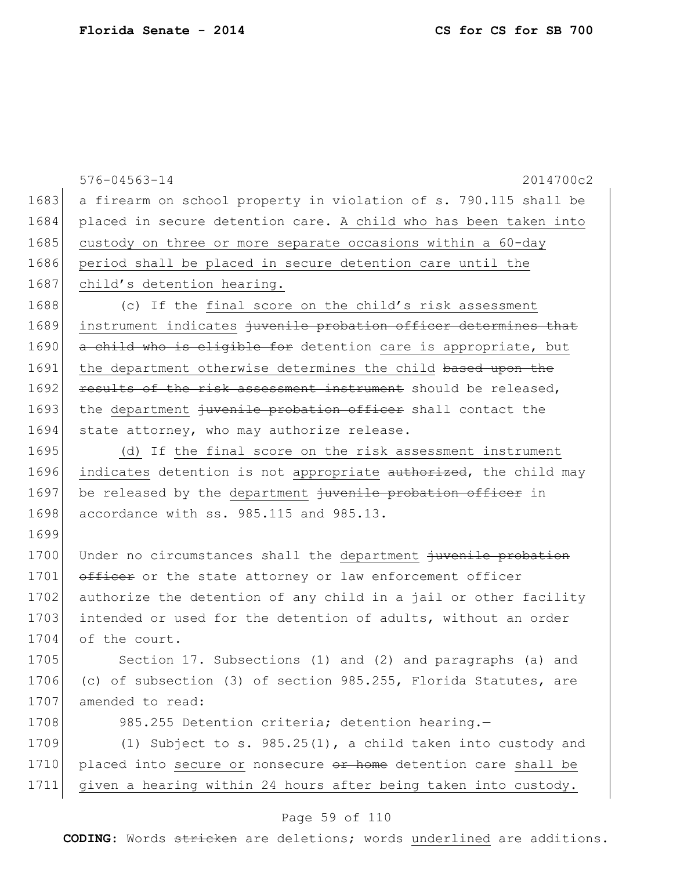|      | $576 - 04563 - 14$<br>2014700c2                                  |
|------|------------------------------------------------------------------|
| 1683 | a firearm on school property in violation of s. 790.115 shall be |
| 1684 | placed in secure detention care. A child who has been taken into |
| 1685 | custody on three or more separate occasions within a 60-day      |
| 1686 | period shall be placed in secure detention care until the        |
| 1687 | child's detention hearing.                                       |
| 1688 | (c) If the final score on the child's risk assessment            |
| 1689 | instrument indicates juvenile probation officer determines that  |
| 1690 | a child who is eligible for detention care is appropriate, but   |
| 1691 | the department otherwise determines the child based upon the     |
| 1692 | results of the risk assessment instrument should be released,    |
| 1693 | the department juvenile probation officer shall contact the      |
| 1694 | state attorney, who may authorize release.                       |
| 1695 | (d) If the final score on the risk assessment instrument         |
| 1696 | indicates detention is not appropriate authorized, the child may |
| 1697 | be released by the department juvenile probation officer in      |
| 1698 | accordance with ss. 985.115 and 985.13.                          |
| 1699 |                                                                  |
| 1700 | Under no circumstances shall the department juvenile probation   |
| 1701 | officer or the state attorney or law enforcement officer         |
| 1702 | authorize the detention of any child in a jail or other facility |
| 1703 | intended or used for the detention of adults, without an order   |
| 1704 | of the court.                                                    |
| 1705 | Section 17. Subsections (1) and (2) and paragraphs (a) and       |
| 1706 | (c) of subsection (3) of section 985.255, Florida Statutes, are  |
| 1707 | amended to read:                                                 |
| 1708 | 985.255 Detention criteria; detention hearing.-                  |
| 1709 | (1) Subject to s. $985.25(1)$ , a child taken into custody and   |
| 1710 | placed into secure or nonsecure or home detention care shall be  |
| 1711 | given a hearing within 24 hours after being taken into custody.  |

# Page 59 of 110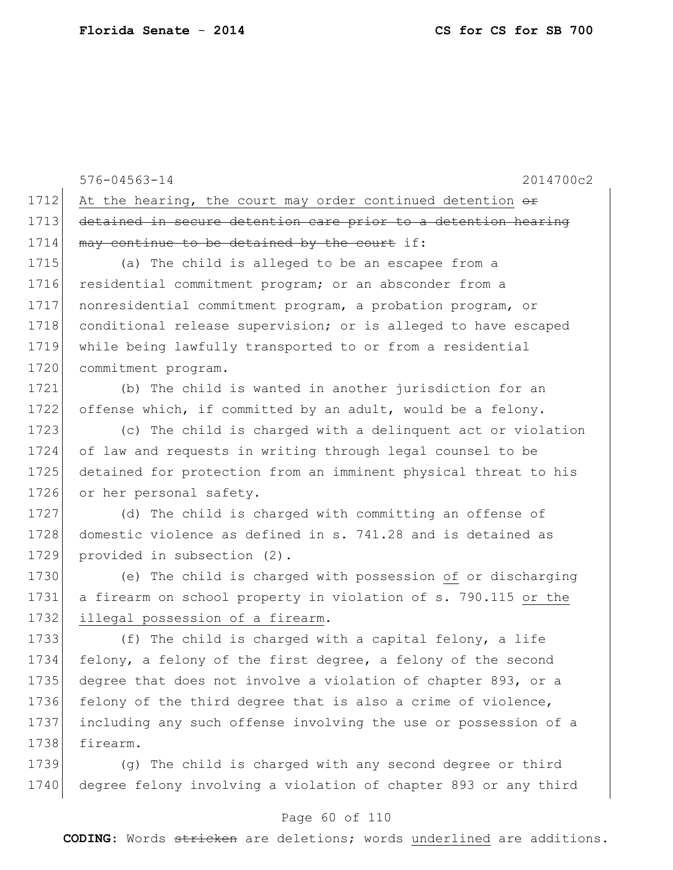576-04563-14 2014700c2 1712 At the hearing, the court may order continued detention  $\theta$ 1713 detained in secure detention care prior to a detention hearing 1714 may continue to be detained by the court if: 1715 (a) The child is alleged to be an escapee from a

1716 residential commitment program; or an absconder from a 1717 nonresidential commitment program, a probation program, or 1718 conditional release supervision; or is alleged to have escaped 1719 while being lawfully transported to or from a residential 1720 commitment program.

1721 (b) The child is wanted in another jurisdiction for an 1722 offense which, if committed by an adult, would be a felony.

 (c) The child is charged with a delinquent act or violation of law and requests in writing through legal counsel to be detained for protection from an imminent physical threat to his 1726 or her personal safety.

1727 (d) The child is charged with committing an offense of 1728 domestic violence as defined in s. 741.28 and is detained as 1729 provided in subsection (2).

1730 (e) The child is charged with possession of or discharging 1731 a firearm on school property in violation of s. 790.115 or the 1732 illegal possession of a firearm.

1733 (f) The child is charged with a capital felony, a life 1734 felony, a felony of the first degree, a felony of the second 1735 degree that does not involve a violation of chapter 893, or a 1736 felony of the third degree that is also a crime of violence, 1737 including any such offense involving the use or possession of a 1738 firearm.

1739 (g) The child is charged with any second degree or third 1740 degree felony involving a violation of chapter 893 or any third

### Page 60 of 110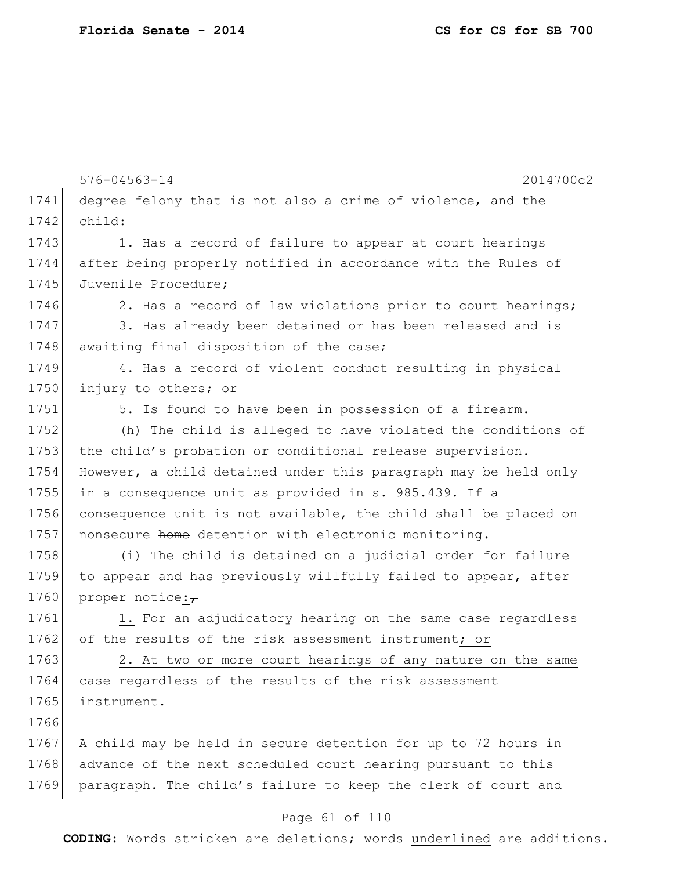|      | $576 - 04563 - 14$<br>2014700c2                                 |
|------|-----------------------------------------------------------------|
| 1741 | degree felony that is not also a crime of violence, and the     |
| 1742 | child:                                                          |
| 1743 | 1. Has a record of failure to appear at court hearings          |
| 1744 | after being properly notified in accordance with the Rules of   |
| 1745 | Juvenile Procedure;                                             |
| 1746 | 2. Has a record of law violations prior to court hearings;      |
| 1747 | 3. Has already been detained or has been released and is        |
| 1748 | awaiting final disposition of the case;                         |
| 1749 | 4. Has a record of violent conduct resulting in physical        |
| 1750 | injury to others; or                                            |
| 1751 | 5. Is found to have been in possession of a firearm.            |
| 1752 | (h) The child is alleged to have violated the conditions of     |
| 1753 | the child's probation or conditional release supervision.       |
| 1754 | However, a child detained under this paragraph may be held only |
| 1755 | in a consequence unit as provided in s. 985.439. If a           |
| 1756 | consequence unit is not available, the child shall be placed on |
| 1757 | nonsecure home detention with electronic monitoring.            |
| 1758 | (i) The child is detained on a judicial order for failure       |
| 1759 | to appear and has previously willfully failed to appear, after  |
| 1760 | proper notice: $\overline{\tau}$                                |
| 1761 | 1. For an adjudicatory hearing on the same case regardless      |
| 1762 | of the results of the risk assessment instrument; or            |
| 1763 | 2. At two or more court hearings of any nature on the same      |
| 1764 | case regardless of the results of the risk assessment           |
| 1765 | instrument.                                                     |
| 1766 |                                                                 |
| 1767 | A child may be held in secure detention for up to 72 hours in   |
| 1768 | advance of the next scheduled court hearing pursuant to this    |
| 1769 | paragraph. The child's failure to keep the clerk of court and   |
|      | Page 61 of 110                                                  |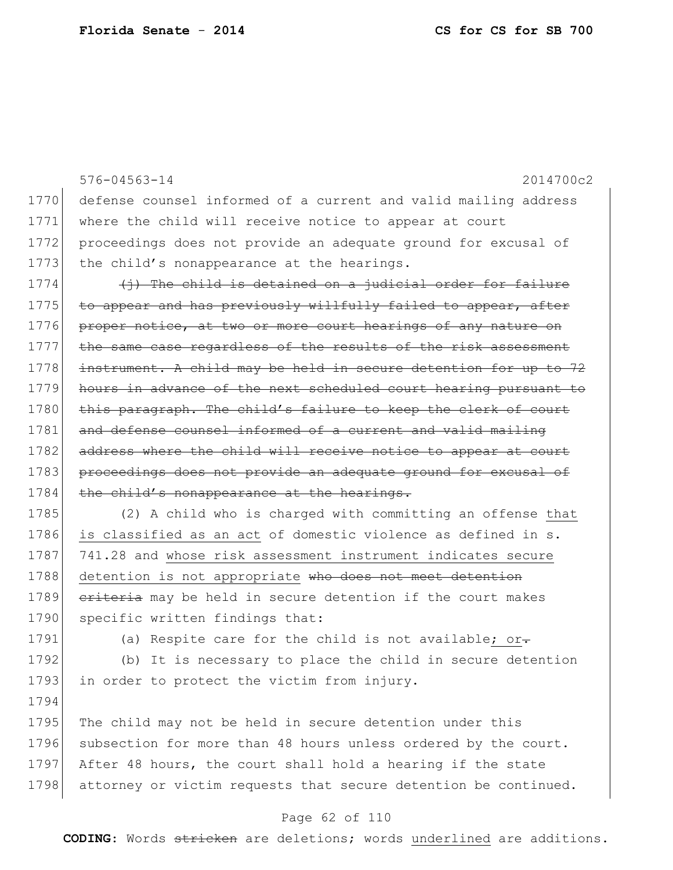|      | $576 - 04563 - 14$<br>2014700c2                                  |
|------|------------------------------------------------------------------|
| 1770 | defense counsel informed of a current and valid mailing address  |
| 1771 | where the child will receive notice to appear at court           |
| 1772 | proceedings does not provide an adequate ground for excusal of   |
| 1773 | the child's nonappearance at the hearings.                       |
| 1774 | $(i)$ The child is detained on a judicial order for failure      |
| 1775 | to appear and has previously willfully failed to appear, after   |
| 1776 | proper notice, at two or more court hearings of any nature on    |
| 1777 | the same case regardless of the results of the risk assessment   |
| 1778 | instrument. A child may be held in secure detention for up to 72 |
| 1779 | hours in advance of the next scheduled court hearing pursuant to |
| 1780 | this paragraph. The child's failure to keep the clerk of court   |
| 1781 | and defense counsel informed of a current and valid mailing      |
| 1782 | address where the child will receive notice to appear at court   |
| 1783 | proceedings does not provide an adequate ground for excusal of   |
| 1784 | the child's nonappearance at the hearings.                       |
| 1785 | (2) A child who is charged with committing an offense that       |
| 1786 | is classified as an act of domestic violence as defined in s.    |
| 1787 | 741.28 and whose risk assessment instrument indicates secure     |

1788 detention is not appropriate who does not meet detention 1789 criteria may be held in secure detention if the court makes 1790 specific written findings that:

1794

1791 (a) Respite care for the child is not available; or-

1792 (b) It is necessary to place the child in secure detention 1793 in order to protect the victim from injury.

1795 The child may not be held in secure detention under this 1796 subsection for more than 48 hours unless ordered by the court. 1797 After 48 hours, the court shall hold a hearing if the state 1798 attorney or victim requests that secure detention be continued.

### Page 62 of 110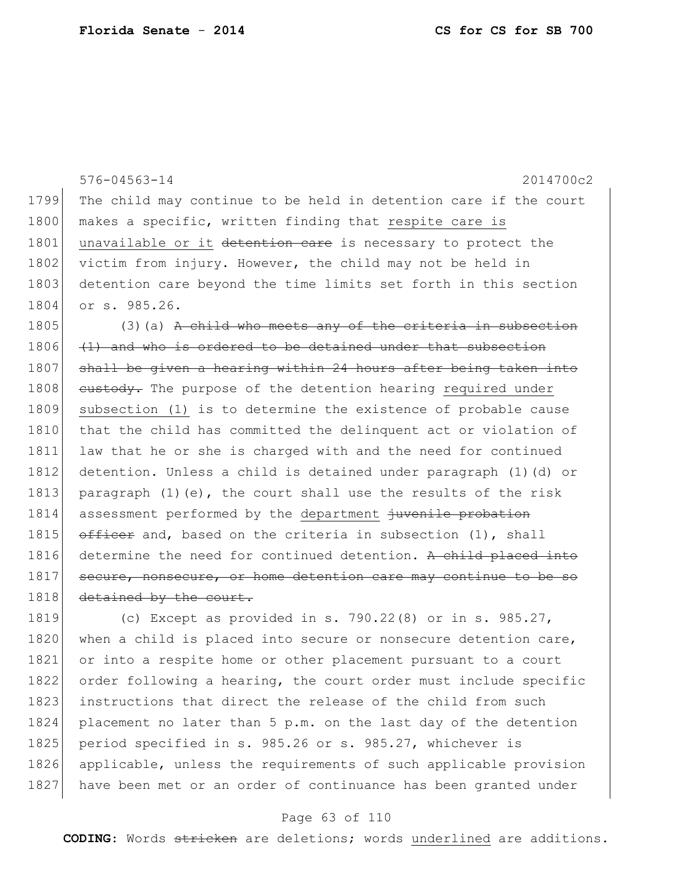576-04563-14 2014700c2 1799 The child may continue to be held in detention care if the court 1800 makes a specific, written finding that respite care is 1801 unavailable or it detention eare is necessary to protect the 1802 victim from injury. However, the child may not be held in 1803 detention care beyond the time limits set forth in this section 1804 or s. 985.26. 1805 (3)(a) A child who meets any of the criteria in subsection  $1806$  (1) and who is ordered to be detained under that subsection 1807 shall be given a hearing within 24 hours after being taken into 1808 custody. The purpose of the detention hearing required under 1809 subsection (1) is to determine the existence of probable cause 1810 that the child has committed the delinguent act or violation of 1811 law that he or she is charged with and the need for continued 1812 detention. Unless a child is detained under paragraph (1)(d) or 1813 paragraph  $(1)(e)$ , the court shall use the results of the risk 1814 assessment performed by the department juvenile probation 1815  $\overline{\text{offset}}$  and, based on the criteria in subsection (1), shall 1816 determine the need for continued detention. A child placed into 1817 secure, nonsecure, or home detention care may continue to be so 1818 detained by the court. 1819 (c) Except as provided in s. 790.22(8) or in s. 985.27,

1820 when a child is placed into secure or nonsecure detention care, 1821 or into a respite home or other placement pursuant to a court 1822 order following a hearing, the court order must include specific 1823 instructions that direct the release of the child from such 1824 placement no later than 5 p.m. on the last day of the detention 1825 period specified in s. 985.26 or s. 985.27, whichever is 1826 applicable, unless the requirements of such applicable provision 1827 have been met or an order of continuance has been granted under

### Page 63 of 110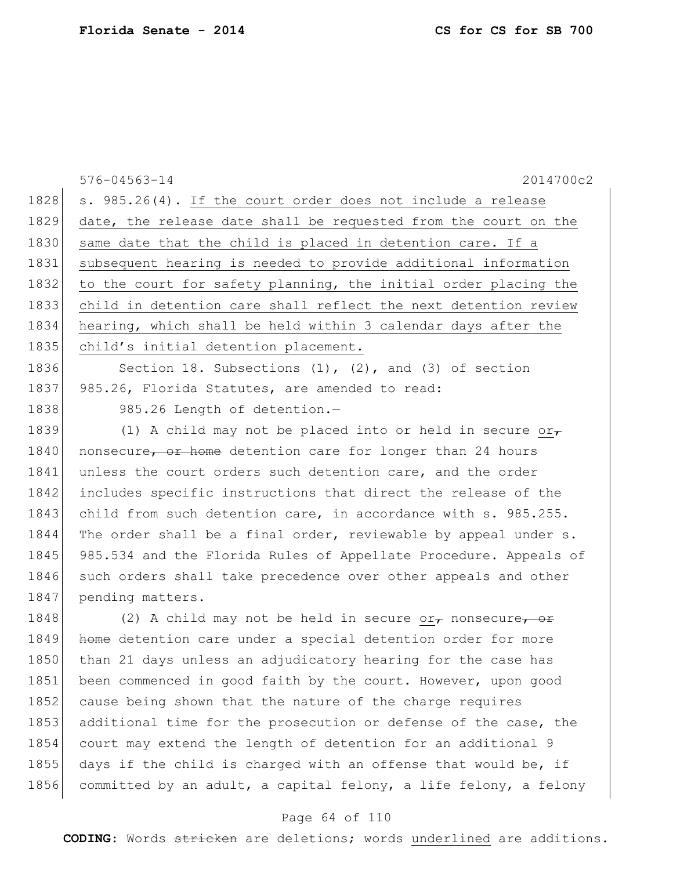576-04563-14 2014700c2 1828 s. 985.26(4). If the court order does not include a release 1829 date, the release date shall be requested from the court on the 1830 same date that the child is placed in detention care. If a 1831 subsequent hearing is needed to provide additional information 1832 to the court for safety planning, the initial order placing the 1833 child in detention care shall reflect the next detention review 1834 hearing, which shall be held within 3 calendar days after the 1835 child's initial detention placement. 1836 Section 18. Subsections (1), (2), and (3) of section 1837 985.26, Florida Statutes, are amended to read: 1838 985.26 Length of detention.-1839 (1) A child may not be placed into or held in secure or 1840 nonsecure, or home detention care for longer than 24 hours 1841 unless the court orders such detention care, and the order 1842 includes specific instructions that direct the release of the 1843 child from such detention care, in accordance with s. 985.255. 1844 The order shall be a final order, reviewable by appeal under s. 1845 985.534 and the Florida Rules of Appellate Procedure. Appeals of 1846 such orders shall take precedence over other appeals and other 1847 pending matters. 1848 (2) A child may not be held in secure or ponsecure, or 1849 home detention care under a special detention order for more 1850 than 21 days unless an adjudicatory hearing for the case has 1851 been commenced in good faith by the court. However, upon good 1852 cause being shown that the nature of the charge requires 1853 additional time for the prosecution or defense of the case, the 1854 court may extend the length of detention for an additional 9

1855 days if the child is charged with an offense that would be, if 1856 committed by an adult, a capital felony, a life felony, a felony

### Page 64 of 110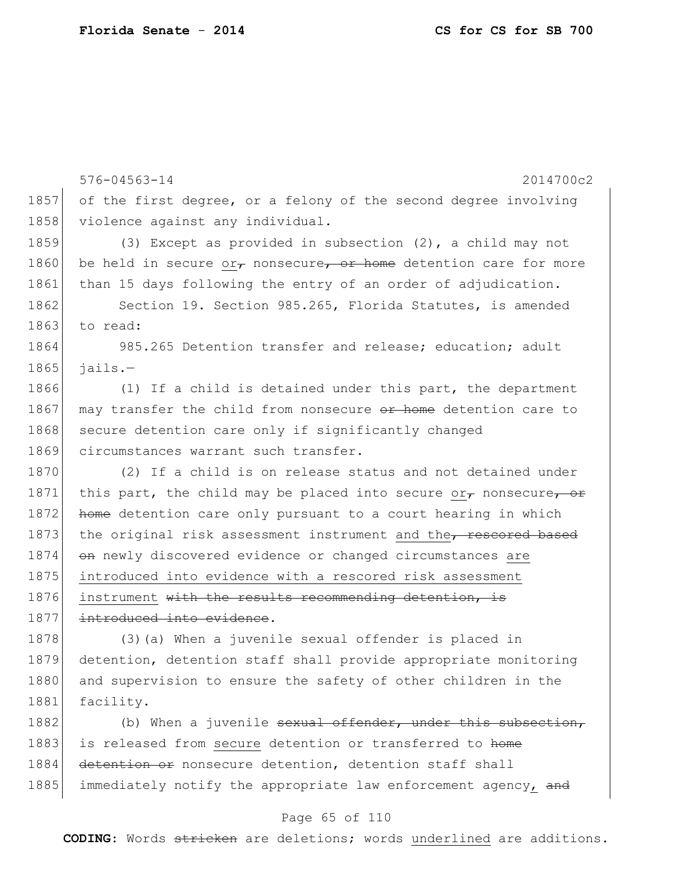576-04563-14 2014700c2 1857 of the first degree, or a felony of the second degree involving 1858 violence against any individual. 1859 (3) Except as provided in subsection (2), a child may not 1860 be held in secure  $o r_{\tau}$  nonsecure, or home detention care for more 1861 than 15 days following the entry of an order of adjudication. 1862 Section 19. Section 985.265, Florida Statutes, is amended 1863 to read: 1864 985.265 Detention transfer and release; education; adult  $1865$  jails.-1866 (1) If a child is detained under this part, the department 1867 may transfer the child from nonsecure or home detention care to 1868 secure detention care only if significantly changed 1869 circumstances warrant such transfer. 1870 (2) If a child is on release status and not detained under 1871 this part, the child may be placed into secure or $\tau$  nonsecure, or 1872 home detention care only pursuant to a court hearing in which 1873 the original risk assessment instrument and the, rescored based 1874 on newly discovered evidence or changed circumstances are 1875 introduced into evidence with a rescored risk assessment 1876 instrument with the results recommending detention, is 1877 introduced into evidence. 1878 (3)(a) When a juvenile sexual offender is placed in 1879 detention, detention staff shall provide appropriate monitoring 1880 and supervision to ensure the safety of other children in the 1881 facility.

1882 (b) When a juvenile sexual offender, under this subsection, 1883 is released from secure detention or transferred to home 1884 detention or nonsecure detention, detention staff shall 1885 immediately notify the appropriate law enforcement agency, and

### Page 65 of 110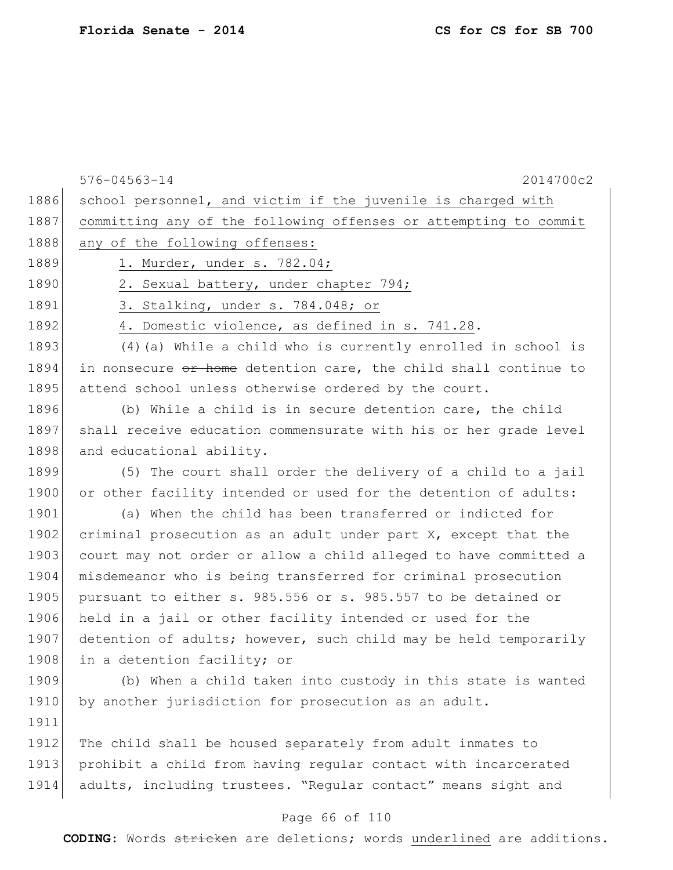|      | $576 - 04563 - 14$<br>2014700c2                                  |
|------|------------------------------------------------------------------|
| 1886 | school personnel, and victim if the juvenile is charged with     |
| 1887 | committing any of the following offenses or attempting to commit |
| 1888 | any of the following offenses:                                   |
| 1889 | 1. Murder, under s. 782.04;                                      |
| 1890 | 2. Sexual battery, under chapter 794;                            |
| 1891 | 3. Stalking, under s. 784.048; or                                |
| 1892 | 4. Domestic violence, as defined in s. 741.28.                   |
| 1893 | (4) (a) While a child who is currently enrolled in school is     |
| 1894 | in nonsecure or home detention care, the child shall continue to |
| 1895 | attend school unless otherwise ordered by the court.             |
| 1896 | (b) While a child is in secure detention care, the child         |
| 1897 | shall receive education commensurate with his or her grade level |
| 1898 | and educational ability.                                         |
| 1899 | (5) The court shall order the delivery of a child to a jail      |
| 1900 | or other facility intended or used for the detention of adults:  |
| 1901 | (a) When the child has been transferred or indicted for          |
| 1902 | criminal prosecution as an adult under part X, except that the   |
| 1903 | court may not order or allow a child alleged to have committed a |
| 1904 | misdemeanor who is being transferred for criminal prosecution    |
| 1905 | pursuant to either s. 985.556 or s. 985.557 to be detained or    |
| 1906 | held in a jail or other facility intended or used for the        |
| 1907 | detention of adults; however, such child may be held temporarily |
| 1908 | in a detention facility; or                                      |
| 1909 | (b) When a child taken into custody in this state is wanted      |
| 1910 | by another jurisdiction for prosecution as an adult.             |
| 1911 |                                                                  |
| 1912 | The child shall be housed separately from adult inmates to       |
| 1913 | prohibit a child from having regular contact with incarcerated   |
| 1914 | adults, including trustees. "Regular contact" means sight and    |

# Page 66 of 110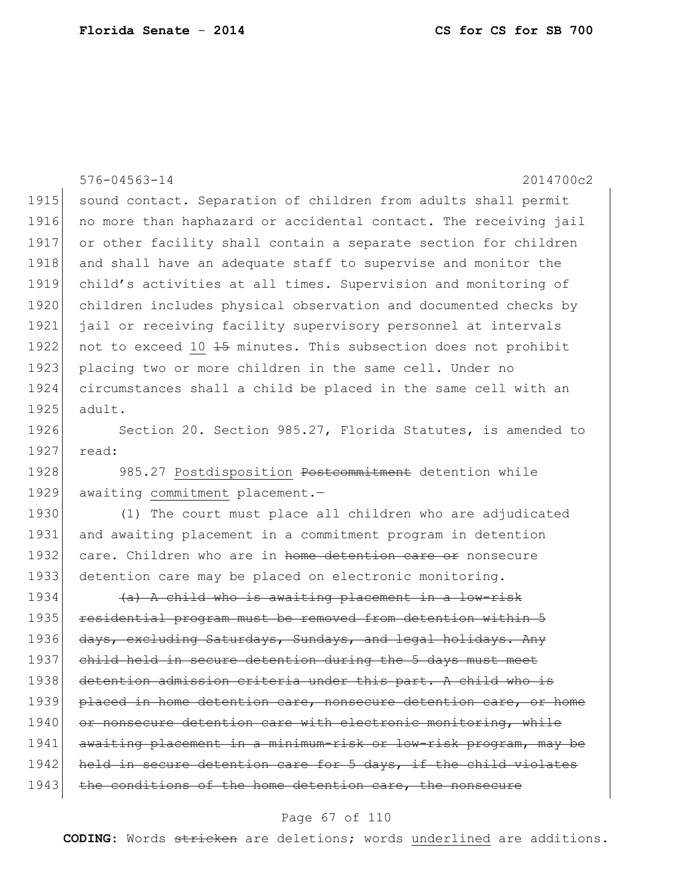|      | $576 - 04563 - 14$<br>2014700c2                                  |
|------|------------------------------------------------------------------|
| 1915 | sound contact. Separation of children from adults shall permit   |
| 1916 | no more than haphazard or accidental contact. The receiving jail |
| 1917 | or other facility shall contain a separate section for children  |
| 1918 | and shall have an adequate staff to supervise and monitor the    |
| 1919 | child's activities at all times. Supervision and monitoring of   |
| 1920 | children includes physical observation and documented checks by  |
| 1921 | jail or receiving facility supervisory personnel at intervals    |
| 1922 | not to exceed 10 45 minutes. This subsection does not prohibit   |
| 1923 | placing two or more children in the same cell. Under no          |
| 1924 | circumstances shall a child be placed in the same cell with an   |
| 1925 | adult.                                                           |
| 1926 | Section 20. Section 985.27, Florida Statutes, is amended to      |
| 1927 | read:                                                            |
| 1928 | 985.27 Postdisposition Postcommitment detention while            |
| 1929 | awaiting commitment placement.-                                  |
| 1930 | (1) The court must place all children who are adjudicated        |
| 1931 | and awaiting placement in a commitment program in detention      |
| 1932 | care. Children who are in home detention care or nonsecure       |
| 1933 | detention care may be placed on electronic monitoring.           |
| 1934 | (a) A child who is awaiting placement in a low-risk              |
| 1935 | residential program must be removed from detention within 5      |
| 1936 | days, excluding Saturdays, Sundays, and legal holidays. Any      |
| 1937 | child held in secure detention during the 5 days must meet       |
| 1938 | detention admission criteria under this part. A child who is     |
| 1939 | placed in home detention care, nonsecure detention care, or home |
| 1940 | or nonsecure detention care with electronic monitoring, while    |
| 1941 | awaiting placement in a minimum-risk or low-risk program, may be |
| 1942 | held in secure detention care for 5 days, if the child violates  |
| 1943 | the conditions of the home detention care, the nonsecure         |

# Page 67 of 110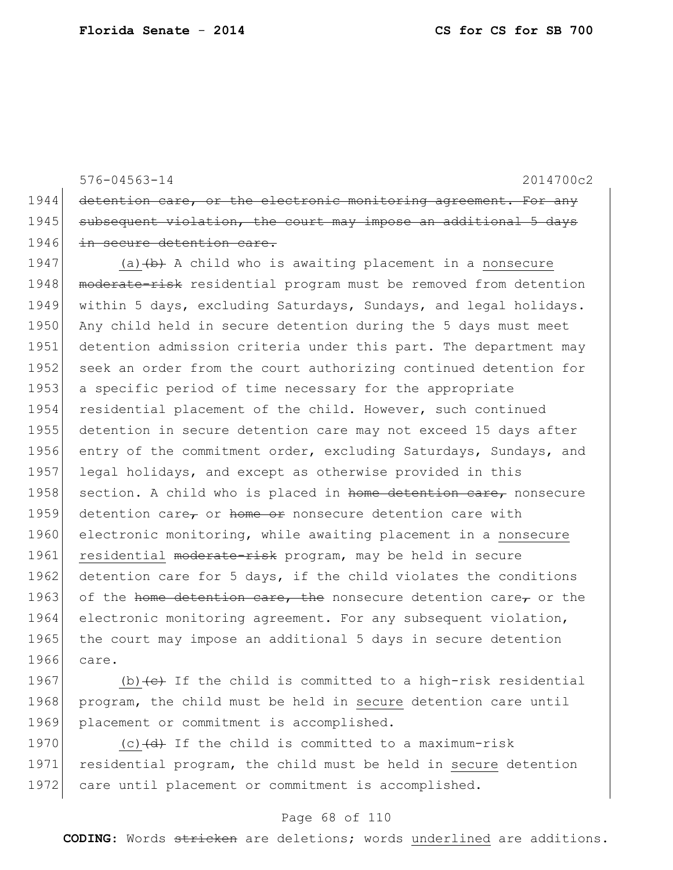576-04563-14 2014700c2 1944 detention care, or the electronic monitoring agreement. For any 1945 subsequent violation, the court may impose an additional 5 days 1946 in secure detention care.

1947 (a)  $\left(\frac{b}{b}\right)$  A child who is awaiting placement in a nonsecure 1948 moderate-risk residential program must be removed from detention 1949 within 5 days, excluding Saturdays, Sundays, and legal holidays. 1950 Any child held in secure detention during the 5 days must meet 1951 detention admission criteria under this part. The department may 1952 seek an order from the court authorizing continued detention for 1953 a specific period of time necessary for the appropriate 1954 residential placement of the child. However, such continued 1955 detention in secure detention care may not exceed 15 days after 1956 entry of the commitment order, excluding Saturdays, Sundays, and 1957 legal holidays, and except as otherwise provided in this 1958 section. A child who is placed in home detention care, nonsecure 1959 detention care, or home or nonsecure detention care with 1960 electronic monitoring, while awaiting placement in a nonsecure 1961 residential moderate-risk program, may be held in secure 1962 detention care for 5 days, if the child violates the conditions 1963 of the home detention care, the nonsecure detention care, or the 1964 electronic monitoring agreement. For any subsequent violation, 1965 the court may impose an additional 5 days in secure detention 1966 care.

1967 (b) $\left\{e\right\}$  If the child is committed to a high-risk residential 1968 program, the child must be held in secure detention care until 1969 placement or commitment is accomplished.

1970 (c)  $(d)$  If the child is committed to a maximum-risk 1971 residential program, the child must be held in secure detention 1972 care until placement or commitment is accomplished.

### Page 68 of 110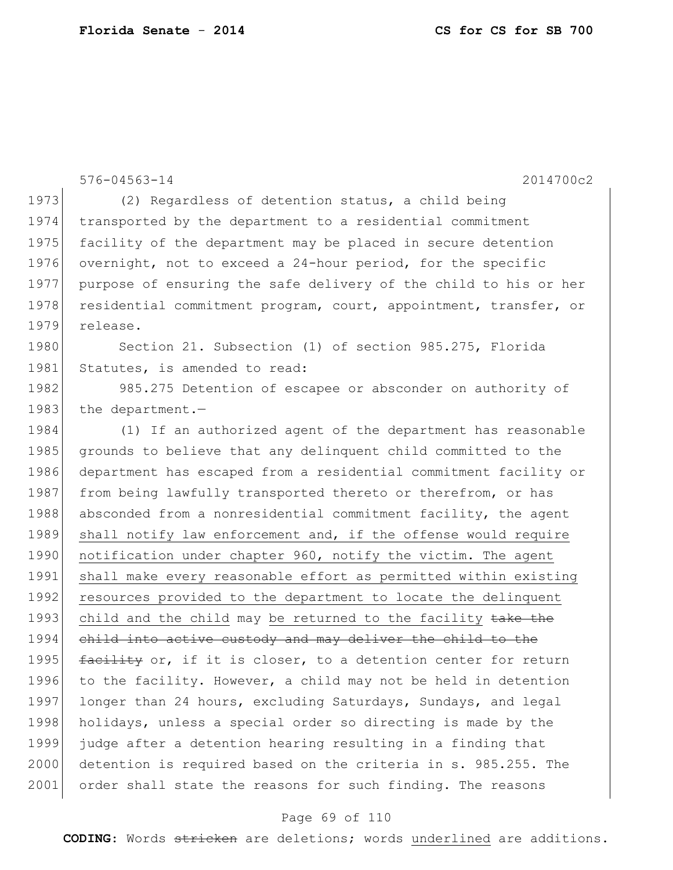576-04563-14 2014700c2 1973 (2) Regardless of detention status, a child being 1974 transported by the department to a residential commitment 1975 facility of the department may be placed in secure detention 1976 overnight, not to exceed a 24-hour period, for the specific 1977 purpose of ensuring the safe delivery of the child to his or her 1978 residential commitment program, court, appointment, transfer, or 1979 release. 1980 Section 21. Subsection (1) of section 985.275, Florida 1981 Statutes, is amended to read: 1982 985.275 Detention of escapee or absconder on authority of 1983 the department.-1984 (1) If an authorized agent of the department has reasonable 1985 grounds to believe that any delinquent child committed to the 1986 department has escaped from a residential commitment facility or 1987 from being lawfully transported thereto or therefrom, or has 1988 absconded from a nonresidential commitment facility, the agent 1989 shall notify law enforcement and, if the offense would require 1990 notification under chapter 960, notify the victim. The agent 1991 shall make every reasonable effort as permitted within existing 1992 resources provided to the department to locate the delinquent 1993 child and the child may be returned to the facility take the 1994 child into active custody and may deliver the child to the 1995  $\frac{f \text{acility}}{f}$  or, if it is closer, to a detention center for return 1996 to the facility. However, a child may not be held in detention 1997 longer than 24 hours, excluding Saturdays, Sundays, and legal 1998 holidays, unless a special order so directing is made by the 1999 judge after a detention hearing resulting in a finding that 2000 detention is required based on the criteria in s. 985.255. The 2001 order shall state the reasons for such finding. The reasons

### Page 69 of 110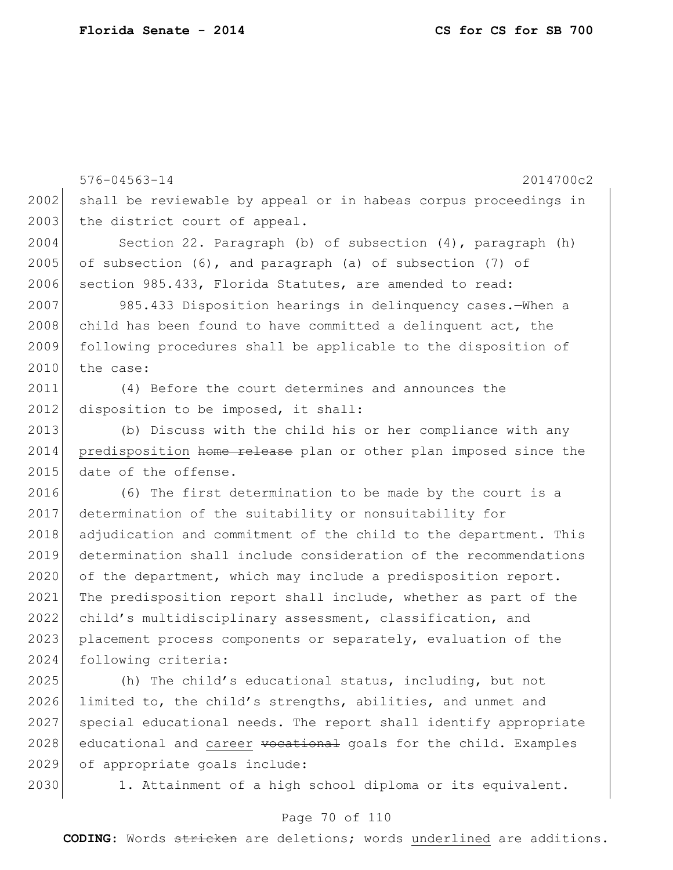576-04563-14 2014700c2 2002 shall be reviewable by appeal or in habeas corpus proceedings in 2003 the district court of appeal. 2004 Section 22. Paragraph (b) of subsection (4), paragraph (h) 2005 of subsection  $(6)$ , and paragraph  $(a)$  of subsection  $(7)$  of 2006 section 985.433, Florida Statutes, are amended to read: 2007 985.433 Disposition hearings in delinquency cases.—When a  $2008$  child has been found to have committed a delinquent act, the 2009 following procedures shall be applicable to the disposition of  $2010$  the case: 2011 (4) Before the court determines and announces the 2012 disposition to be imposed, it shall: 2013 (b) Discuss with the child his or her compliance with any 2014 predisposition home release plan or other plan imposed since the 2015 date of the offense. 2016 (6) The first determination to be made by the court is a 2017 determination of the suitability or nonsuitability for 2018 adjudication and commitment of the child to the department. This 2019 determination shall include consideration of the recommendations 2020 of the department, which may include a predisposition report. 2021 The predisposition report shall include, whether as part of the 2022 child's multidisciplinary assessment, classification, and 2023 placement process components or separately, evaluation of the 2024 following criteria:

2025 (h) The child's educational status, including, but not 2026 limited to, the child's strengths, abilities, and unmet and 2027 special educational needs. The report shall identify appropriate 2028 educational and career vocational goals for the child. Examples 2029 of appropriate goals include:

2030 1. Attainment of a high school diploma or its equivalent.

### Page 70 of 110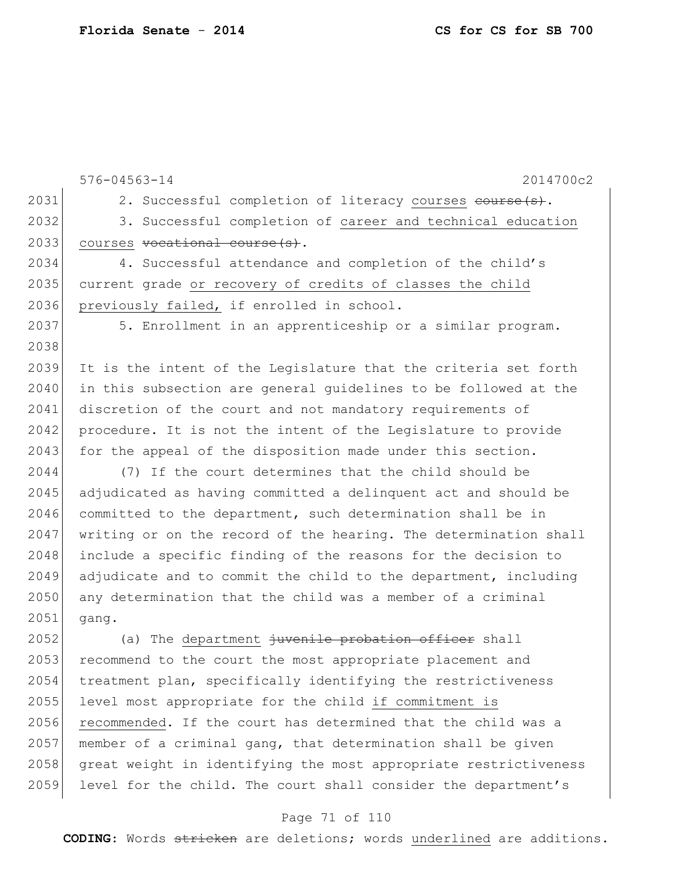576-04563-14 2014700c2 2031 2. Successful completion of literacy courses course (s). 2032 3. Successful completion of career and technical education 2033 courses vocational course(s). 2034 4. Successful attendance and completion of the child's 2035 current grade or recovery of credits of classes the child 2036 previously failed, if enrolled in school. 2037 5. Enrollment in an apprenticeship or a similar program. 2038 2039 It is the intent of the Legislature that the criteria set forth 2040 in this subsection are general guidelines to be followed at the 2041 discretion of the court and not mandatory requirements of 2042 procedure. It is not the intent of the Legislature to provide 2043 for the appeal of the disposition made under this section. 2044 (7) If the court determines that the child should be 2045 adjudicated as having committed a delinquent act and should be 2046 committed to the department, such determination shall be in 2047 writing or on the record of the hearing. The determination shall 2048 include a specific finding of the reasons for the decision to 2049 adjudicate and to commit the child to the department, including 2050 any determination that the child was a member of a criminal 2051 gang. 2052 (a) The department juvenile probation officer shall 2053 recommend to the court the most appropriate placement and 2054 treatment plan, specifically identifying the restrictiveness 2055 level most appropriate for the child if commitment is 2056 recommended. If the court has determined that the child was a  $2057$  member of a criminal gang, that determination shall be given 2058 great weight in identifying the most appropriate restrictiveness

#### Page 71 of 110

2059 level for the child. The court shall consider the department's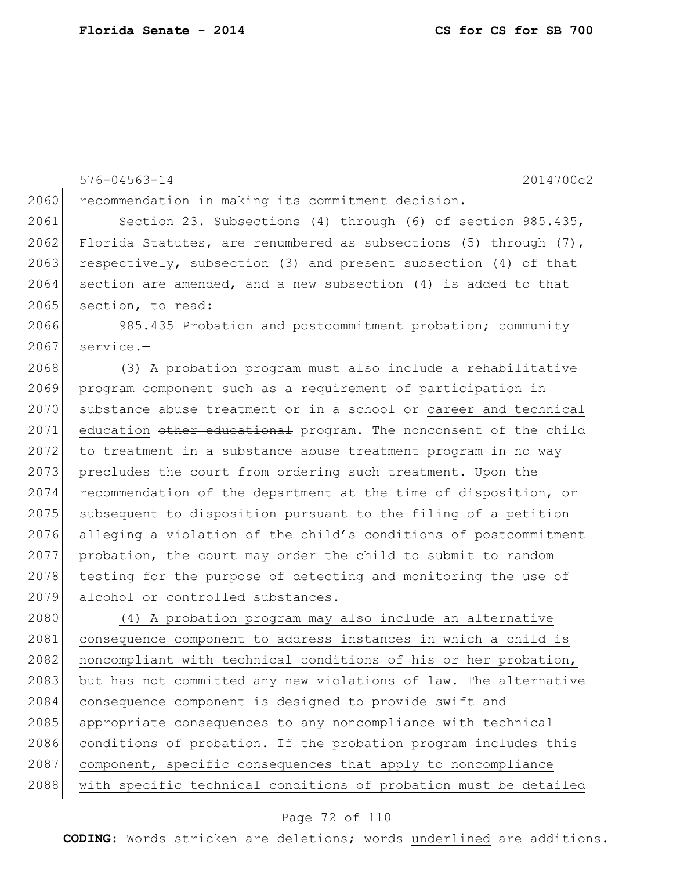576-04563-14 2014700c2 2060 recommendation in making its commitment decision. 2061 Section 23. Subsections (4) through (6) of section 985.435, 2062 Florida Statutes, are renumbered as subsections (5) through (7), 2063 respectively, subsection (3) and present subsection (4) of that  $2064$  section are amended, and a new subsection (4) is added to that 2065 section, to read: 2066 985.435 Probation and postcommitment probation; community  $2067$  service.-2068 (3) A probation program must also include a rehabilitative 2069 program component such as a requirement of participation in 2070 substance abuse treatment or in a school or career and technical 2071 education other educational program. The nonconsent of the child 2072 to treatment in a substance abuse treatment program in no way 2073 precludes the court from ordering such treatment. Upon the 2074 recommendation of the department at the time of disposition, or 2075 subsequent to disposition pursuant to the filing of a petition 2076 alleging a violation of the child's conditions of postcommitment  $2077$  probation, the court may order the child to submit to random 2078 testing for the purpose of detecting and monitoring the use of 2079 alcohol or controlled substances. 2080 (4) A probation program may also include an alternative 2081 consequence component to address instances in which a child is 2082 | noncompliant with technical conditions of his or her probation, 2083 but has not committed any new violations of law. The alternative 2084 consequence component is designed to provide swift and 2085 appropriate consequences to any noncompliance with technical 2086 conditions of probation. If the probation program includes this 2087 component, specific consequences that apply to noncompliance 2088 with specific technical conditions of probation must be detailed

### Page 72 of 110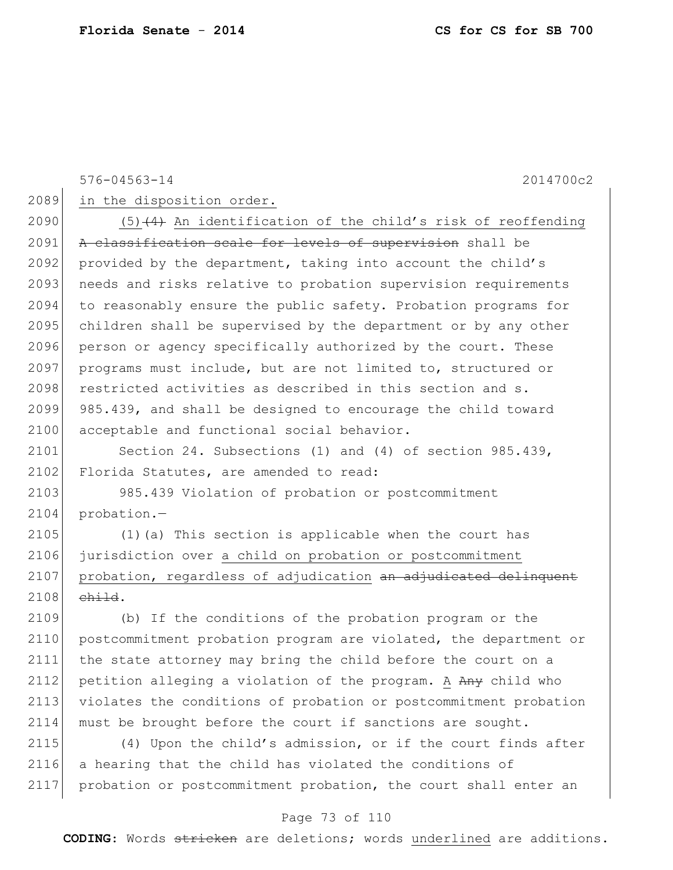576-04563-14 2014700c2

2089 in the disposition order.

2090 (5) $(4)$  An identification of the child's risk of reoffending 2091 A classification scale for levels of supervision shall be 2092 provided by the department, taking into account the child's 2093 needs and risks relative to probation supervision requirements 2094 to reasonably ensure the public safety. Probation programs for 2095 children shall be supervised by the department or by any other 2096 person or agency specifically authorized by the court. These 2097 programs must include, but are not limited to, structured or 2098 restricted activities as described in this section and s. 2099 985.439, and shall be designed to encourage the child toward 2100 acceptable and functional social behavior.

2101 Section 24. Subsections (1) and (4) of section 985.439, 2102 Florida Statutes, are amended to read:

2103 985.439 Violation of probation or postcommitment 2104 probation.-

2105 (1)(a) This section is applicable when the court has 2106 jurisdiction over a child on probation or postcommitment 2107 probation, regardless of adjudication <del>an adjudicated delinquent</del>  $2108$  child.

 (b) If the conditions of the probation program or the postcommitment probation program are violated, the department or the state attorney may bring the child before the court on a 2112 petition alleging a violation of the program. A  $A_{\text{H}}$  child who violates the conditions of probation or postcommitment probation 2114 must be brought before the court if sanctions are sought.

2115 (4) Upon the child's admission, or if the court finds after 2116 a hearing that the child has violated the conditions of 2117 probation or postcommitment probation, the court shall enter an

### Page 73 of 110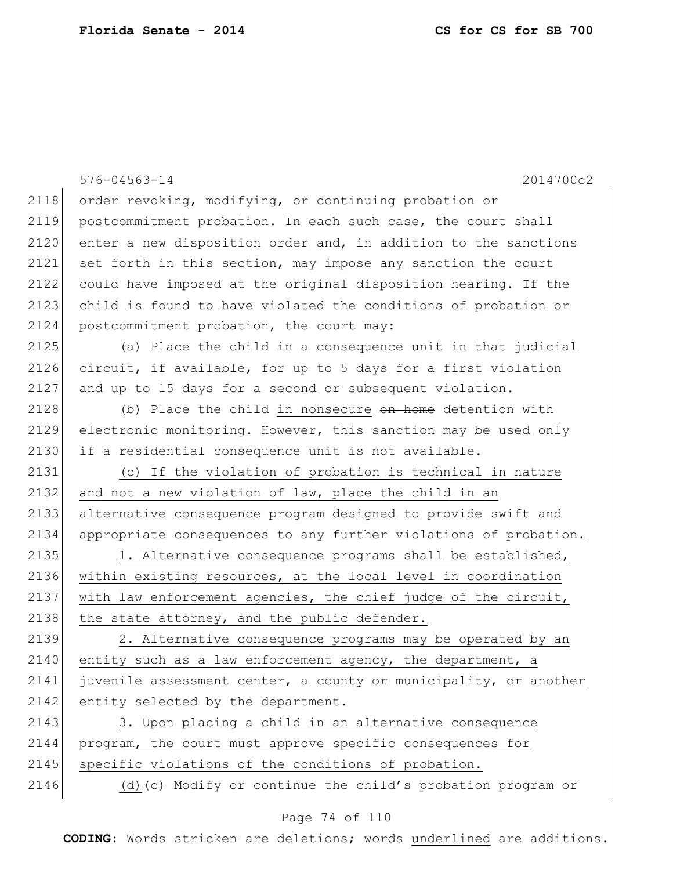|      | $576 - 04563 - 14$<br>2014700c2                                                 |
|------|---------------------------------------------------------------------------------|
| 2118 | order revoking, modifying, or continuing probation or                           |
| 2119 | postcommitment probation. In each such case, the court shall                    |
| 2120 | enter a new disposition order and, in addition to the sanctions                 |
| 2121 | set forth in this section, may impose any sanction the court                    |
| 2122 | could have imposed at the original disposition hearing. If the                  |
| 2123 | child is found to have violated the conditions of probation or                  |
| 2124 | postcommitment probation, the court may:                                        |
| 2125 | (a) Place the child in a consequence unit in that judicial                      |
| 2126 | circuit, if available, for up to 5 days for a first violation                   |
| 2127 | and up to 15 days for a second or subsequent violation.                         |
| 2128 | (b) Place the child in nonsecure on home detention with                         |
| 2129 | electronic monitoring. However, this sanction may be used only                  |
| 2130 | if a residential consequence unit is not available.                             |
| 2131 | (c) If the violation of probation is technical in nature                        |
| 2132 | and not a new violation of law, place the child in an                           |
| 2133 | alternative consequence program designed to provide swift and                   |
| 2134 | appropriate consequences to any further violations of probation.                |
| 2135 | 1. Alternative consequence programs shall be established,                       |
| 2136 | within existing resources, at the local level in coordination                   |
| 2137 | with law enforcement agencies, the chief judge of the circuit,                  |
| 2138 | the state attorney, and the public defender.                                    |
| 2139 | 2. Alternative consequence programs may be operated by an                       |
| 2140 | entity such as a law enforcement agency, the department, a                      |
| 2141 | juvenile assessment center, a county or municipality, or another                |
| 2142 | entity selected by the department.                                              |
| 2143 | 3. Upon placing a child in an alternative consequence                           |
| 2144 | program, the court must approve specific consequences for                       |
| 2145 | specific violations of the conditions of probation.                             |
| 2146 | (d) $\left(\text{e}\right)$ Modify or continue the child's probation program or |

# Page 74 of 110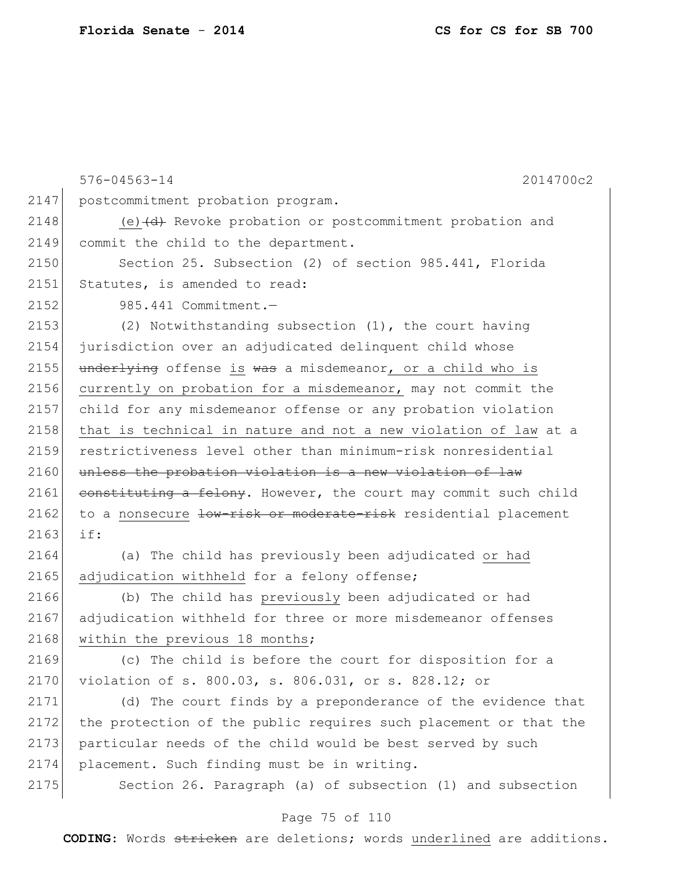576-04563-14 2014700c2 2147 | postcommitment probation program. 2148 (e) (d) Revoke probation or postcommitment probation and 2149 commit the child to the department. 2150 Section 25. Subsection (2) of section 985.441, Florida 2151 Statutes, is amended to read: 2152 985.441 Commitment.— 2153 (2) Notwithstanding subsection (1), the court having 2154 jurisdiction over an adjudicated delinquent child whose 2155 underlying offense is was a misdemeanor, or a child who is 2156 currently on probation for a misdemeanor, may not commit the 2157 child for any misdemeanor offense or any probation violation 2158 that is technical in nature and not a new violation of law at a 2159 restrictiveness level other than minimum-risk nonresidential  $2160$  unless the probation violation is a new violation of law 2161 constituting a felony. However, the court may commit such child 2162 to a nonsecure low-risk or moderate-risk residential placement 2163 if: 2164 (a) The child has previously been adjudicated or had 2165 adjudication withheld for a felony offense; 2166 (b) The child has previously been adjudicated or had 2167 adjudication withheld for three or more misdemeanor offenses 2168 within the previous 18 months; 2169 (c) The child is before the court for disposition for a 2170 violation of s. 800.03, s. 806.031, or s. 828.12; or 2171 (d) The court finds by a preponderance of the evidence that 2172 the protection of the public requires such placement or that the 2173 particular needs of the child would be best served by such 2174 placement. Such finding must be in writing. 2175 Section 26. Paragraph (a) of subsection (1) and subsection

#### Page 75 of 110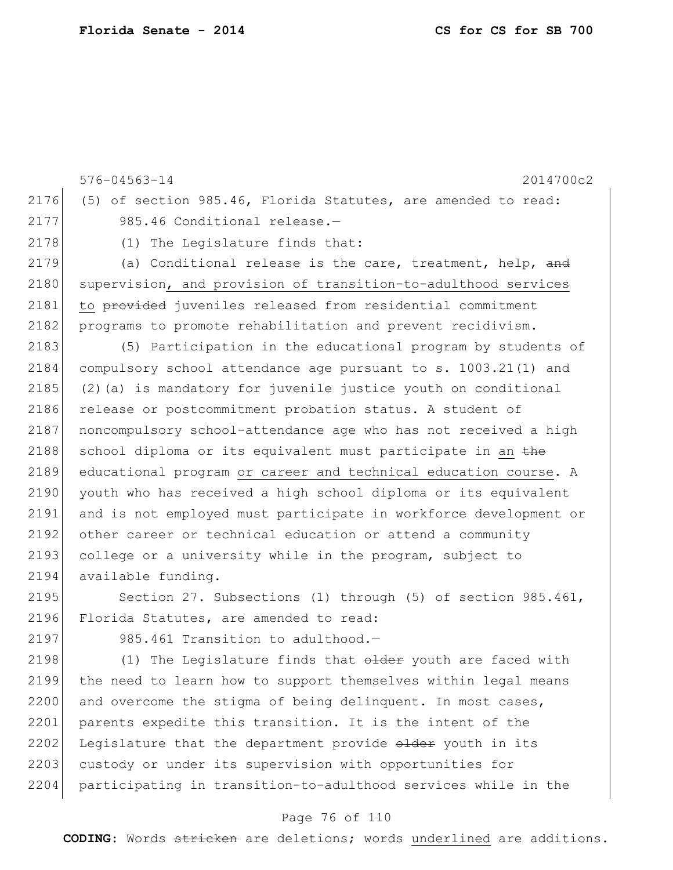576-04563-14 2014700c2 2176 (5) of section 985.46, Florida Statutes, are amended to read: 2177 985.46 Conditional release.-2178 (1) The Legislature finds that: 2179 (a) Conditional release is the care, treatment, help, and 2180 supervision, and provision of transition-to-adulthood services 2181 to provided juveniles released from residential commitment 2182 programs to promote rehabilitation and prevent recidivism. 2183 (5) Participation in the educational program by students of 2184 compulsory school attendance age pursuant to s. 1003.21(1) and 2185 (2)(a) is mandatory for juvenile justice youth on conditional 2186 release or postcommitment probation status. A student of 2187 noncompulsory school-attendance age who has not received a high 2188 school diploma or its equivalent must participate in an  $the$ 2189 educational program or career and technical education course. A 2190 youth who has received a high school diploma or its equivalent 2191 and is not employed must participate in workforce development or 2192 other career or technical education or attend a community 2193 college or a university while in the program, subject to 2194 available funding. 2195 Section 27. Subsections (1) through (5) of section 985.461, 2196 Florida Statutes, are amended to read: 2197 985.461 Transition to adulthood.-2198  $(1)$  The Legislature finds that  $\theta$ <del>dder</del> youth are faced with 2199 the need to learn how to support themselves within legal means  $2200$  and overcome the stigma of being delinquent. In most cases, 2201 parents expedite this transition. It is the intent of the 2202 Legislature that the department provide older youth in its

2203 custody or under its supervision with opportunities for 2204 participating in transition-to-adulthood services while in the

### Page 76 of 110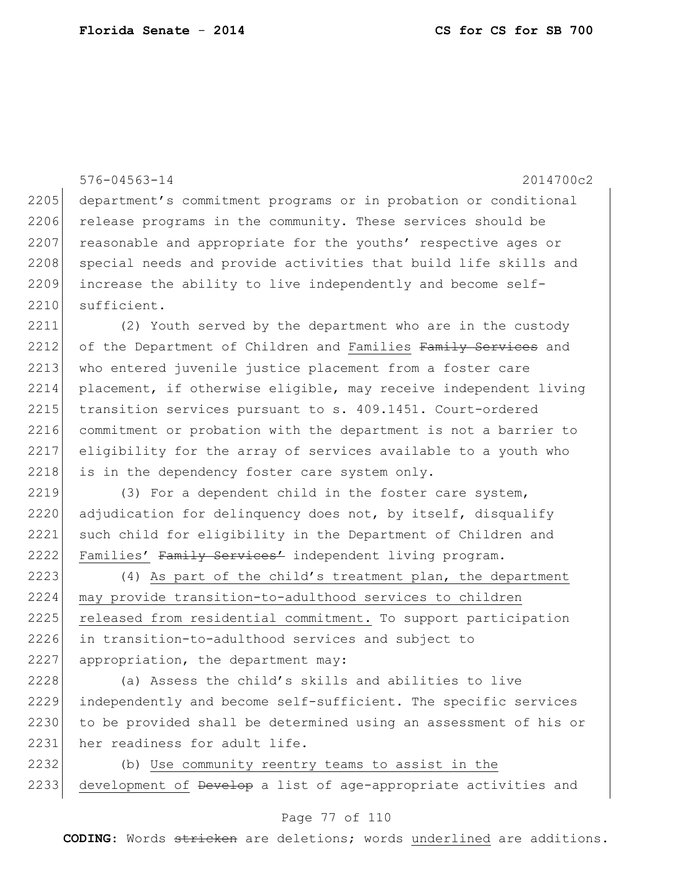576-04563-14 2014700c2 2205 department's commitment programs or in probation or conditional 2206 release programs in the community. These services should be 2207 reasonable and appropriate for the youths' respective ages or 2208 special needs and provide activities that build life skills and 2209 increase the ability to live independently and become self-2210 sufficient. 2211 (2) Youth served by the department who are in the custody 2212 of the Department of Children and Families Family Services and 2213 who entered juvenile justice placement from a foster care 2214 placement, if otherwise eligible, may receive independent living 2215 transition services pursuant to s. 409.1451. Court-ordered 2216 commitment or probation with the department is not a barrier to 2217 eligibility for the array of services available to a youth who  $2218$  is in the dependency foster care system only. 2219 (3) For a dependent child in the foster care system, 2220 adjudication for delinquency does not, by itself, disqualify 2221 such child for eligibility in the Department of Children and 2222 Families' Family Services' independent living program. 2223 (4) As part of the child's treatment plan, the department 2224 may provide transition-to-adulthood services to children 2225 released from residential commitment. To support participation 2226 in transition-to-adulthood services and subject to 2227 appropriation, the department may:

 (a) Assess the child's skills and abilities to live independently and become self-sufficient. The specific services to be provided shall be determined using an assessment of his or her readiness for adult life.

2232 (b) Use community reentry teams to assist in the 2233 development of <del>Develop</del> a list of age-appropriate activities and

### Page 77 of 110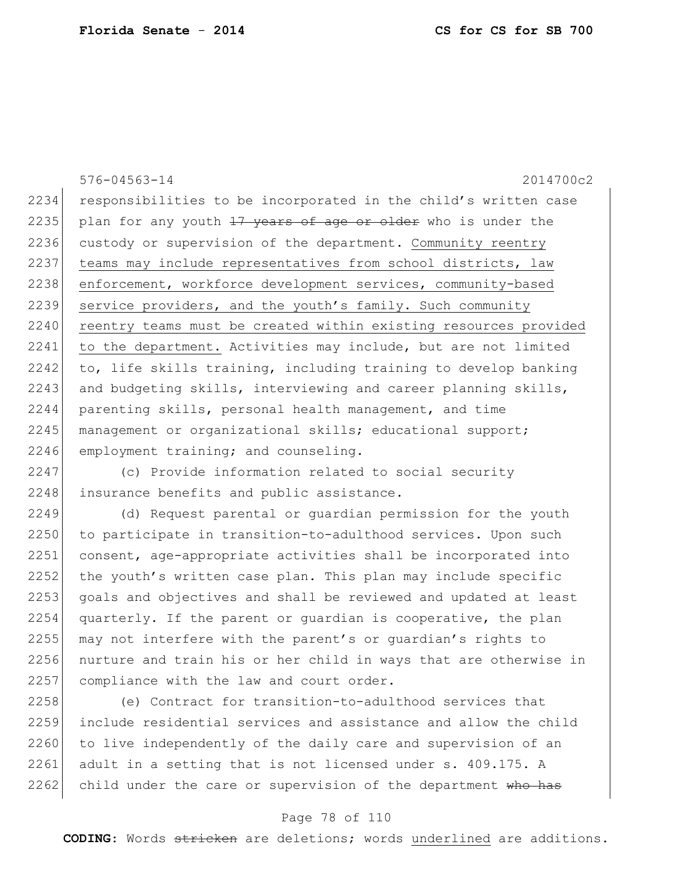576-04563-14 2014700c2 2234 responsibilities to be incorporated in the child's written case 2235 plan for any youth  $17$  years of age or older who is under the 2236 custody or supervision of the department. Community reentry 2237 | teams may include representatives from school districts, law 2238 enforcement, workforce development services, community-based 2239 service providers, and the youth's family. Such community 2240 reentry teams must be created within existing resources provided 2241 to the department. Activities may include, but are not limited  $2242$  to, life skills training, including training to develop banking 2243 and budgeting skills, interviewing and career planning skills, 2244 parenting skills, personal health management, and time 2245 management or organizational skills; educational support; 2246 employment training; and counseling.

2247 (c) Provide information related to social security 2248 insurance benefits and public assistance.

2249 (d) Request parental or guardian permission for the youth 2250 to participate in transition-to-adulthood services. Upon such 2251 consent, age-appropriate activities shall be incorporated into 2252 the youth's written case plan. This plan may include specific 2253 goals and objectives and shall be reviewed and updated at least 2254 quarterly. If the parent or guardian is cooperative, the plan 2255 may not interfere with the parent's or guardian's rights to 2256 nurture and train his or her child in ways that are otherwise in 2257 compliance with the law and court order.

2258 (e) Contract for transition-to-adulthood services that 2259 include residential services and assistance and allow the child 2260 to live independently of the daily care and supervision of an 2261 adult in a setting that is not licensed under s. 409.175. A 2262 child under the care or supervision of the department who has

#### Page 78 of 110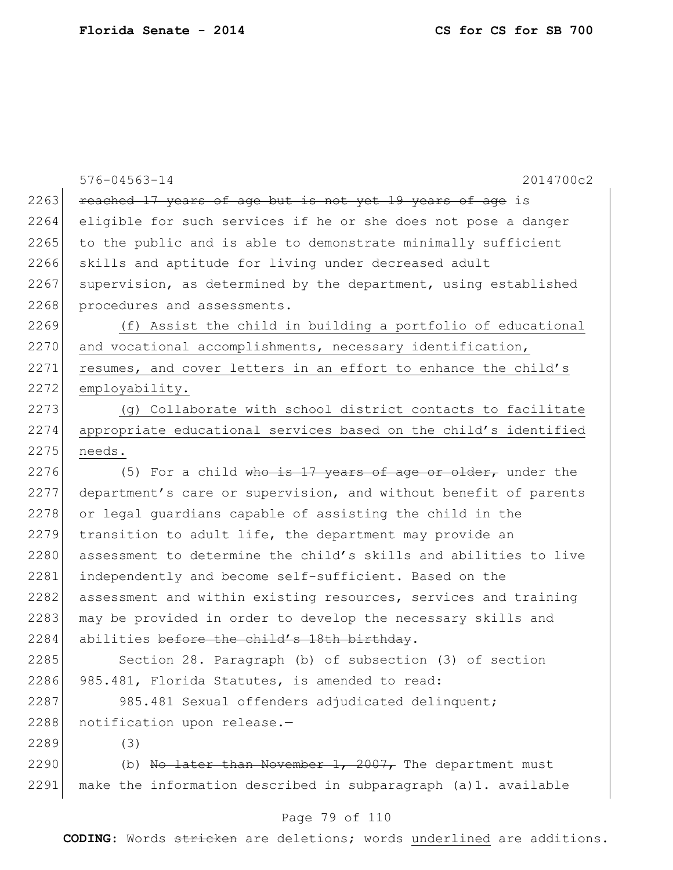|      | $576 - 04563 - 14$<br>2014700c2                                  |
|------|------------------------------------------------------------------|
| 2263 | reached 17 years of age but is not yet 19 years of age is        |
| 2264 | eligible for such services if he or she does not pose a danger   |
| 2265 | to the public and is able to demonstrate minimally sufficient    |
| 2266 | skills and aptitude for living under decreased adult             |
| 2267 | supervision, as determined by the department, using established  |
| 2268 | procedures and assessments.                                      |
| 2269 | (f) Assist the child in building a portfolio of educational      |
| 2270 | and vocational accomplishments, necessary identification,        |
| 2271 | resumes, and cover letters in an effort to enhance the child's   |
| 2272 | employability.                                                   |
| 2273 | (g) Collaborate with school district contacts to facilitate      |
| 2274 | appropriate educational services based on the child's identified |
| 2275 | needs.                                                           |
| 2276 | (5) For a child who is 17 years of age or older, under the       |
| 2277 | department's care or supervision, and without benefit of parents |
| 2278 | or legal guardians capable of assisting the child in the         |
| 2279 | transition to adult life, the department may provide an          |
| 2280 | assessment to determine the child's skills and abilities to live |
| 2281 | independently and become self-sufficient. Based on the           |
| 2282 | assessment and within existing resources, services and training  |
| 2283 | may be provided in order to develop the necessary skills and     |
| 2284 | abilities before the child's 18th birthday.                      |
| 2285 | Section 28. Paragraph (b) of subsection (3) of section           |
| 2286 | 985.481, Florida Statutes, is amended to read:                   |
| 2287 | 985.481 Sexual offenders adjudicated delinquent;                 |
| 2288 | notification upon release.-                                      |
| 2289 | (3)                                                              |
| 2290 | (b) No later than November 1, 2007, The department must          |
| 2291 | make the information described in subparagraph (a) 1. available  |

# Page 79 of 110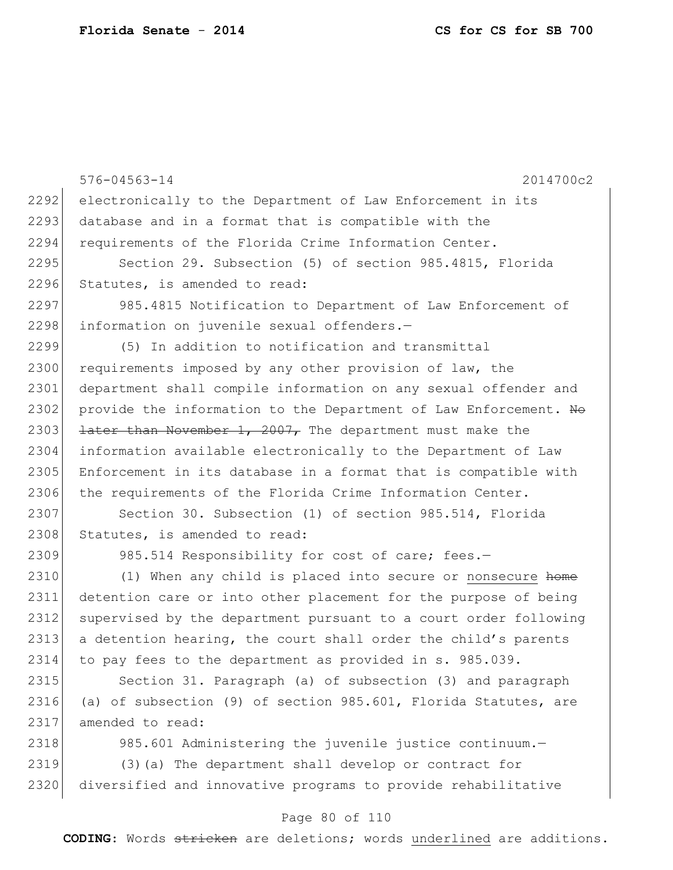576-04563-14 2014700c2 2292 electronically to the Department of Law Enforcement in its 2293 database and in a format that is compatible with the 2294 requirements of the Florida Crime Information Center. 2295 Section 29. Subsection (5) of section 985.4815, Florida 2296 Statutes, is amended to read: 2297 985.4815 Notification to Department of Law Enforcement of 2298 information on juvenile sexual offenders.-2299 (5) In addition to notification and transmittal 2300 requirements imposed by any other provision of law, the 2301 department shall compile information on any sexual offender and 2302 provide the information to the Department of Law Enforcement. Ho 2303 **later than November 1, 2007,** The department must make the 2304 information available electronically to the Department of Law 2305 Enforcement in its database in a format that is compatible with 2306 the requirements of the Florida Crime Information Center. 2307 Section 30. Subsection (1) of section 985.514, Florida 2308 Statutes, is amended to read: 2309 985.514 Responsibility for cost of care; fees.-2310 (1) When any child is placed into secure or nonsecure home 2311 detention care or into other placement for the purpose of being 2312 supervised by the department pursuant to a court order following 2313 a detention hearing, the court shall order the child's parents 2314 to pay fees to the department as provided in s. 985.039. 2315 Section 31. Paragraph (a) of subsection (3) and paragraph 2316 (a) of subsection (9) of section 985.601, Florida Statutes, are 2317 amended to read: 2318 985.601 Administering the juvenile justice continuum. 2319 (3)(a) The department shall develop or contract for 2320 diversified and innovative programs to provide rehabilitative

### Page 80 of 110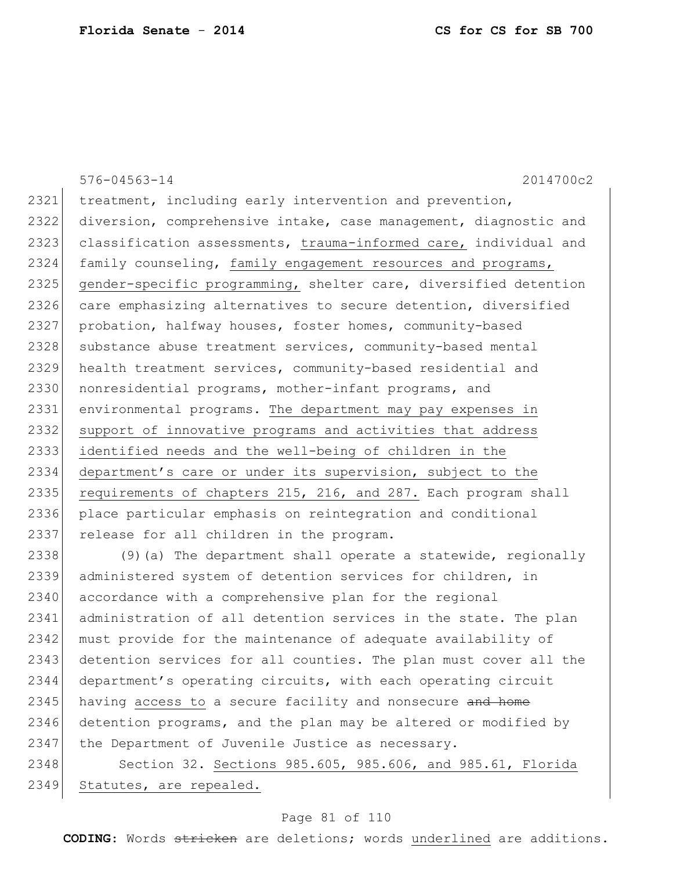576-04563-14 2014700c2 2321 treatment, including early intervention and prevention, 2322 diversion, comprehensive intake, case management, diagnostic and 2323 classification assessments, trauma-informed care, individual and 2324 family counseling, family engagement resources and programs, 2325 gender-specific programming, shelter care, diversified detention 2326 care emphasizing alternatives to secure detention, diversified 2327 probation, halfway houses, foster homes, community-based 2328 substance abuse treatment services, community-based mental 2329 health treatment services, community-based residential and 2330 | nonresidential programs, mother-infant programs, and 2331 environmental programs. The department may pay expenses in 2332 support of innovative programs and activities that address 2333 identified needs and the well-being of children in the 2334 department's care or under its supervision, subject to the 2335 requirements of chapters 215, 216, and 287. Each program shall 2336 place particular emphasis on reintegration and conditional 2337 release for all children in the program. 2338  $(9)$  (a) The department shall operate a statewide, regionally

2339 administered system of detention services for children, in 2340 accordance with a comprehensive plan for the regional 2341 administration of all detention services in the state. The plan 2342 must provide for the maintenance of adequate availability of 2343 detention services for all counties. The plan must cover all the 2344 department's operating circuits, with each operating circuit 2345 having access to a secure facility and nonsecure and home 2346 detention programs, and the plan may be altered or modified by 2347 the Department of Juvenile Justice as necessary.

2348 Section 32. Sections 985.605, 985.606, and 985.61, Florida 2349 Statutes, are repealed.

### Page 81 of 110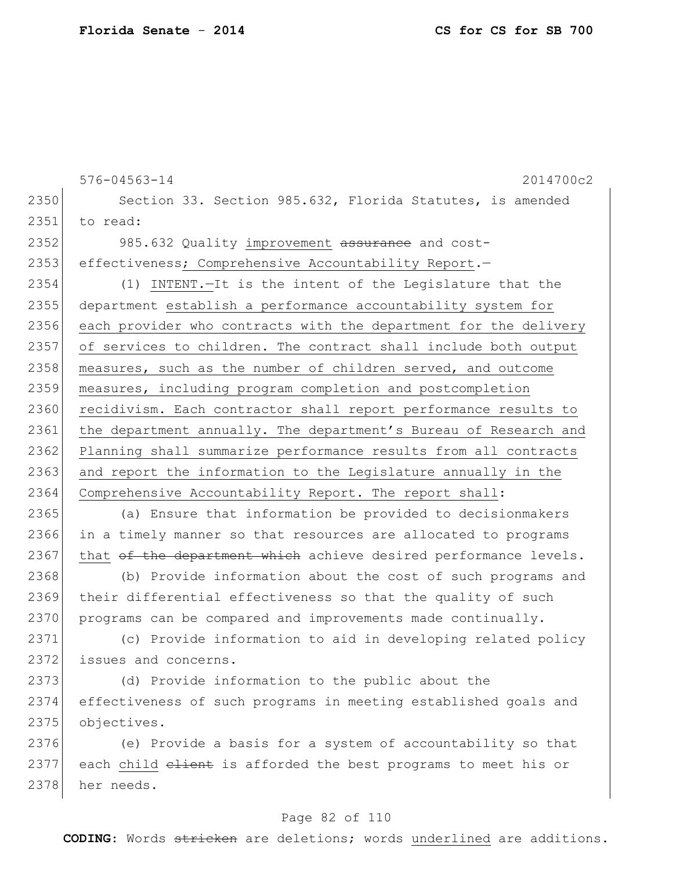|      | $576 - 04563 - 14$<br>2014700c2                                  |  |  |  |  |
|------|------------------------------------------------------------------|--|--|--|--|
| 2350 | Section 33. Section 985.632, Florida Statutes, is amended        |  |  |  |  |
| 2351 | to read:                                                         |  |  |  |  |
| 2352 | 985.632 Quality improvement assurance and cost-                  |  |  |  |  |
| 2353 | effectiveness; Comprehensive Accountability Report.-             |  |  |  |  |
| 2354 | (1) INTENT. - It is the intent of the Legislature that the       |  |  |  |  |
| 2355 | department establish a performance accountability system for     |  |  |  |  |
| 2356 | each provider who contracts with the department for the delivery |  |  |  |  |
| 2357 | of services to children. The contract shall include both output  |  |  |  |  |
| 2358 | measures, such as the number of children served, and outcome     |  |  |  |  |
| 2359 | measures, including program completion and postcompletion        |  |  |  |  |
| 2360 | recidivism. Each contractor shall report performance results to  |  |  |  |  |
| 2361 | the department annually. The department's Bureau of Research and |  |  |  |  |
| 2362 | Planning shall summarize performance results from all contracts  |  |  |  |  |
| 2363 | and report the information to the Legislature annually in the    |  |  |  |  |
| 2364 | Comprehensive Accountability Report. The report shall:           |  |  |  |  |
| 2365 | (a) Ensure that information be provided to decisionmakers        |  |  |  |  |
| 2366 | in a timely manner so that resources are allocated to programs   |  |  |  |  |
| 2367 | that of the department which achieve desired performance levels. |  |  |  |  |
| 2368 | (b) Provide information about the cost of such programs and      |  |  |  |  |
| 2369 | their differential effectiveness so that the quality of such     |  |  |  |  |
| 2370 | programs can be compared and improvements made continually.      |  |  |  |  |
| 2371 | (c) Provide information to aid in developing related policy      |  |  |  |  |
| 2372 | issues and concerns.                                             |  |  |  |  |
| 2373 | (d) Provide information to the public about the                  |  |  |  |  |
| 2374 | effectiveness of such programs in meeting established goals and  |  |  |  |  |
| 2375 | objectives.                                                      |  |  |  |  |
| 2376 | (e) Provide a basis for a system of accountability so that       |  |  |  |  |
| 2377 | each child elient is afforded the best programs to meet his or   |  |  |  |  |
| 2378 | her needs.                                                       |  |  |  |  |

# Page 82 of 110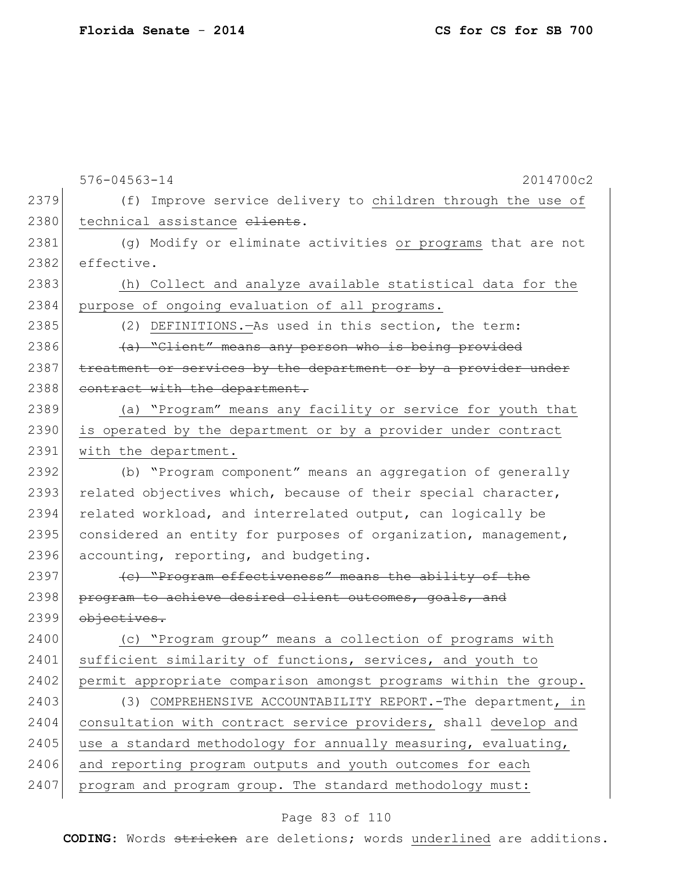576-04563-14 2014700c2 2379 (f) Improve service delivery to children through the use of 2380 technical assistance elients. 2381 (g) Modify or eliminate activities or programs that are not 2382 effective. 2383 (h) Collect and analyze available statistical data for the 2384 purpose of ongoing evaluation of all programs. 2385 (2) DEFINITIONS.—As used in this section, the term: 2386  $(a)$  "Client" means any person who is being provided 2387 treatment or services by the department or by a provider under 2388 contract with the department. 2389 (a) "Program" means any facility or service for youth that 2390 is operated by the department or by a provider under contract 2391 with the department. 2392 (b) "Program component" means an aggregation of generally 2393 related objectives which, because of their special character, 2394 related workload, and interrelated output, can logically be 2395 considered an entity for purposes of organization, management, 2396 accounting, reporting, and budgeting. 2397 (c) "Program effectiveness" means the ability of the 2398 program to achieve desired client outcomes, goals, and 2399 objectives. 2400 (c) "Program group" means a collection of programs with 2401 sufficient similarity of functions, services, and youth to 2402 permit appropriate comparison amongst programs within the group. 2403 (3) COMPREHENSIVE ACCOUNTABILITY REPORT.-The department, in 2404 consultation with contract service providers, shall develop and 2405 use a standard methodology for annually measuring, evaluating, 2406 and reporting program outputs and youth outcomes for each 2407 program and program group. The standard methodology must:

### Page 83 of 110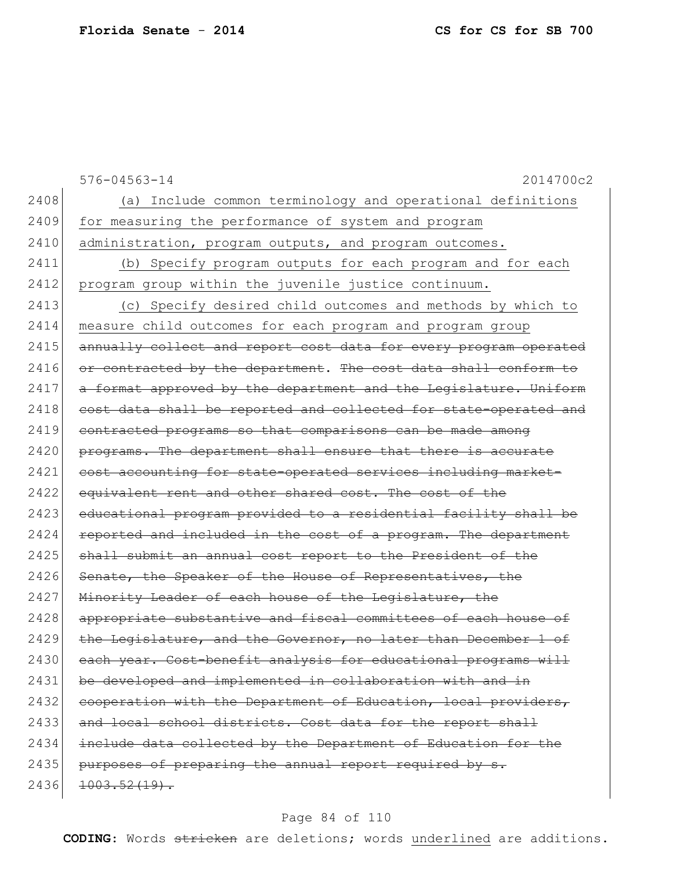|      | $576 - 04563 - 14$<br>2014700c2                                  |
|------|------------------------------------------------------------------|
| 2408 | (a) Include common terminology and operational definitions       |
| 2409 | for measuring the performance of system and program              |
| 2410 | administration, program outputs, and program outcomes.           |
| 2411 | (b) Specify program outputs for each program and for each        |
| 2412 | program group within the juvenile justice continuum.             |
| 2413 | (c) Specify desired child outcomes and methods by which to       |
| 2414 | measure child outcomes for each program and program group        |
| 2415 | annually collect and report cost data for every program operated |
| 2416 | or contracted by the department. The cost data shall conform to  |
| 2417 | a format approved by the department and the Legislature. Uniform |
| 2418 | cost data shall be reported and collected for state-operated and |
| 2419 | contracted programs so that comparisons can be made among        |
| 2420 | programs. The department shall ensure that there is accurate     |
| 2421 | cost accounting for state-operated services including market-    |
| 2422 | equivalent rent and other shared cost. The cost of the           |
| 2423 | educational program provided to a residential facility shall be  |
| 2424 | reported and included in the cost of a program. The department   |
| 2425 | shall submit an annual cost report to the President of the       |
| 2426 | Senate, the Speaker of the House of Representatives, the         |
| 2427 | Minority Leader of each house of the Legislature, the            |
| 2428 | appropriate substantive and fiscal committees of each house of   |
| 2429 | the Legislature, and the Governor, no later than December 1 of   |
| 2430 | each year. Cost-benefit analysis for educational programs will   |
| 2431 | be developed and implemented in collaboration with and in        |
| 2432 | cooperation with the Department of Education, local providers,   |
| 2433 | and local school districts. Cost data for the report shall       |
| 2434 | include data collected by the Department of Education for the    |
| 2435 | purposes of preparing the annual report required by s.           |
| 2436 | $1003.52(19)$ .                                                  |
|      |                                                                  |

# Page 84 of 110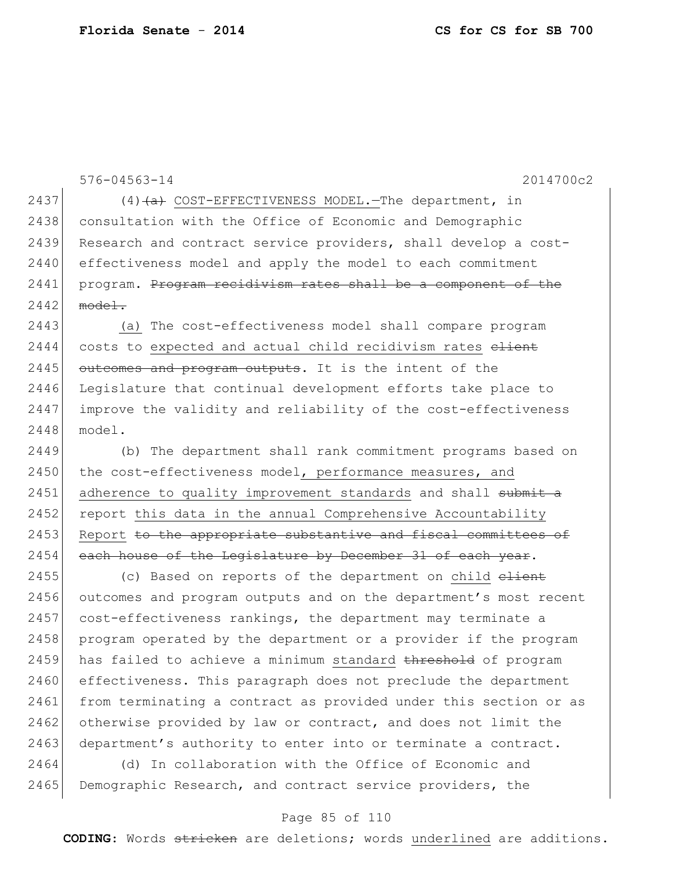576-04563-14 2014700c2 2437 (4)  $\left(4\right)$  COST-EFFECTIVENESS MODEL. The department, in 2438 consultation with the Office of Economic and Demographic 2439 Research and contract service providers, shall develop a cost-2440 effectiveness model and apply the model to each commitment 2441 program. Program recidivism rates shall be a component of the  $2442$  model. 2443 (a) The cost-effectiveness model shall compare program 2444 costs to expected and actual child recidivism rates elient 2445 outcomes and program outputs. It is the intent of the 2446 Legislature that continual development efforts take place to 2447 improve the validity and reliability of the cost-effectiveness 2448 model. 2449 (b) The department shall rank commitment programs based on 2450 the cost-effectiveness model, performance measures, and 2451 adherence to quality improvement standards and shall submit a 2452 report this data in the annual Comprehensive Accountability 2453 Report to the appropriate substantive and fiscal committees of 2454 each house of the Legislature by December 31 of each year. 2455 (c) Based on reports of the department on child elient 2456 outcomes and program outputs and on the department's most recent 2457 cost-effectiveness rankings, the department may terminate a 2458 program operated by the department or a provider if the program 2459 has failed to achieve a minimum standard threshold of program 2460 effectiveness. This paragraph does not preclude the department 2461 from terminating a contract as provided under this section or as 2462 otherwise provided by law or contract, and does not limit the 2463 department's authority to enter into or terminate a contract.

2464 (d) In collaboration with the Office of Economic and 2465 Demographic Research, and contract service providers, the

### Page 85 of 110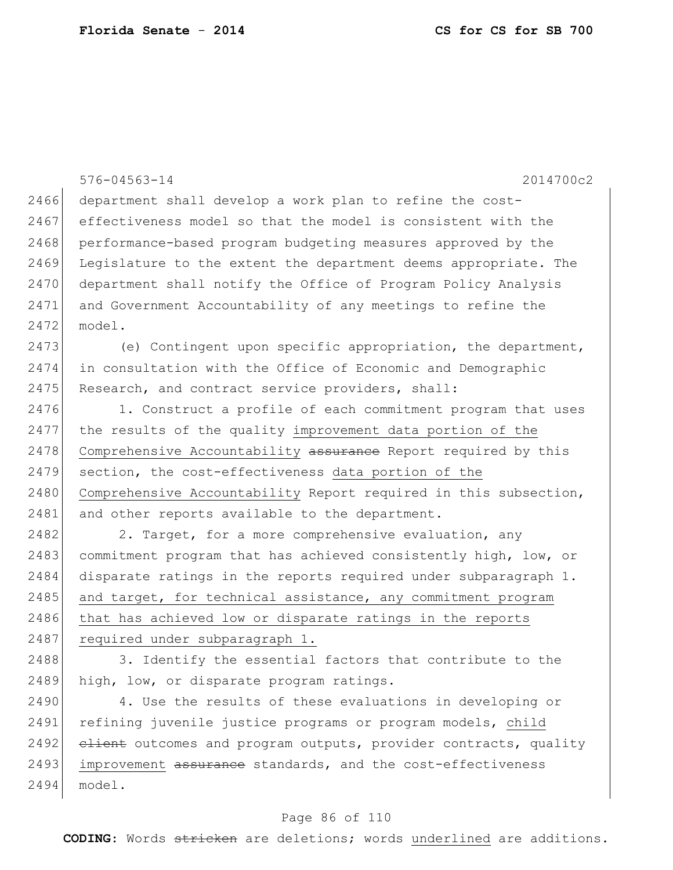|      | 2014700c2<br>$576 - 04563 - 14$                                  |  |  |  |  |  |
|------|------------------------------------------------------------------|--|--|--|--|--|
| 2466 |                                                                  |  |  |  |  |  |
| 2467 | department shall develop a work plan to refine the cost-         |  |  |  |  |  |
|      | effectiveness model so that the model is consistent with the     |  |  |  |  |  |
| 2468 | performance-based program budgeting measures approved by the     |  |  |  |  |  |
| 2469 | Legislature to the extent the department deems appropriate. The  |  |  |  |  |  |
| 2470 | department shall notify the Office of Program Policy Analysis    |  |  |  |  |  |
| 2471 | and Government Accountability of any meetings to refine the      |  |  |  |  |  |
| 2472 | model.                                                           |  |  |  |  |  |
| 2473 | (e) Contingent upon specific appropriation, the department,      |  |  |  |  |  |
| 2474 | in consultation with the Office of Economic and Demographic      |  |  |  |  |  |
| 2475 | Research, and contract service providers, shall:                 |  |  |  |  |  |
| 2476 | 1. Construct a profile of each commitment program that uses      |  |  |  |  |  |
| 2477 | the results of the quality improvement data portion of the       |  |  |  |  |  |
| 2478 | Comprehensive Accountability assurance Report required by this   |  |  |  |  |  |
| 2479 | section, the cost-effectiveness data portion of the              |  |  |  |  |  |
| 2480 | Comprehensive Accountability Report required in this subsection, |  |  |  |  |  |
| 2481 | and other reports available to the department.                   |  |  |  |  |  |
| 2482 | 2. Target, for a more comprehensive evaluation, any              |  |  |  |  |  |
| 2483 | commitment program that has achieved consistently high, low, or  |  |  |  |  |  |
| 2484 | disparate ratings in the reports required under subparagraph 1.  |  |  |  |  |  |
| 2485 | and target, for technical assistance, any commitment program     |  |  |  |  |  |
| 2486 | that has achieved low or disparate ratings in the reports        |  |  |  |  |  |
| 2487 | required under subparagraph 1.                                   |  |  |  |  |  |
| 2488 | 3. Identify the essential factors that contribute to the         |  |  |  |  |  |
| 2489 | high, low, or disparate program ratings.                         |  |  |  |  |  |
| 2490 | 4. Use the results of these evaluations in developing or         |  |  |  |  |  |
| 2491 | refining juvenile justice programs or program models, child      |  |  |  |  |  |
| 2492 | elient outcomes and program outputs, provider contracts, quality |  |  |  |  |  |
| 2493 | improvement assurance standards, and the cost-effectiveness      |  |  |  |  |  |

### model.

# Page 86 of 110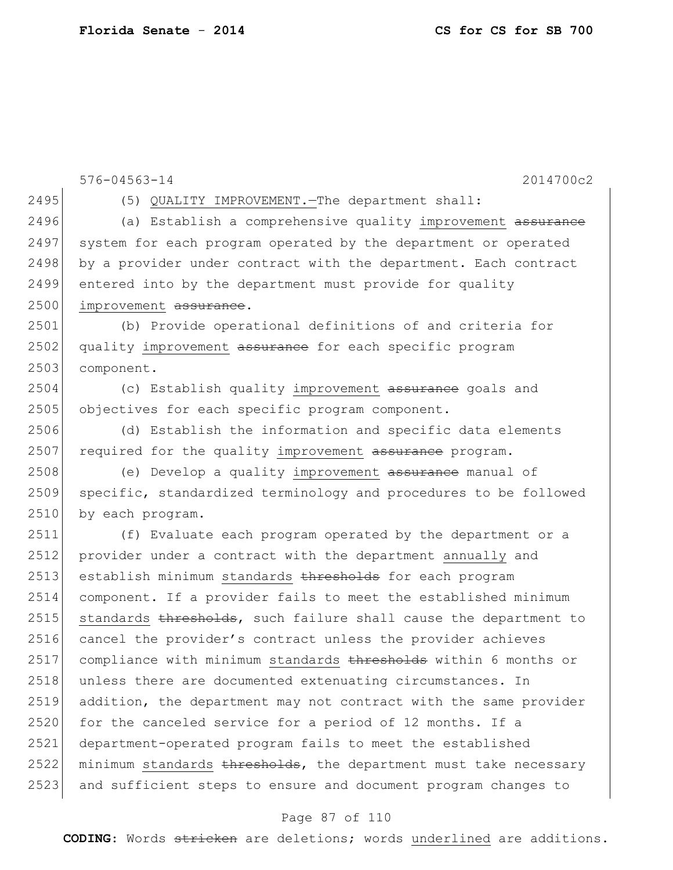```
576-04563-14 2014700c2
2495 (5) QUALITY IMPROVEMENT.—The department shall:
2496 (a) Establish a comprehensive quality improvement assurance
2497 system for each program operated by the department or operated
2498 by a provider under contract with the department. Each contract
2499 entered into by the department must provide for quality
2500 improvement assurance.
2501 (b) Provide operational definitions of and criteria for 
2502 quality improvement assurance for each specific program
2503 component.
2504 (c) Establish quality improvement assurance goals and
2505 objectives for each specific program component.
2506 (d) Establish the information and specific data elements 
2507 required for the quality improvement assurance program.
2508 (e) Develop a quality improvement assurance manual of
2509 specific, standardized terminology and procedures to be followed 
2510 by each program.
2511 (f) Evaluate each program operated by the department or a 
2512 provider under a contract with the department annually and 
2513 establish minimum standards thresholds for each program
2514 component. If a provider fails to meet the established minimum 
2515 standards thresholds, such failure shall cause the department to
2516 cancel the provider's contract unless the provider achieves
2517 compliance with minimum standards thresholds within 6 months or
2518 unless there are documented extenuating circumstances. In
2519 addition, the department may not contract with the same provider 
2520 for the canceled service for a period of 12 months. If a
2521 department-operated program fails to meet the established 
2522 minimum standards thresholds, the department must take necessary
2523 and sufficient steps to ensure and document program changes to
```
#### Page 87 of 110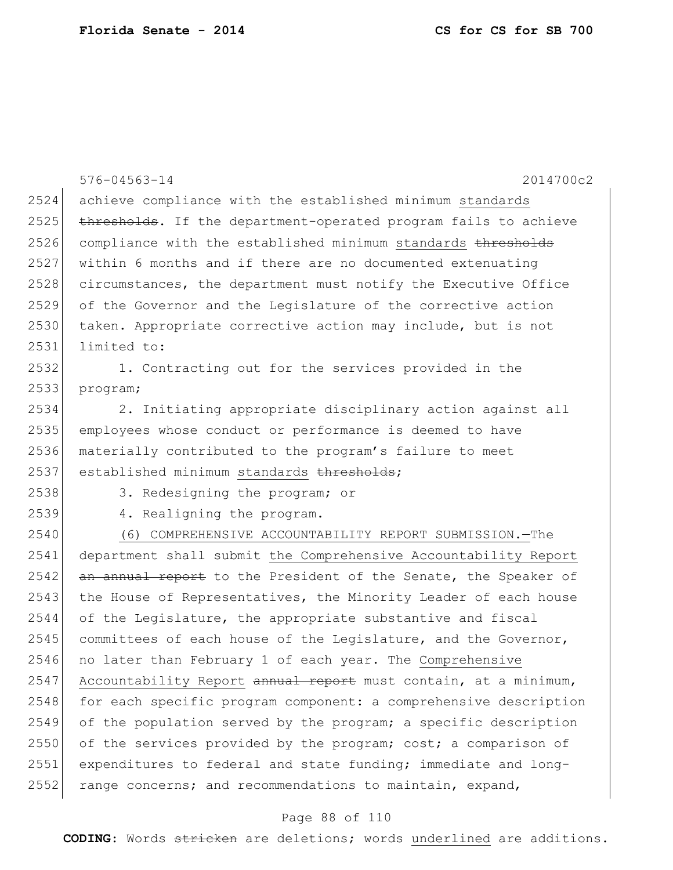|      | $576 - 04563 - 14$<br>2014700c2                                  |
|------|------------------------------------------------------------------|
| 2524 | achieve compliance with the established minimum standards        |
| 2525 | thresholds. If the department-operated program fails to achieve  |
| 2526 | compliance with the established minimum standards thresholds     |
| 2527 | within 6 months and if there are no documented extenuating       |
| 2528 | circumstances, the department must notify the Executive Office   |
| 2529 | of the Governor and the Legislature of the corrective action     |
| 2530 | taken. Appropriate corrective action may include, but is not     |
| 2531 | limited to:                                                      |
| 2532 | 1. Contracting out for the services provided in the              |
| 2533 | program;                                                         |
| 2534 | 2. Initiating appropriate disciplinary action against all        |
| 2535 | employees whose conduct or performance is deemed to have         |
| 2536 | materially contributed to the program's failure to meet          |
| 2537 | established minimum standards thresholds;                        |
| 2538 | 3. Redesigning the program; or                                   |
| 2539 | 4. Realigning the program.                                       |
| 2540 | (6) COMPREHENSIVE ACCOUNTABILITY REPORT SUBMISSION. - The        |
| 2541 | department shall submit the Comprehensive Accountability Report  |
| 2542 | an annual report to the President of the Senate, the Speaker of  |
| 2543 | the House of Representatives, the Minority Leader of each house  |
| 2544 | of the Leqislature, the appropriate substantive and fiscal       |
| 2545 | committees of each house of the Legislature, and the Governor,   |
| 2546 | no later than February 1 of each year. The Comprehensive         |
| 2547 | Accountability Report annual report must contain, at a minimum,  |
| 2548 | for each specific program component: a comprehensive description |
| 2549 | of the population served by the program; a specific description  |
| 2550 | of the services provided by the program; cost; a comparison of   |
| 2551 | expenditures to federal and state funding; immediate and long-   |
| 2552 | range concerns; and recommendations to maintain, expand,         |

# Page 88 of 110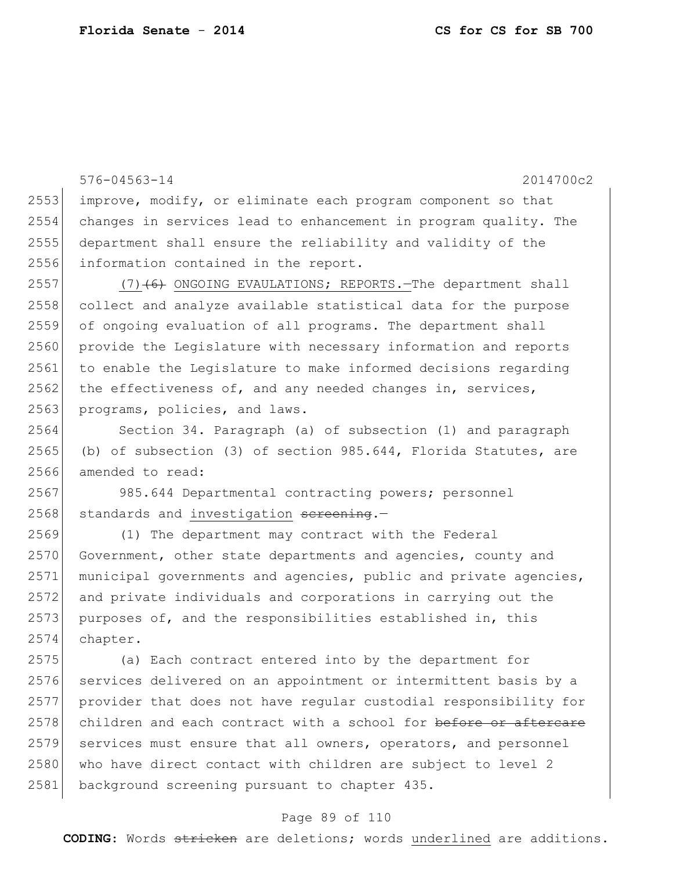576-04563-14 2014700c2 improve, modify, or eliminate each program component so that changes in services lead to enhancement in program quality. The department shall ensure the reliability and validity of the information contained in the report. 2557 (7) $(6)$  ONGOING EVAULATIONS; REPORTS. The department shall 2558 collect and analyze available statistical data for the purpose of ongoing evaluation of all programs. The department shall provide the Legislature with necessary information and reports to enable the Legislature to make informed decisions regarding the effectiveness of, and any needed changes in, services, 2563 programs, policies, and laws. Section 34. Paragraph (a) of subsection (1) and paragraph 2565 (b) of subsection (3) of section 985.644, Florida Statutes, are amended to read: 985.644 Departmental contracting powers; personnel standards and investigation sereening.- (1) The department may contract with the Federal 2570 Government, other state departments and agencies, county and municipal governments and agencies, public and private agencies, and private individuals and corporations in carrying out the purposes of, and the responsibilities established in, this 2574 chapter. (a) Each contract entered into by the department for 2576 services delivered on an appointment or intermittent basis by a provider that does not have regular custodial responsibility for 2578 children and each contract with a school for before or aftercare services must ensure that all owners, operators, and personnel 2580 who have direct contact with children are subject to level 2

### 2581 background screening pursuant to chapter 435.

#### Page 89 of 110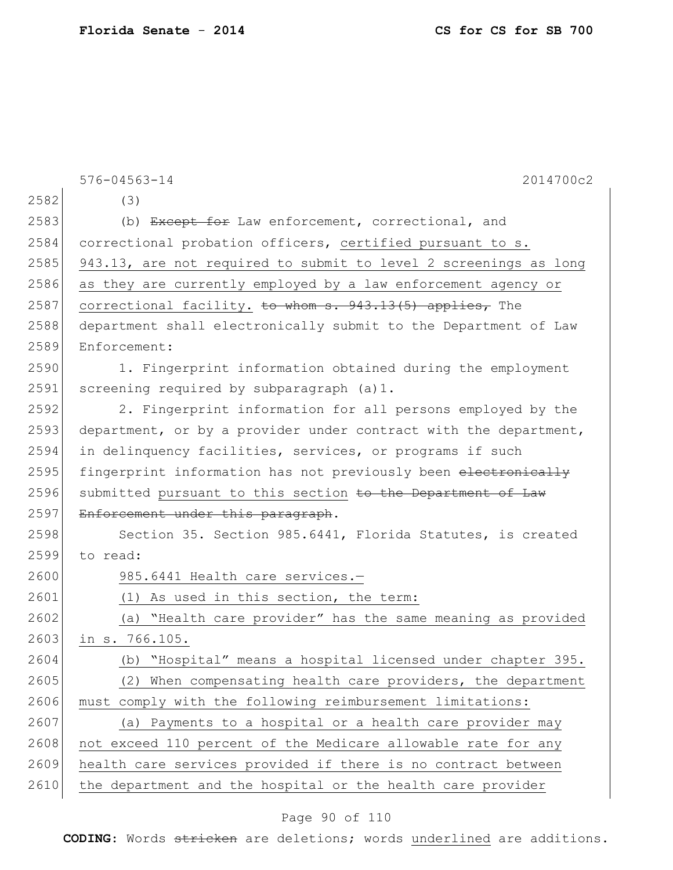|      | 576-04563-14<br>2014700c2                                        |
|------|------------------------------------------------------------------|
| 2582 | (3)                                                              |
| 2583 | (b) Except for Law enforcement, correctional, and                |
| 2584 | correctional probation officers, certified pursuant to s.        |
| 2585 | 943.13, are not required to submit to level 2 screenings as long |
| 2586 | as they are currently employed by a law enforcement agency or    |
| 2587 | correctional facility. to whom s. 943.13(5) applies, The         |
| 2588 | department shall electronically submit to the Department of Law  |
| 2589 | Enforcement:                                                     |
| 2590 | 1. Fingerprint information obtained during the employment        |
| 2591 | screening required by subparagraph (a)1.                         |
| 2592 | 2. Fingerprint information for all persons employed by the       |
| 2593 | department, or by a provider under contract with the department, |
| 2594 | in delinquency facilities, services, or programs if such         |
| 2595 | fingerprint information has not previously been electronically   |
| 2596 | submitted pursuant to this section to the Department of Law      |
| 2597 | Enforcement under this paragraph.                                |
| 2598 | Section 35. Section 985.6441, Florida Statutes, is created       |
| 2599 | to read:                                                         |
| 2600 | 985.6441 Health care services.-                                  |
| 2601 | (1) As used in this section, the term:                           |
| 2602 | "Health care provider" has the same meaning as provided<br>(a)   |
| 2603 | in s. 766.105.                                                   |
| 2604 | "Hospital" means a hospital licensed under chapter 395.<br>(b)   |
| 2605 | When compensating health care providers, the department<br>(2)   |
| 2606 | must comply with the following reimbursement limitations:        |
| 2607 | (a) Payments to a hospital or a health care provider may         |
| 2608 | not exceed 110 percent of the Medicare allowable rate for any    |
| 2609 | health care services provided if there is no contract between    |
| 2610 | the department and the hospital or the health care provider      |

# Page 90 of 110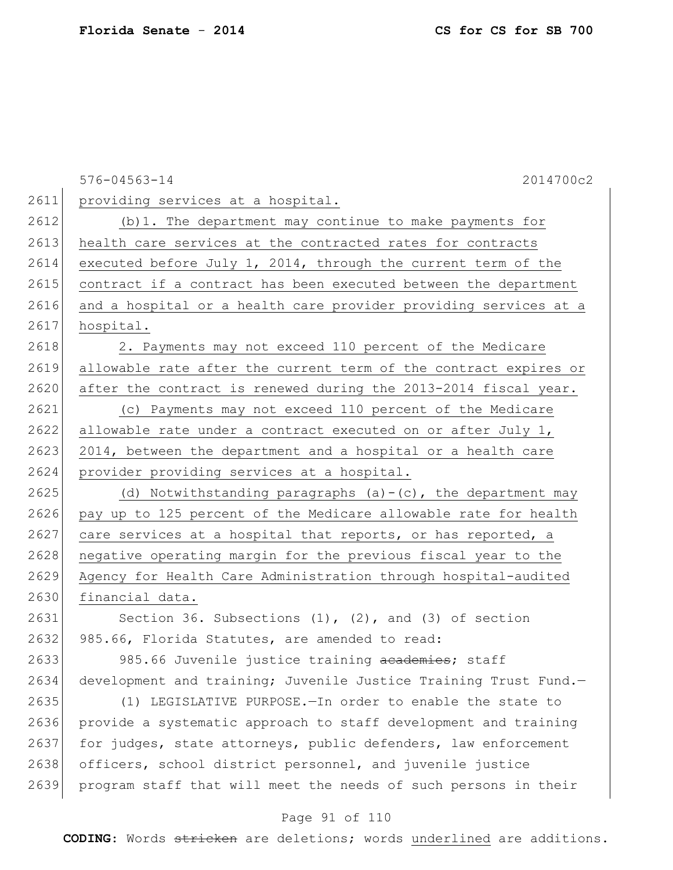|      | 2014700c2<br>$576 - 04563 - 14$                                  |
|------|------------------------------------------------------------------|
| 2611 | providing services at a hospital.                                |
| 2612 | (b) 1. The department may continue to make payments for          |
| 2613 | health care services at the contracted rates for contracts       |
| 2614 | executed before July 1, 2014, through the current term of the    |
| 2615 | contract if a contract has been executed between the department  |
| 2616 | and a hospital or a health care provider providing services at a |
| 2617 | hospital.                                                        |
| 2618 | 2. Payments may not exceed 110 percent of the Medicare           |
| 2619 | allowable rate after the current term of the contract expires or |
| 2620 | after the contract is renewed during the 2013-2014 fiscal year.  |
| 2621 | (c) Payments may not exceed 110 percent of the Medicare          |
| 2622 | allowable rate under a contract executed on or after July 1,     |
| 2623 | 2014, between the department and a hospital or a health care     |
| 2624 | provider providing services at a hospital.                       |
| 2625 | (d) Notwithstanding paragraphs $(a) - (c)$ , the department may  |
| 2626 | pay up to 125 percent of the Medicare allowable rate for health  |
| 2627 | care services at a hospital that reports, or has reported, a     |
| 2628 | negative operating margin for the previous fiscal year to the    |
| 2629 | Agency for Health Care Administration through hospital-audited   |
| 2630 | financial data.                                                  |
| 2631 | Section 36. Subsections $(1)$ , $(2)$ , and $(3)$ of section     |
| 2632 | 985.66, Florida Statutes, are amended to read:                   |
| 2633 | 985.66 Juvenile justice training academies; staff                |
| 2634 | development and training; Juvenile Justice Training Trust Fund.- |
| 2635 | (1) LEGISLATIVE PURPOSE. - In order to enable the state to       |
| 2636 | provide a systematic approach to staff development and training  |
| 2637 | for judges, state attorneys, public defenders, law enforcement   |
| 2638 | officers, school district personnel, and juvenile justice        |
| 2639 | program staff that will meet the needs of such persons in their  |

# Page 91 of 110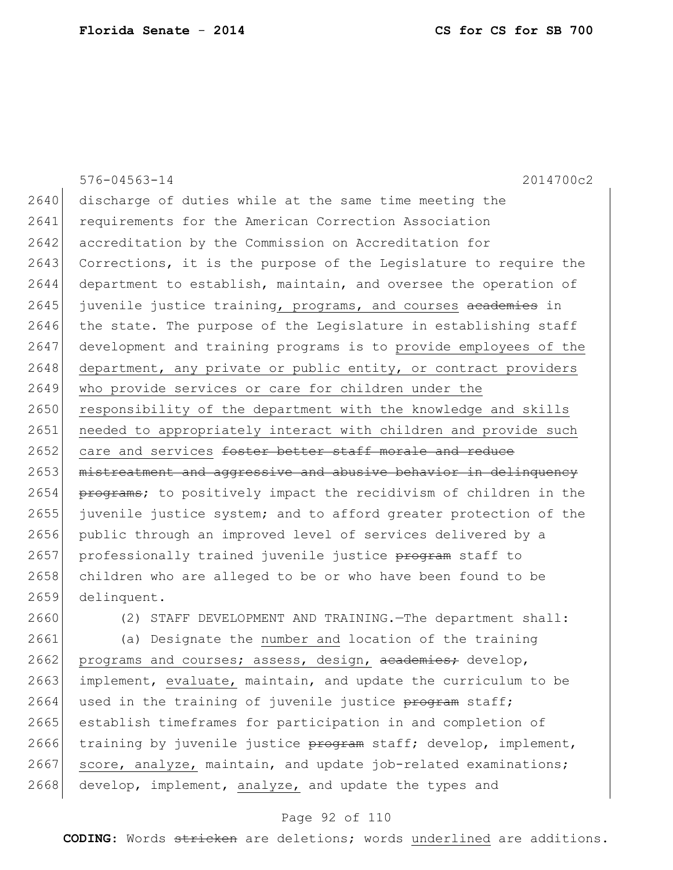576-04563-14 2014700c2 2640 discharge of duties while at the same time meeting the 2641 requirements for the American Correction Association 2642 accreditation by the Commission on Accreditation for 2643 Corrections, it is the purpose of the Legislature to require the 2644 department to establish, maintain, and oversee the operation of 2645 juvenile justice training, programs, and courses academies in 2646 the state. The purpose of the Legislature in establishing staff 2647 development and training programs is to provide employees of the 2648 department, any private or public entity, or contract providers 2649 who provide services or care for children under the 2650 responsibility of the department with the knowledge and skills 2651 needed to appropriately interact with children and provide such 2652 care and services foster better staff morale and reduce 2653 mistreatment and aggressive and abusive behavior in delinquency 2654 programs; to positively impact the recidivism of children in the 2655 juvenile justice system; and to afford greater protection of the 2656 public through an improved level of services delivered by a 2657 professionally trained juvenile justice program staff to 2658 children who are alleged to be or who have been found to be 2659 delinquent.

2660 (2) STAFF DEVELOPMENT AND TRAINING.—The department shall:

2661 (a) Designate the number and location of the training 2662 programs and courses; assess, design, academies; develop, 2663 implement, evaluate, maintain, and update the curriculum to be  $2664$  used in the training of juvenile justice program staff; 2665 establish timeframes for participation in and completion of 2666 training by juvenile justice  $\frac{1}{2}$  starf; develop, implement, 2667 score, analyze, maintain, and update job-related examinations;  $2668$  develop, implement, analyze, and update the types and

### Page 92 of 110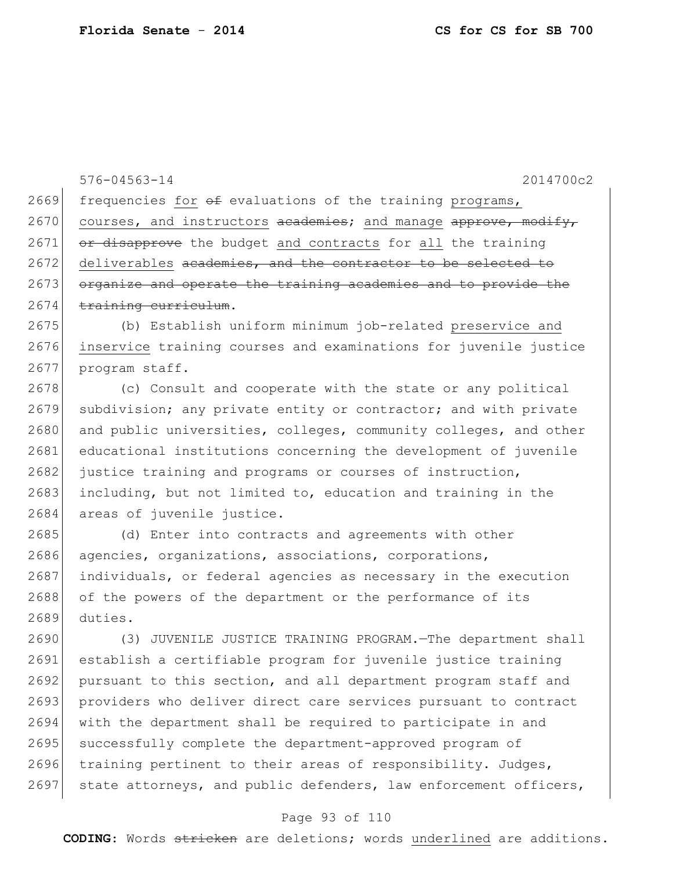576-04563-14 2014700c2 2669 frequencies for  $\theta$  evaluations of the training programs, 2670 courses, and instructors  $a$  cademies; and manage  $a$  pprove, modify,  $2671$  or disapprove the budget and contracts for all the training 2672 deliverables academies, and the contractor to be selected to 2673 organize and operate the training academies and to provide the  $2674$  training curriculum. 2675 (b) Establish uniform minimum job-related preservice and 2676 inservice training courses and examinations for juvenile justice 2677 program staff. 2678 (c) Consult and cooperate with the state or any political 2679 subdivision; any private entity or contractor; and with private 2680 and public universities, colleges, community colleges, and other 2681 educational institutions concerning the development of juvenile 2682 justice training and programs or courses of instruction, 2683 including, but not limited to, education and training in the 2684 areas of juvenile justice. 2685 (d) Enter into contracts and agreements with other 2686 agencies, organizations, associations, corporations, 2687 individuals, or federal agencies as necessary in the execution 2688 of the powers of the department or the performance of its 2689 duties. 2690 (3) JUVENILE JUSTICE TRAINING PROGRAM.—The department shall 2691 establish a certifiable program for juvenile justice training 2692 pursuant to this section, and all department program staff and 2693 providers who deliver direct care services pursuant to contract

2694 with the department shall be required to participate in and 2695 successfully complete the department-approved program of 2696 training pertinent to their areas of responsibility. Judges, 2697 state attorneys, and public defenders, law enforcement officers,

### Page 93 of 110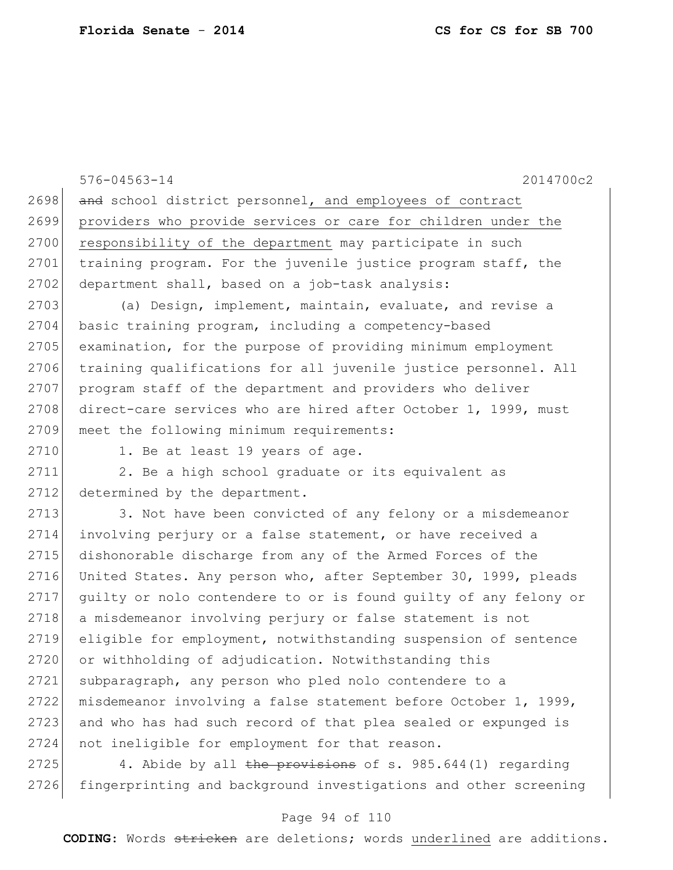576-04563-14 2014700c2 2698 and school district personnel, and employees of contract 2699 providers who provide services or care for children under the 2700 responsibility of the department may participate in such 2701 training program. For the juvenile justice program staff, the 2702 department shall, based on a job-task analysis: 2703 (a) Design, implement, maintain, evaluate, and revise a 2704 basic training program, including a competency-based 2705 examination, for the purpose of providing minimum employment 2706 training qualifications for all juvenile justice personnel. All 2707 program staff of the department and providers who deliver 2708 direct-care services who are hired after October 1, 1999, must 2709 meet the following minimum requirements: 2710 1. Be at least 19 years of age. 2711 2. Be a high school graduate or its equivalent as 2712 determined by the department. 2713 3. Not have been convicted of any felony or a misdemeanor 2714 involving perjury or a false statement, or have received a 2715 dishonorable discharge from any of the Armed Forces of the 2716 United States. Any person who, after September 30, 1999, pleads 2717 guilty or nolo contendere to or is found guilty of any felony or 2718 a misdemeanor involving perjury or false statement is not 2719 eligible for employment, notwithstanding suspension of sentence 2720 or withholding of adjudication. Notwithstanding this 2721 subparagraph, any person who pled nolo contendere to a 2722 misdemeanor involving a false statement before October 1, 1999, 2723 and who has had such record of that plea sealed or expunged is 2724 not ineligible for employment for that reason.

2725 4. Abide by all the provisions of s.  $985.644(1)$  regarding 2726 fingerprinting and background investigations and other screening

### Page 94 of 110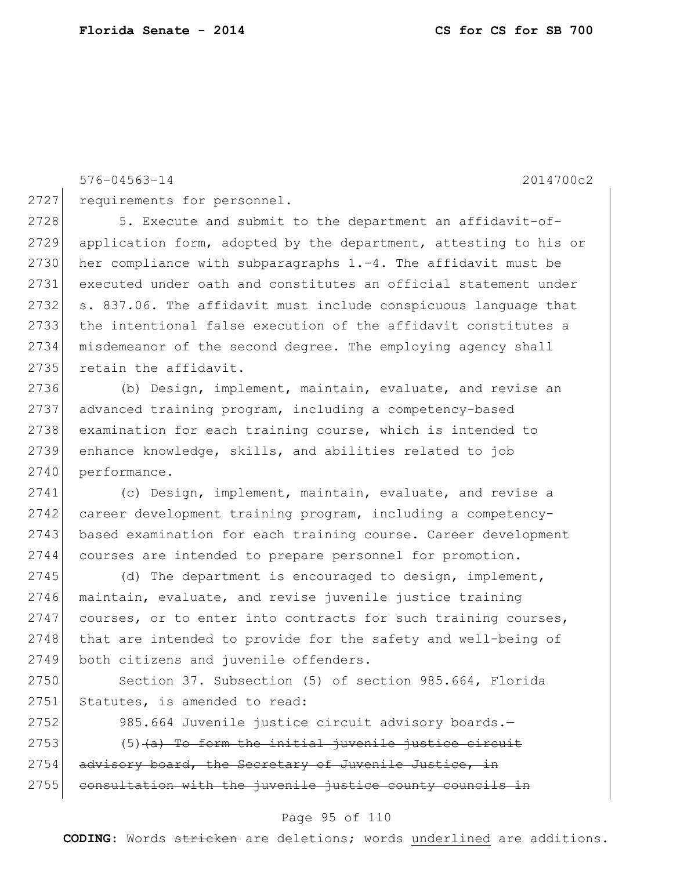576-04563-14 2014700c2

2727 requirements for personnel.

2728 5. Execute and submit to the department an affidavit-of- application form, adopted by the department, attesting to his or 2730 her compliance with subparagraphs  $1.-4$ . The affidavit must be executed under oath and constitutes an official statement under s. 837.06. The affidavit must include conspicuous language that the intentional false execution of the affidavit constitutes a misdemeanor of the second degree. The employing agency shall 2735 retain the affidavit.

 (b) Design, implement, maintain, evaluate, and revise an advanced training program, including a competency-based examination for each training course, which is intended to enhance knowledge, skills, and abilities related to job 2740 performance.

2741 (c) Design, implement, maintain, evaluate, and revise a 2742 career development training program, including a competency-2743 based examination for each training course. Career development 2744 courses are intended to prepare personnel for promotion.

2745 (d) The department is encouraged to design, implement, 2746 maintain, evaluate, and revise juvenile justice training 2747 courses, or to enter into contracts for such training courses, 2748 that are intended to provide for the safety and well-being of 2749 both citizens and juvenile offenders.

2750 Section 37. Subsection (5) of section 985.664, Florida 2751 Statutes, is amended to read:

2752 985.664 Juvenile justice circuit advisory boards.  $2753$  (5) (a) To form the initial juvenile justice circuit 2754 advisory board, the Secretary of Juvenile Justice, in  $2755$  consultation with the juvenile justice county councils in

### Page 95 of 110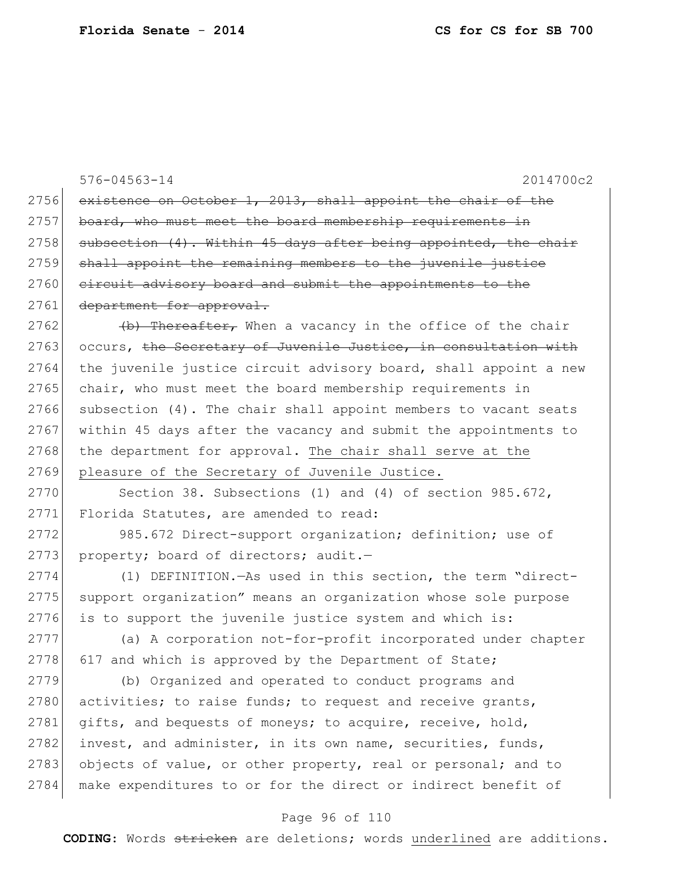|      | $576 - 04563 - 14$<br>2014700c2                                  |
|------|------------------------------------------------------------------|
| 2756 | existence on October 1, 2013, shall appoint the chair of the     |
| 2757 | board, who must meet the board membership requirements in        |
| 2758 | subsection (4). Within 45 days after being appointed, the chair  |
| 2759 | shall appoint the remaining members to the juvenile justice      |
| 2760 | eircuit advisory board and submit the appointments to the        |
| 2761 | department for approval.                                         |
| 2762 | $(b)$ Thereafter, When a vacancy in the office of the chair      |
| 2763 | occurs, the Secretary of Juvenile Justice, in consultation with  |
| 2764 | the juvenile justice circuit advisory board, shall appoint a new |
| 2765 | chair, who must meet the board membership requirements in        |
| 2766 | subsection (4). The chair shall appoint members to vacant seats  |
| 2767 | within 45 days after the vacancy and submit the appointments to  |
| 2768 | the department for approval. The chair shall serve at the        |
| 2769 | pleasure of the Secretary of Juvenile Justice.                   |
| 2770 | Section 38. Subsections (1) and (4) of section $985.672$ ,       |
| 2771 | Florida Statutes, are amended to read:                           |
| 2772 | 985.672 Direct-support organization; definition; use of          |
| 2773 | property; board of directors; audit.-                            |
| 2774 | (1) DEFINITION. - As used in this section, the term "direct-     |
| 2775 | support organization" means an organization whose sole purpose   |
| 2776 | is to support the juvenile justice system and which is:          |
| 2777 | (a) A corporation not-for-profit incorporated under chapter      |
| 2778 | 617 and which is approved by the Department of State;            |
| 2779 | (b) Organized and operated to conduct programs and               |
| 2780 | activities; to raise funds; to request and receive grants,       |
| 2781 | gifts, and bequests of moneys; to acquire, receive, hold,        |
| 2782 | invest, and administer, in its own name, securities, funds,      |
| 2783 | objects of value, or other property, real or personal; and to    |
| 2784 | make expenditures to or for the direct or indirect benefit of    |

# Page 96 of 110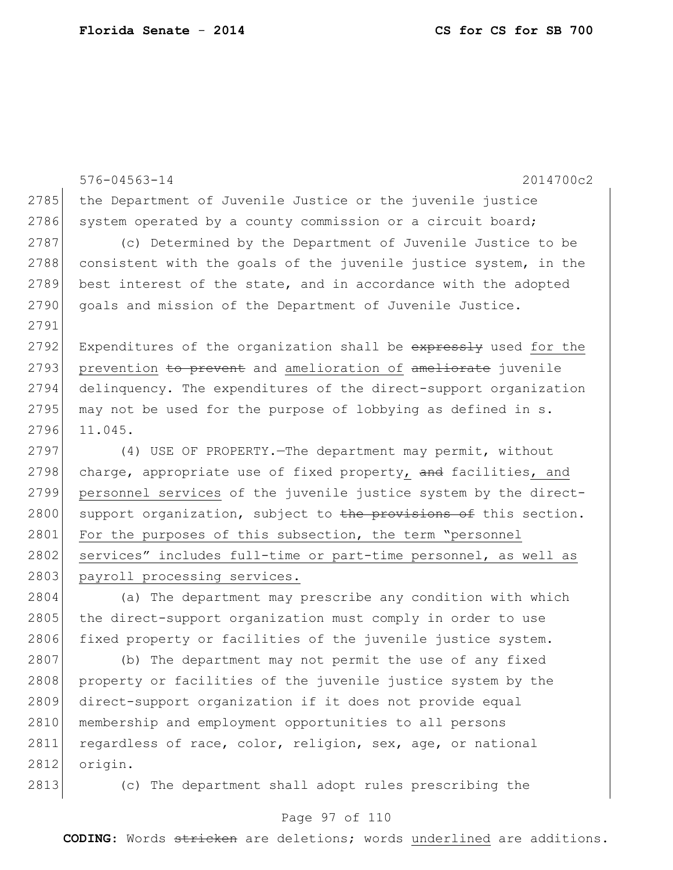576-04563-14 2014700c2 2785 the Department of Juvenile Justice or the juvenile justice 2786 system operated by a county commission or a circuit board; 2787 (c) Determined by the Department of Juvenile Justice to be 2788 consistent with the goals of the juvenile justice system, in the 2789 best interest of the state, and in accordance with the adopted 2790 goals and mission of the Department of Juvenile Justice. 2791 2792 Expenditures of the organization shall be expressly used for the 2793 prevention to prevent and amelioration of ameliorate juvenile 2794 delinquency. The expenditures of the direct-support organization 2795 may not be used for the purpose of lobbying as defined in  $s$ . 2796 11.045. 2797 (4) USE OF PROPERTY.—The department may permit, without 2798 charge, appropriate use of fixed property, and facilities, and 2799 personnel services of the juvenile justice system by the direct-2800 support organization, subject to the provisions of this section. 2801 For the purposes of this subsection, the term "personnel 2802 services" includes full-time or part-time personnel, as well as 2803 payroll processing services. 2804 (a) The department may prescribe any condition with which 2805 the direct-support organization must comply in order to use 2806 fixed property or facilities of the juvenile justice system.

2807 (b) The department may not permit the use of any fixed 2808 property or facilities of the juvenile justice system by the 2809 direct-support organization if it does not provide equal 2810 membership and employment opportunities to all persons 2811 regardless of race, color, religion, sex, age, or national 2812 origin.

2813 (c) The department shall adopt rules prescribing the

### Page 97 of 110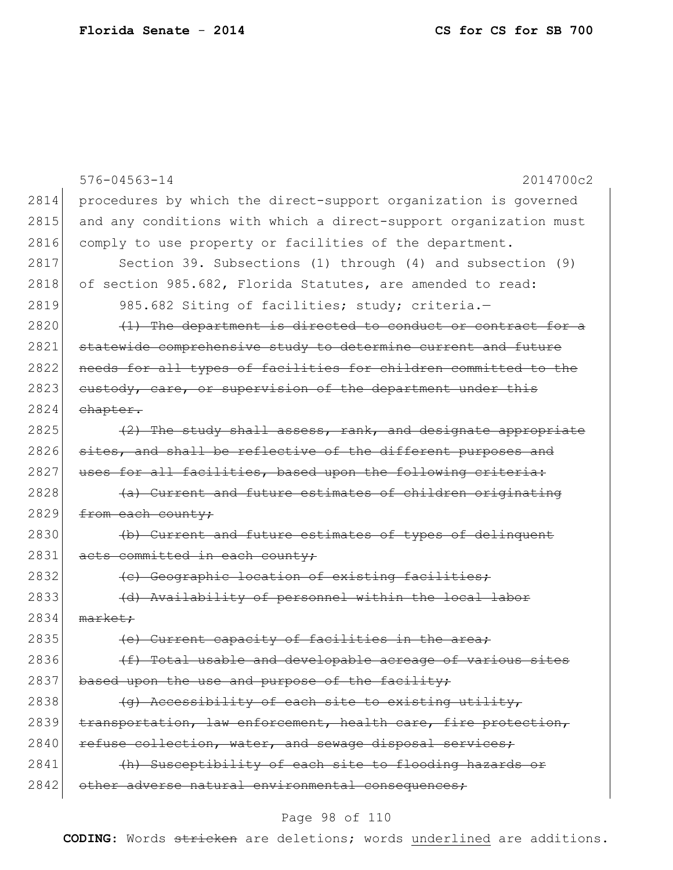|      | $576 - 04563 - 14$<br>2014700c2                                  |
|------|------------------------------------------------------------------|
| 2814 | procedures by which the direct-support organization is governed  |
| 2815 | and any conditions with which a direct-support organization must |
| 2816 | comply to use property or facilities of the department.          |
| 2817 | Section 39. Subsections (1) through (4) and subsection (9)       |
| 2818 | of section 985.682, Florida Statutes, are amended to read:       |
| 2819 | 985.682 Siting of facilities; study; criteria.-                  |
| 2820 | (1) The department is directed to conduct or contract for a      |
| 2821 | statewide comprehensive study to determine current and future    |
| 2822 | needs for all types of facilities for children committed to the  |
| 2823 | eustody, care, or supervision of the department under this       |
| 2824 | chapter.                                                         |
| 2825 | $(2)$ The study shall assess, rank, and designate appropriate    |
| 2826 | sites, and shall be reflective of the different purposes and     |
| 2827 | uses for all facilities, based upon the following criteria:      |
| 2828 | (a) Current and future estimates of children originating         |
| 2829 | from each county;                                                |
| 2830 | (b) Current and future estimates of types of delinquent          |
| 2831 | acts committed in each county;                                   |
| 2832 | (c) Geographic location of existing facilities;                  |
| 2833 | (d) Availability of personnel within the local labor             |
| 2834 | $\text{market}:$                                                 |
| 2835 | (e) Current capacity of facilities in the                        |
| 2836 | (f) Total usable and developable acreage of various sites        |
| 2837 | based upon the use and purpose of the facility;                  |
| 2838 | (g) Accessibility of each site to existing utility,              |
| 2839 | transportation, law enforcement, health care, fire protection,   |
| 2840 | refuse collection, water, and sewage disposal services;          |
| 2841 | (h) Susceptibility of each site to flooding hazards or           |
| 2842 | other adverse natural environmental consequences;                |

# Page 98 of 110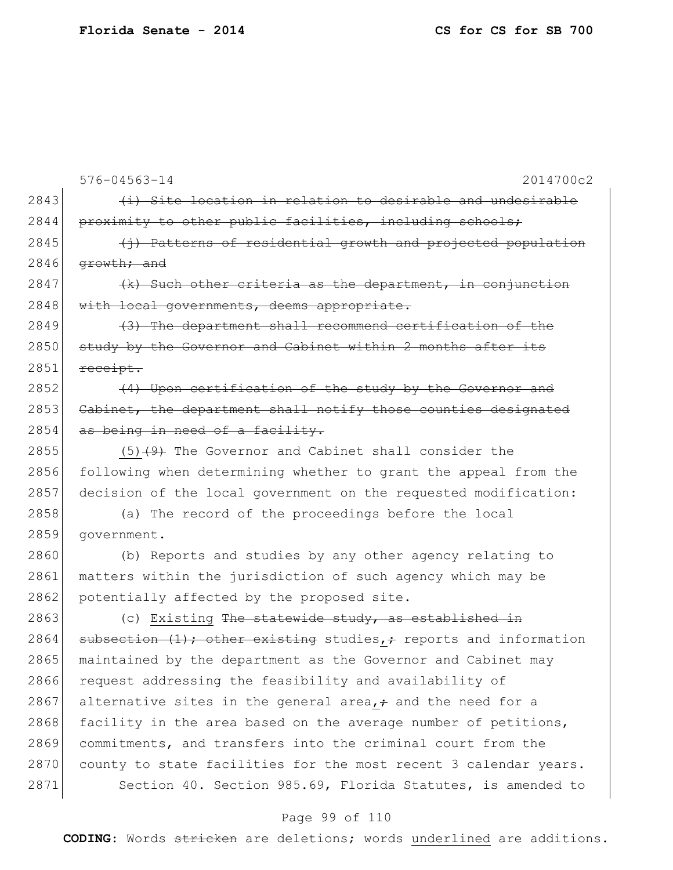|  | CS for CS for SB 700 |  |  |  |  |
|--|----------------------|--|--|--|--|
|--|----------------------|--|--|--|--|

576-04563-14 2014700c2  $2843$  (i) Site location in relation to desirable and undesirable 2844 proximity to other public facilities, including schools;  $2845$  (i) Patterns of residential growth and projected population  $2846$  growth; and 2847  $\left\{\kappa\right\}$  Such other criteria as the department, in conjunction 2848 with local governments, deems appropriate.  $2849$  (3) The department shall recommend certification of the 2850 study by the Governor and Cabinet within 2 months after its  $2851$  receipt.  $2852$  (4) Upon certification of the study by the Governor and 2853 Cabinet, the department shall notify those counties designated  $2854$  as being in need of a facility. 2855 (5)  $(9)$  The Governor and Cabinet shall consider the 2856 following when determining whether to grant the appeal from the 2857 decision of the local government on the requested modification: 2858 (a) The record of the proceedings before the local 2859 government. 2860 (b) Reports and studies by any other agency relating to 2861 matters within the jurisdiction of such agency which may be 2862 potentially affected by the proposed site.  $2863$  (c) Existing The statewide study, as established in 2864 subsection  $(1)$ ; other existing studies,  $\div$  reports and information 2865 maintained by the department as the Governor and Cabinet may 2866 request addressing the feasibility and availability of 2867 alternative sites in the general area,  $\div$  and the need for a 2868 facility in the area based on the average number of petitions, 2869 commitments, and transfers into the criminal court from the 2870 county to state facilities for the most recent 3 calendar years. 2871 Section 40. Section 985.69, Florida Statutes, is amended to

### Page 99 of 110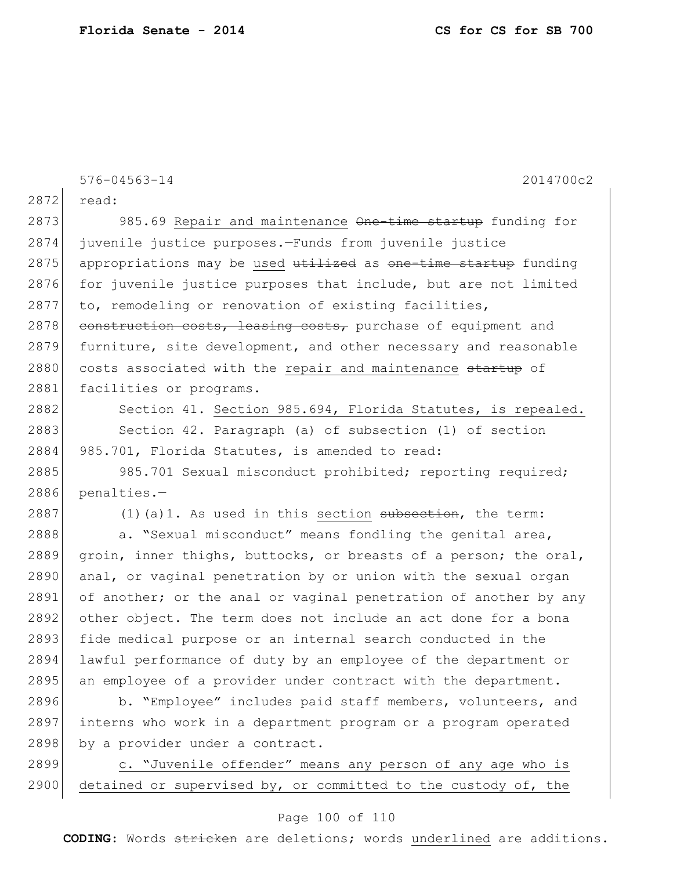576-04563-14 2014700c2 2872 read: 2873 985.69 Repair and maintenance One-time startup funding for 2874 juvenile justice purposes.—Funds from juvenile justice 2875 appropriations may be used utilized as one-time startup funding 2876 for juvenile justice purposes that include, but are not limited 2877 to, remodeling or renovation of existing facilities,  $2878$  construction costs, leasing costs, purchase of equipment and 2879 furniture, site development, and other necessary and reasonable 2880 costs associated with the repair and maintenance startup of 2881 facilities or programs. 2882 Section 41. Section 985.694, Florida Statutes, is repealed. 2883 Section 42. Paragraph (a) of subsection (1) of section 2884 985.701, Florida Statutes, is amended to read:

2885 985.701 Sexual misconduct prohibited; reporting required; 2886 penalties.—

2887 (1)(a)1. As used in this section subsection, the term:

2888 a. "Sexual misconduct" means fondling the genital area, 2889 groin, inner thighs, buttocks, or breasts of a person; the oral, 2890 anal, or vaginal penetration by or union with the sexual organ 2891 of another; or the anal or vaginal penetration of another by any 2892 other object. The term does not include an act done for a bona 2893 fide medical purpose or an internal search conducted in the 2894 lawful performance of duty by an employee of the department or 2895 an employee of a provider under contract with the department.

2896 b. "Employee" includes paid staff members, volunteers, and 2897 interns who work in a department program or a program operated 2898 by a provider under a contract.

2899 c. "Juvenile offender" means any person of any age who is 2900 detained or supervised by, or committed to the custody of, the

### Page 100 of 110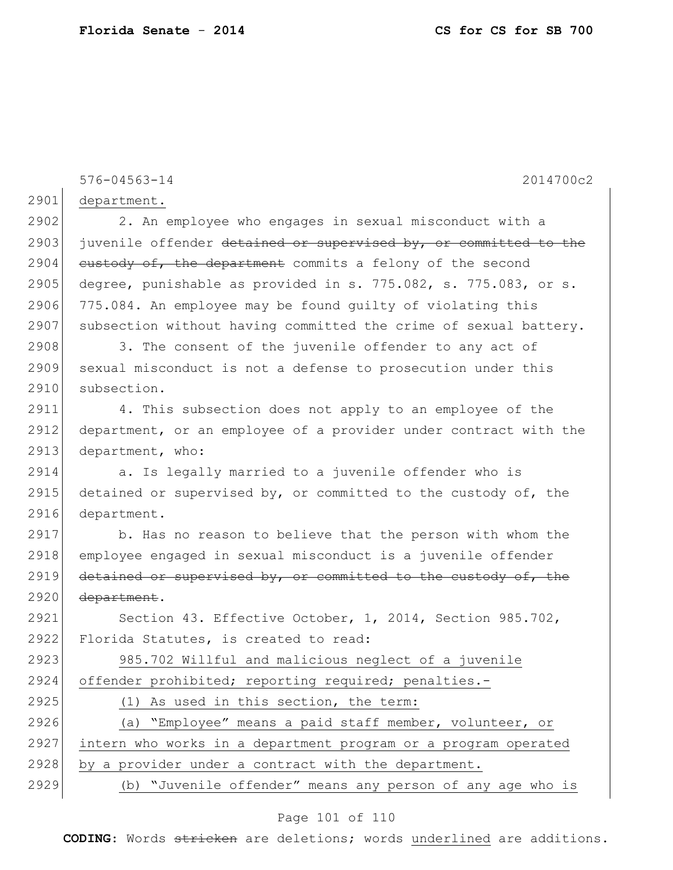576-04563-14 2014700c2 2901 department. 2902 2. An employee who engages in sexual misconduct with a 2903 juvenile offender detained or supervised by, or committed to the 2904 custody of, the department commits a felony of the second 2905 degree, punishable as provided in s. 775.082, s. 775.083, or s. 2906 775.084. An employee may be found guilty of violating this 2907 subsection without having committed the crime of sexual battery.  $2908$  3. The consent of the juvenile offender to any act of 2909 sexual misconduct is not a defense to prosecution under this 2910 subsection. 2911 4. This subsection does not apply to an employee of the 2912 department, or an employee of a provider under contract with the 2913 department, who: 2914 a. Is legally married to a juvenile offender who is 2915 detained or supervised by, or committed to the custody of, the 2916 department. 2917 b. Has no reason to believe that the person with whom the 2918 employee engaged in sexual misconduct is a juvenile offender 2919 detained or supervised by, or committed to the custody of, the 2920 <del>department</del>. 2921 Section 43. Effective October, 1, 2014, Section 985.702, 2922 Florida Statutes, is created to read: 2923 985.702 Willful and malicious neglect of a juvenile 2924 offender prohibited; reporting required; penalties.- 2925 (1) As used in this section, the term: 2926 (a) "Employee" means a paid staff member, volunteer, or 2927 intern who works in a department program or a program operated 2928 by a provider under a contract with the department. 2929 (b) "Juvenile offender" means any person of any age who is

#### Page 101 of 110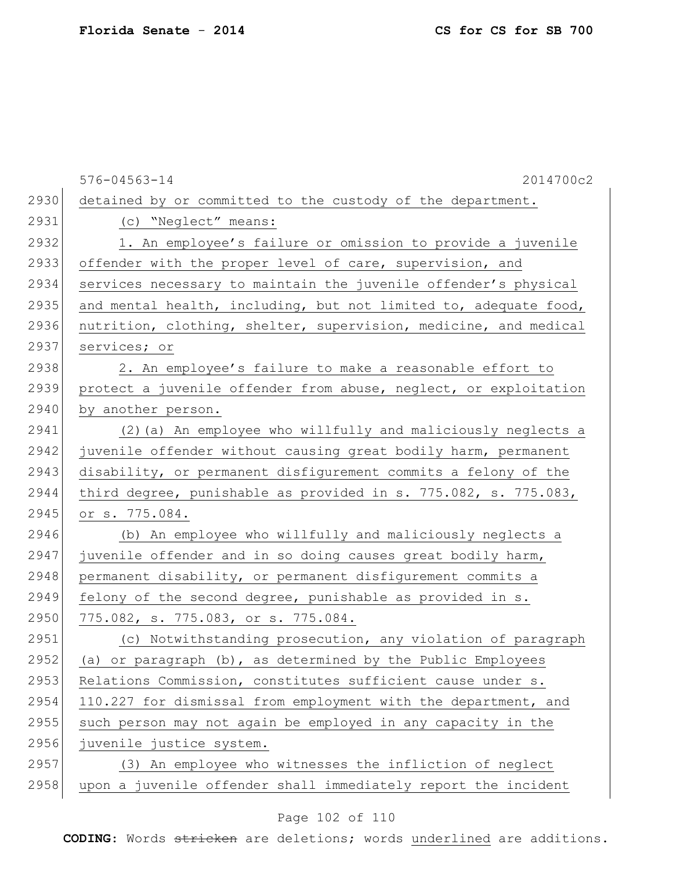|      | $576 - 04563 - 14$<br>2014700c2                                  |
|------|------------------------------------------------------------------|
| 2930 | detained by or committed to the custody of the department.       |
| 2931 | (c) "Neglect" means:                                             |
| 2932 | 1. An employee's failure or omission to provide a juvenile       |
| 2933 | offender with the proper level of care, supervision, and         |
| 2934 | services necessary to maintain the juvenile offender's physical  |
| 2935 | and mental health, including, but not limited to, adequate food, |
| 2936 | nutrition, clothing, shelter, supervision, medicine, and medical |
| 2937 | services; or                                                     |
| 2938 | 2. An employee's failure to make a reasonable effort to          |
| 2939 | protect a juvenile offender from abuse, neglect, or exploitation |
| 2940 | by another person.                                               |
| 2941 | (2) (a) An employee who willfully and maliciously neglects a     |
| 2942 | juvenile offender without causing great bodily harm, permanent   |
| 2943 | disability, or permanent disfigurement commits a felony of the   |
| 2944 | third degree, punishable as provided in s. 775.082, s. 775.083,  |
| 2945 | or s. 775.084.                                                   |
| 2946 | (b) An employee who willfully and maliciously neglects a         |
| 2947 | juvenile offender and in so doing causes great bodily harm,      |
| 2948 | permanent disability, or permanent disfigurement commits a       |
| 2949 | felony of the second degree, punishable as provided in s.        |
| 2950 | 775.082, s. 775.083, or s. 775.084.                              |
| 2951 | (c) Notwithstanding prosecution, any violation of paragraph      |
| 2952 | (a) or paragraph (b), as determined by the Public Employees      |
| 2953 | Relations Commission, constitutes sufficient cause under s.      |
| 2954 | 110.227 for dismissal from employment with the department, and   |
| 2955 | such person may not again be employed in any capacity in the     |
| 2956 | juvenile justice system.                                         |
| 2957 | (3) An employee who witnesses the infliction of neglect          |
| 2958 | upon a juvenile offender shall immediately report the incident   |
|      |                                                                  |

# Page 102 of 110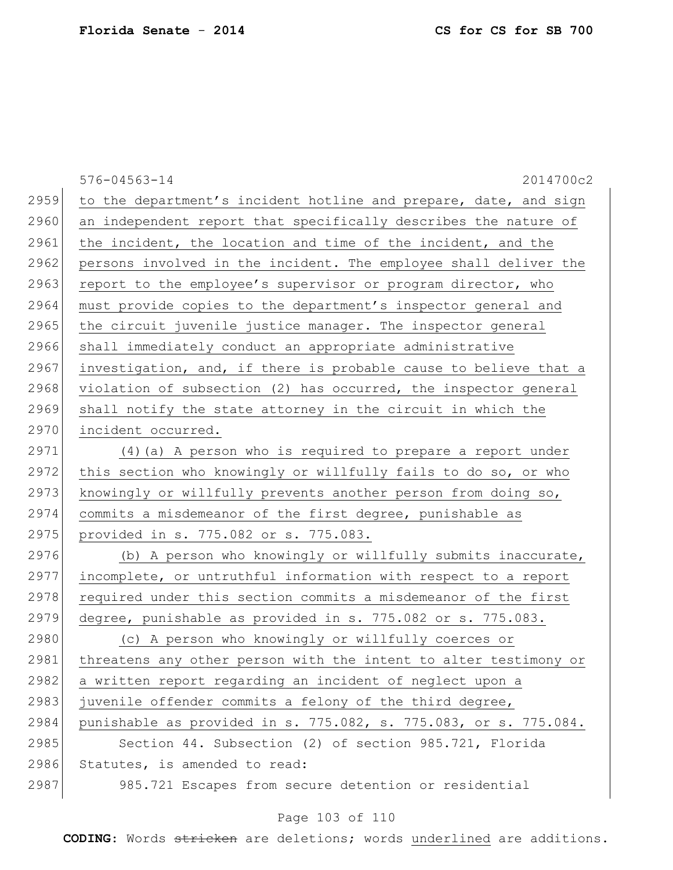| $576 - 04563 - 14$<br>2014700c2                                  |
|------------------------------------------------------------------|
| to the department's incident hotline and prepare, date, and sign |
| an independent report that specifically describes the nature of  |
| the incident, the location and time of the incident, and the     |
| persons involved in the incident. The employee shall deliver the |
| report to the employee's supervisor or program director, who     |
| must provide copies to the department's inspector general and    |
| the circuit juvenile justice manager. The inspector general      |
| shall immediately conduct an appropriate administrative          |
| investigation, and, if there is probable cause to believe that a |
| violation of subsection (2) has occurred, the inspector general  |
| shall notify the state attorney in the circuit in which the      |
| incident occurred.                                               |
| (4) (a) A person who is required to prepare a report under       |
| this section who knowingly or willfully fails to do so, or who   |
| knowingly or willfully prevents another person from doing so,    |
| commits a misdemeanor of the first degree, punishable as         |
| provided in s. 775.082 or s. 775.083.                            |
| (b) A person who knowingly or willfully submits inaccurate,      |
| incomplete, or untruthful information with respect to a report   |
| required under this section commits a misdemeanor of the first   |
| degree, punishable as provided in s. 775.082 or s. 775.083.      |
| (c) A person who knowingly or willfully coerces or               |
| threatens any other person with the intent to alter testimony or |
| a written report regarding an incident of neglect upon a         |
| juvenile offender commits a felony of the third degree,          |
| punishable as provided in s. 775.082, s. 775.083, or s. 775.084. |
| Section 44. Subsection (2) of section 985.721, Florida           |
| Statutes, is amended to read:                                    |
|                                                                  |
| 2959<br>2960<br>2963<br>2965<br>2966<br>2970<br>2976<br>2983     |

# Page 103 of 110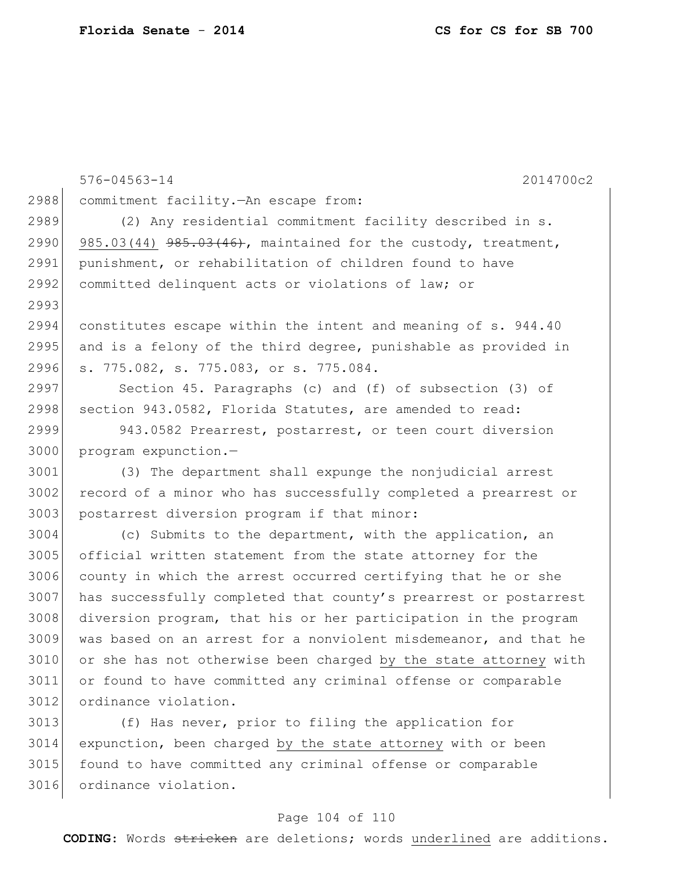576-04563-14 2014700c2 commitment facility.—An escape from: (2) Any residential commitment facility described in s. 2990 985.03(44)  $985.03(44)$   $985.03(46)$ , maintained for the custody, treatment, 2991 punishment, or rehabilitation of children found to have 2992 committed delinquent acts or violations of law; or constitutes escape within the intent and meaning of s. 944.40 2995 and is a felony of the third degree, punishable as provided in s. 775.082, s. 775.083, or s. 775.084. Section 45. Paragraphs (c) and (f) of subsection (3) of 2998 section 943.0582, Florida Statutes, are amended to read: 943.0582 Prearrest, postarrest, or teen court diversion program expunction.— (3) The department shall expunge the nonjudicial arrest 3002 record of a minor who has successfully completed a prearrest or 3003 postarrest diversion program if that minor: (c) Submits to the department, with the application, an 3005 official written statement from the state attorney for the county in which the arrest occurred certifying that he or she has successfully completed that county's prearrest or postarrest diversion program, that his or her participation in the program was based on an arrest for a nonviolent misdemeanor, and that he or she has not otherwise been charged by the state attorney with or found to have committed any criminal offense or comparable ordinance violation.

 (f) Has never, prior to filing the application for expunction, been charged by the state attorney with or been found to have committed any criminal offense or comparable 3016 ordinance violation.

### Page 104 of 110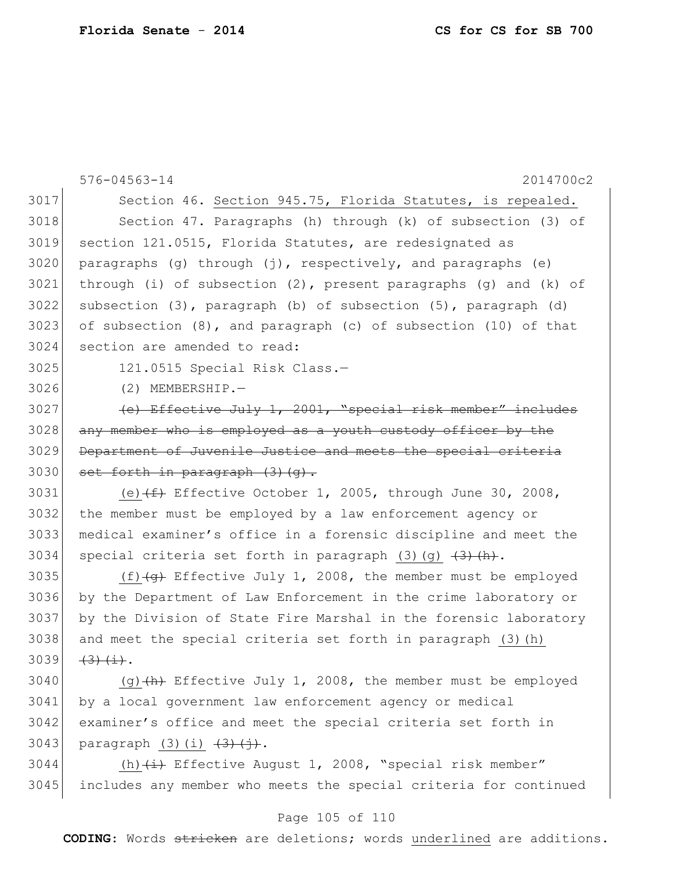|      | $576 - 04563 - 14$<br>2014700c2                                              |
|------|------------------------------------------------------------------------------|
| 3017 | Section 46. Section 945.75, Florida Statutes, is repealed.                   |
| 3018 | Section 47. Paragraphs (h) through (k) of subsection (3) of                  |
| 3019 | section 121.0515, Florida Statutes, are redesignated as                      |
| 3020 | paragraphs (g) through $(j)$ , respectively, and paragraphs (e)              |
| 3021 | through (i) of subsection $(2)$ , present paragraphs $(g)$ and $(k)$ of      |
| 3022 | subsection $(3)$ , paragraph $(b)$ of subsection $(5)$ , paragraph $(d)$     |
| 3023 | of subsection (8), and paragraph (c) of subsection (10) of that              |
| 3024 | section are amended to read:                                                 |
| 3025 | 121.0515 Special Risk Class.-                                                |
| 3026 | $(2)$ MEMBERSHIP.-                                                           |
| 3027 | (e) Effective July 1, 2001, "special risk member" includes                   |
| 3028 | any member who is employed as a youth custody officer by the                 |
| 3029 | Department of Juvenile Justice and meets the special criteria                |
| 3030 | set forth in paragraph (3) (q).                                              |
| 3031 | (e) $(f+$ Effective October 1, 2005, through June 30, 2008,                  |
| 3032 | the member must be employed by a law enforcement agency or                   |
| 3033 | medical examiner's office in a forensic discipline and meet the              |
| 3034 | special criteria set forth in paragraph $(3)$ $(g)$ $(3)$ $(h)$ .            |
| 3035 | (f) $\overline{+g}$ Effective July 1, 2008, the member must be employed      |
| 3036 | by the Department of Law Enforcement in the crime laboratory or              |
| 3037 | by the Division of State Fire Marshal in the forensic laboratory             |
| 3038 | and meet the special criteria set forth in paragraph (3) (h)                 |
| 3039 | $\left(3\right)$ $\left(1\right)$ .                                          |
| 3040 | (q) $(h)$ Effective July 1, 2008, the member must be employed                |
| 3041 | by a local government law enforcement agency or medical                      |
| 3042 | examiner's office and meet the special criteria set forth in                 |
| 3043 | paragraph $(3)(i)$ $(\frac{3}{2})$ $(i)$ .                                   |
| 3044 | (h) $\overleftrightarrow{+}$ Effective August 1, 2008, "special risk member" |
| 3045 | includes any member who meets the special criteria for continued             |

# Page 105 of 110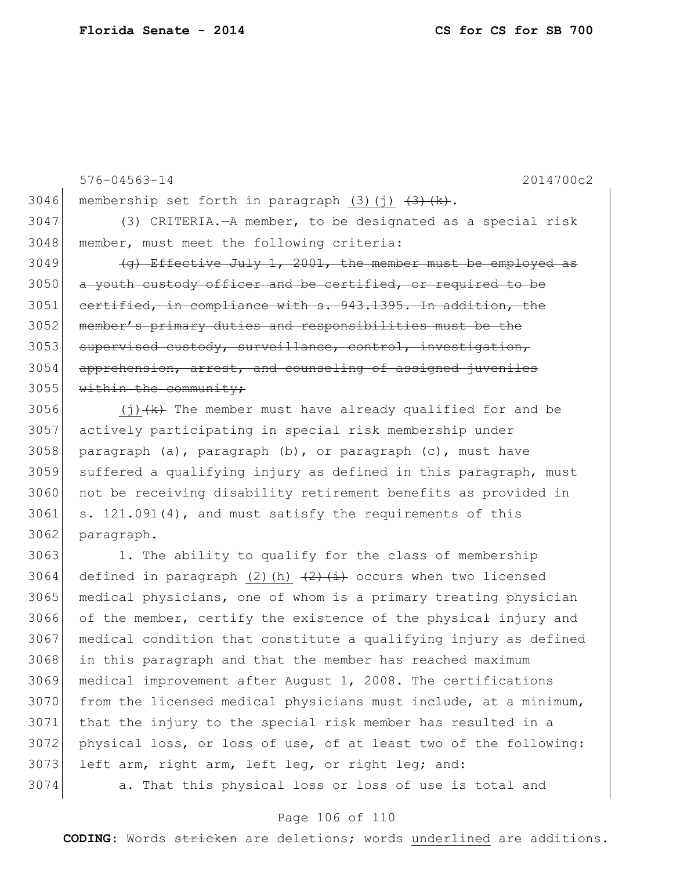3046 membership set forth in paragraph  $(3)(j)$   $(3)$   $(k)$ . (3) CRITERIA.—A member, to be designated as a special risk member, must meet the following criteria: (g) Effective July 1, 2001, the member must be employed as a youth custody officer and be certified, or required to be 3051 certified, in compliance with s. 943.1395. In addition, the member's primary duties and responsibilities must be the 3053 supervised custody, surveillance, control, investigation, 3054 apprehension, arrest, and counseling of assigned juveniles within the community;  $(j)$   $(k)$  The member must have already qualified for and be actively participating in special risk membership under 3058 paragraph (a), paragraph (b), or paragraph (c), must have suffered a qualifying injury as defined in this paragraph, must 3060 not be receiving disability retirement benefits as provided in s. 121.091(4), and must satisfy the requirements of this 3062 paragraph. 1. The ability to qualify for the class of membership 3064 defined in paragraph (2)(h)  $\left( \frac{2}{2} \right)$  (i) occurs when two licensed medical physicians, one of whom is a primary treating physician of the member, certify the existence of the physical injury and medical condition that constitute a qualifying injury as defined in this paragraph and that the member has reached maximum medical improvement after August 1, 2008. The certifications from the licensed medical physicians must include, at a minimum, that the injury to the special risk member has resulted in a physical loss, or loss of use, of at least two of the following: 3073 left arm, right arm, left leg, or right leg; and: a. That this physical loss or loss of use is total and

576-04563-14 2014700c2

#### Page 106 of 110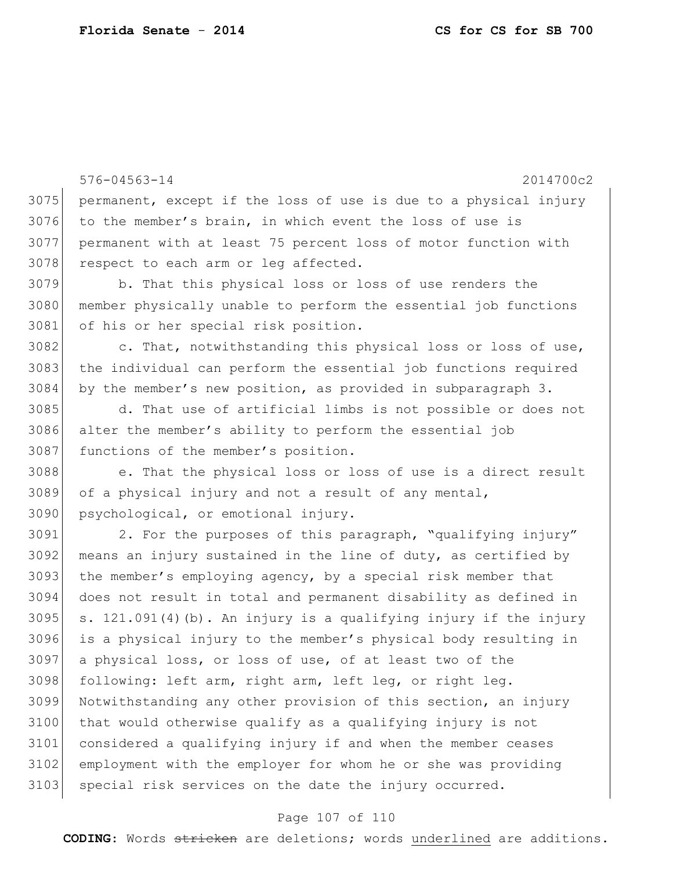```
576-04563-14 2014700c2
3075 permanent, except if the loss of use is due to a physical injury 
3076 to the member's brain, in which event the loss of use is 
3077 permanent with at least 75 percent loss of motor function with 
3078 respect to each arm or leg affected.
3079 b. That this physical loss or loss of use renders the 
3080 member physically unable to perform the essential job functions 
3081 of his or her special risk position.
3082 c. That, notwithstanding this physical loss or loss of use,
3083 the individual can perform the essential job functions required 
3084 by the member's new position, as provided in subparagraph 3.
3085 d. That use of artificial limbs is not possible or does not 
3086 alter the member's ability to perform the essential job 
3087 functions of the member's position.
3088 e. That the physical loss or loss of use is a direct result 
3089 of a physical injury and not a result of any mental, 
3090 psychological, or emotional injury.
3091 2. For the purposes of this paragraph, "qualifying injury" 
3092 means an injury sustained in the line of duty, as certified by
3093 the member's employing agency, by a special risk member that
3094 does not result in total and permanent disability as defined in 
3095 s. 121.091(4)(b). An injury is a qualifying injury if the injury
3096 is a physical injury to the member's physical body resulting in 
3097 a physical loss, or loss of use, of at least two of the 
3098 following: left arm, right arm, left leg, or right leg.
3099 Notwithstanding any other provision of this section, an injury 
3100 that would otherwise qualify as a qualifying injury is not
3101 considered a qualifying injury if and when the member ceases 
3102 employment with the employer for whom he or she was providing 
3103 special risk services on the date the injury occurred.
```
#### Page 107 of 110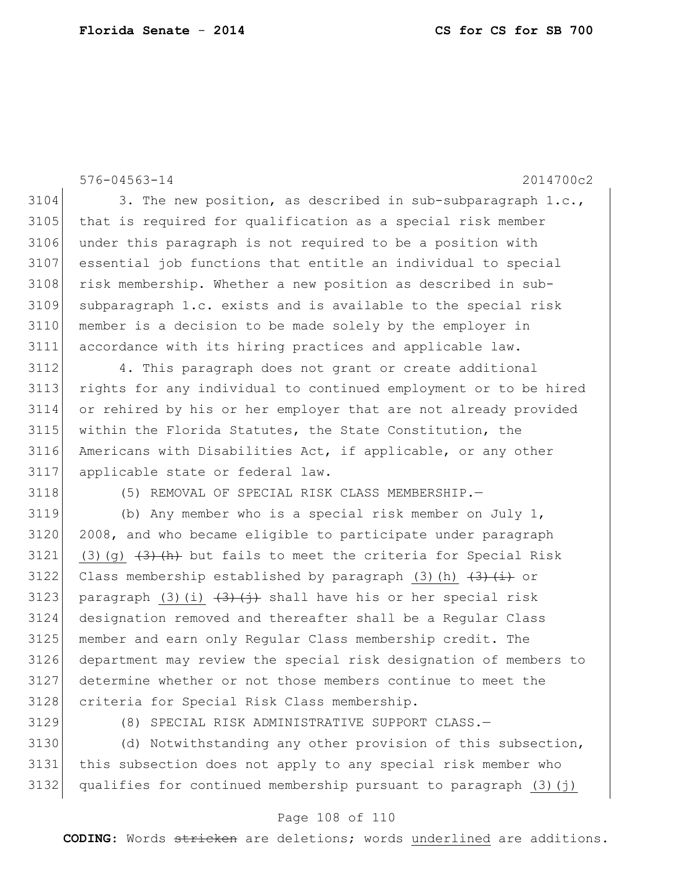576-04563-14 2014700c2 3104 3. The new position, as described in sub-subparagraph  $1.c.,$ 3105 that is required for qualification as a special risk member under this paragraph is not required to be a position with essential job functions that entitle an individual to special 3108 risk membership. Whether a new position as described in sub- subparagraph 1.c. exists and is available to the special risk member is a decision to be made solely by the employer in accordance with its hiring practices and applicable law. 4. This paragraph does not grant or create additional rights for any individual to continued employment or to be hired or rehired by his or her employer that are not already provided within the Florida Statutes, the State Constitution, the Americans with Disabilities Act, if applicable, or any other applicable state or federal law. 3118 (5) REMOVAL OF SPECIAL RISK CLASS MEMBERSHIP. 3119 (b) Any member who is a special risk member on July 1, 2008, and who became eligible to participate under paragraph 3121 (3)(g)  $(3)$  (h) but fails to meet the criteria for Special Risk 3122 Class membership established by paragraph (3)(h)  $\left(3\right)$   $\left(1\right)$  or 3123 paragraph (3)(i)  $\left(\frac{3}{4}\right)$  shall have his or her special risk designation removed and thereafter shall be a Regular Class member and earn only Regular Class membership credit. The department may review the special risk designation of members to determine whether or not those members continue to meet the

3129 (8) SPECIAL RISK ADMINISTRATIVE SUPPORT CLASS.-

3128 criteria for Special Risk Class membership.

3130 (d) Notwithstanding any other provision of this subsection, 3131 this subsection does not apply to any special risk member who 3132 qualifies for continued membership pursuant to paragraph  $(3)(j)$ 

### Page 108 of 110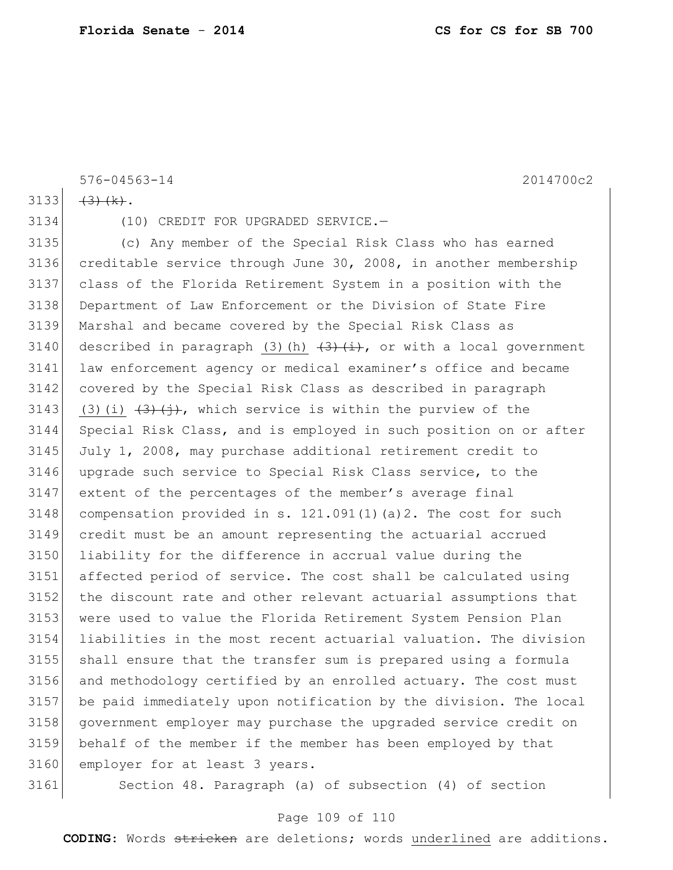576-04563-14 2014700c2

 $(3)$   $(k)$ .

(10) CREDIT FOR UPGRADED SERVICE.—

 (c) Any member of the Special Risk Class who has earned creditable service through June 30, 2008, in another membership class of the Florida Retirement System in a position with the Department of Law Enforcement or the Division of State Fire Marshal and became covered by the Special Risk Class as 3140 described in paragraph (3)(h)  $\left(3\right)$  (i), or with a local government law enforcement agency or medical examiner's office and became covered by the Special Risk Class as described in paragraph 3143 (3)(i)  $(3)(i)$ , which service is within the purview of the Special Risk Class, and is employed in such position on or after July 1, 2008, may purchase additional retirement credit to upgrade such service to Special Risk Class service, to the extent of the percentages of the member's average final 3148 compensation provided in s.  $121.091(1)(a)2$ . The cost for such credit must be an amount representing the actuarial accrued liability for the difference in accrual value during the affected period of service. The cost shall be calculated using the discount rate and other relevant actuarial assumptions that were used to value the Florida Retirement System Pension Plan liabilities in the most recent actuarial valuation. The division shall ensure that the transfer sum is prepared using a formula and methodology certified by an enrolled actuary. The cost must be paid immediately upon notification by the division. The local government employer may purchase the upgraded service credit on behalf of the member if the member has been employed by that employer for at least 3 years.

Section 48. Paragraph (a) of subsection (4) of section

## Page 109 of 110

**CODING**: Words stricken are deletions; words underlined are additions.